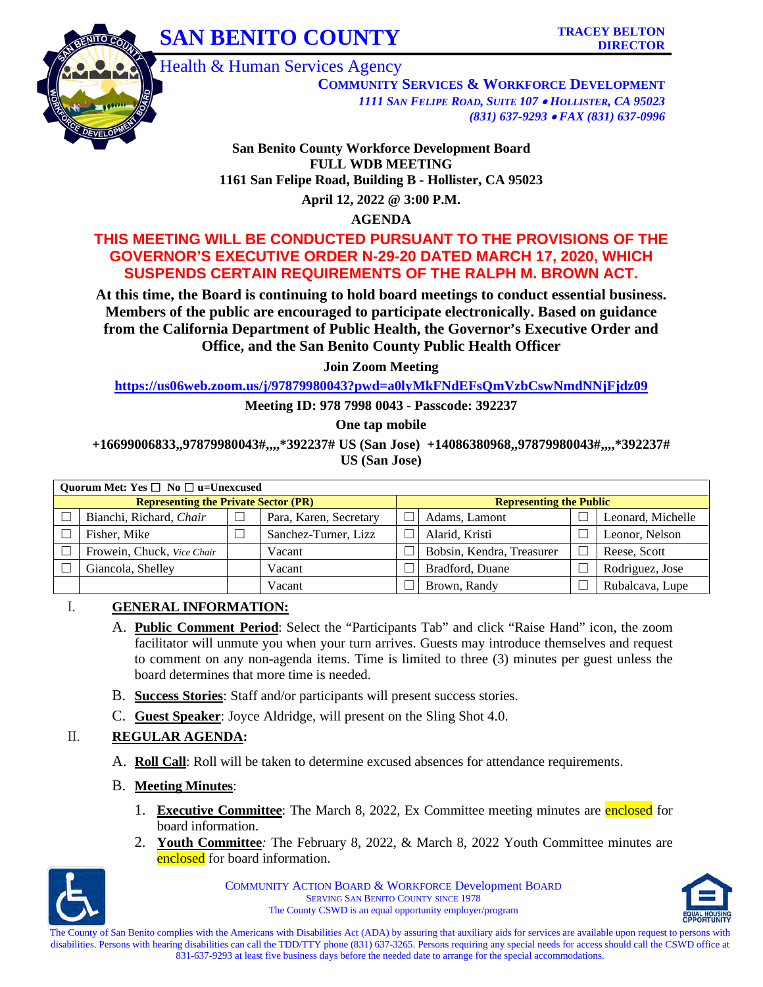



Health & Human Services Agency

**COMMUNITY SERVICES & WORKFORCE DEVELOPMENT** *1111 SAN FELIPE ROAD, SUITE 107* • *HOLLISTER, CA 95023 (831) 637-9293* • *FAX (831) 637-0996*

**San Benito County Workforce Development Board FULL WDB MEETING 1161 San Felipe Road, Building B - Hollister, CA 95023** 

**April 12, 2022 @ 3:00 P.M.** 

**AGENDA**

### **THIS MEETING WILL BE CONDUCTED PURSUANT TO THE PROVISIONS OF THE GOVERNOR'S EXECUTIVE ORDER N-29-20 DATED MARCH 17, 2020, WHICH SUSPENDS CERTAIN REQUIREMENTS OF THE RALPH M. BROWN ACT.**

**At this time, the Board is continuing to hold board meetings to conduct essential business. Members of the public are encouraged to participate electronically. Based on guidance from the California Department of Public Health, the Governor's Executive Order and Office, and the San Benito County Public Health Officer** 

**Join Zoom Meeting** 

**<https://us06web.zoom.us/j/97879980043?pwd=a0lyMkFNdEFsQmVzbCswNmdNNjFjdz09>**

**Meeting ID: 978 7998 0043 - Passcode: 392237** 

**One tap mobile**

**+16699006833,,97879980043#,,,,\*392237# US (San Jose) +14086380968,,97879980043#,,,,\*392237# US (San Jose)** 

|                                             | Quorum Met: Yes $\Box$ No $\Box$ u=Unexcused |  |                        |  |                                |  |                   |  |  |  |  |
|---------------------------------------------|----------------------------------------------|--|------------------------|--|--------------------------------|--|-------------------|--|--|--|--|
| <b>Representing the Private Sector (PR)</b> |                                              |  |                        |  | <b>Representing the Public</b> |  |                   |  |  |  |  |
|                                             | Bianchi, Richard, Chair                      |  | Para, Karen, Secretary |  | Adams, Lamont                  |  | Leonard, Michelle |  |  |  |  |
|                                             | Fisher, Mike                                 |  | Sanchez-Turner, Lizz   |  | Alarid, Kristi                 |  | Leonor, Nelson    |  |  |  |  |
|                                             | Frowein, Chuck, Vice Chair                   |  | Vacant                 |  | Bobsin, Kendra, Treasurer      |  | Reese, Scott      |  |  |  |  |
|                                             | Giancola, Shelley                            |  | Vacant                 |  | Bradford, Duane                |  | Rodriguez, Jose   |  |  |  |  |
|                                             |                                              |  | Vacant                 |  | Brown, Randy                   |  | Rubalcava, Lupe   |  |  |  |  |

### I. **GENERAL INFORMATION:**

- A. **Public Comment Period**: Select the "Participants Tab" and click "Raise Hand" icon, the zoom facilitator will unmute you when your turn arrives. Guests may introduce themselves and request to comment on any non-agenda items. Time is limited to three (3) minutes per guest unless the board determines that more time is needed.
- B. **Success Stories**: Staff and/or participants will present success stories.
- C. **Guest Speaker**: Joyce Aldridge, will present on the Sling Shot 4.0.

### II. **REGULAR AGENDA:**

- A. **Roll Call**: Roll will be taken to determine excused absences for attendance requirements.
- B. **Meeting Minutes**:
	- 1. **Executive Committee**: The March 8, 2022, Ex Committee meeting minutes are enclosed for board information.
	- 2. **Youth Committee***:* The February 8, 2022, & March 8, 2022 Youth Committee minutes are enclosed for board information.



COMMUNITY ACTION BOARD & WORKFORCE Development BOARD SERVING SAN BENITO COUNTY SINCE 1978 The County CSWD is an equal opportunity employer/program



The County of San Benito complies with the Americans with Disabilities Act (ADA) by assuring that auxiliary aids for services are available upon request to persons with disabilities. Persons with hearing disabilities can call the TDD/TTY phone (831) 637-3265. Persons requiring any special needs for access should call the CSWD office at 831-637-9293 at least five business days before the needed date to arrange for the special accommodations.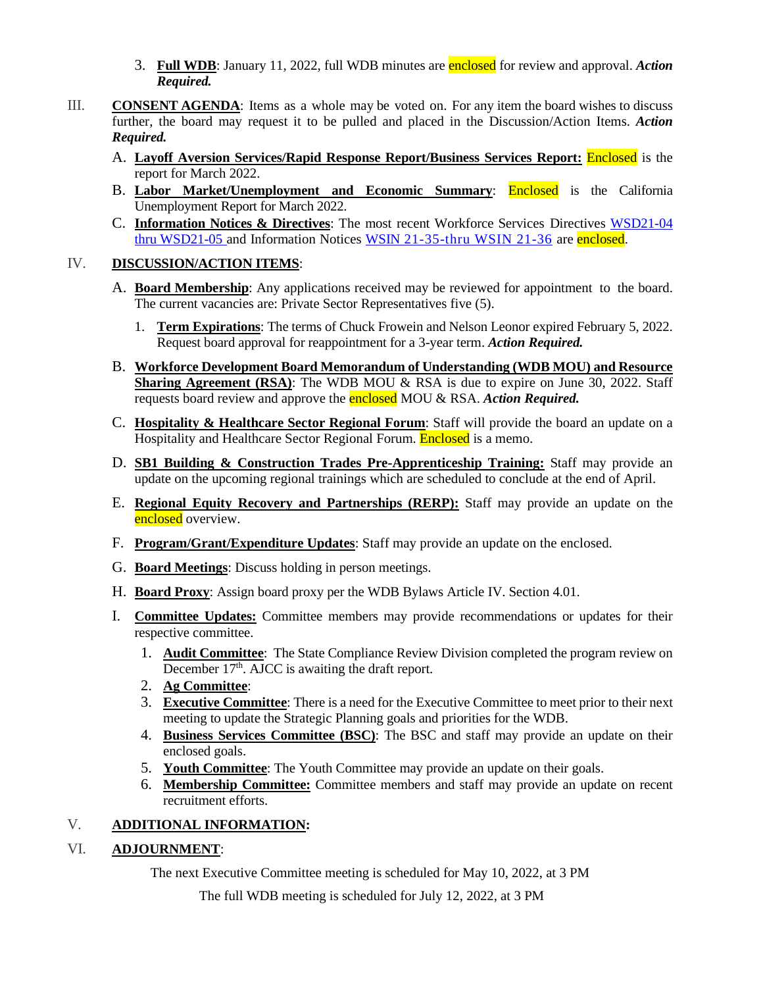- 3. **Full WDB**: January 11, 2022, full WDB minutes are enclosed for review and approval. *Action Required.*
- III. **CONSENT AGENDA**: Items as a whole may be voted on. For any item the board wishes to discuss further, the board may request it to be pulled and placed in the Discussion/Action Items. *Action Required.*
	- A. **Layoff Aversion Services/Rapid Response Report/Business Services Report:** Enclosed is the report for March 2022.
	- B. **Labor Market/Unemployment and Economic Summary**: Enclosed is the California Unemployment Report for March 2022.
	- C. **Information Notices & Directives**: The most recent Workforce Services Directives [WSD21-04](https://www.edd.ca.gov/Jobs_and_Training/Active_Directives.htm)  [thru WSD21-05](https://www.edd.ca.gov/Jobs_and_Training/Active_Directives.htm) and Information Notices [WSIN 21-35-thru WSIN 21-36](https://www.edd.ca.gov/jobs_and_training/Information_Notices.htm) are enclosed.

### IV. **DISCUSSION/ACTION ITEMS**:

- A. **Board Membership**: Any applications received may be reviewed for appointment to the board. The current vacancies are: Private Sector Representatives five (5).
	- 1. **Term Expirations**: The terms of Chuck Frowein and Nelson Leonor expired February 5, 2022. Request board approval for reappointment for a 3-year term. *Action Required.*
- B. **Workforce Development Board Memorandum of Understanding (WDB MOU) and Resource Sharing Agreement (RSA)**: The WDB MOU & RSA is due to expire on June 30, 2022. Staff requests board review and approve the enclosed MOU & RSA. *Action Required.*
- C. **Hospitality & Healthcare Sector Regional Forum**: Staff will provide the board an update on a Hospitality and Healthcare Sector Regional Forum. **Enclosed** is a memo.
- D. **SB1 Building & Construction Trades Pre-Apprenticeship Training:** Staff may provide an update on the upcoming regional trainings which are scheduled to conclude at the end of April.
- E. **Regional Equity Recovery and Partnerships (RERP):** Staff may provide an update on the enclosed overview.
- F. **Program/Grant/Expenditure Updates**: Staff may provide an update on the enclosed.
- G. **Board Meetings**: Discuss holding in person meetings.
- H. **Board Proxy**: Assign board proxy per the WDB Bylaws Article IV. Section 4.01.
- I. **Committee Updates:** Committee members may provide recommendations or updates for their respective committee.
	- 1. **Audit Committee**: The State Compliance Review Division completed the program review on December 17<sup>th</sup>. AJCC is awaiting the draft report.
	- 2. **Ag Committee**:
	- 3. **Executive Committee**: There is a need for the Executive Committee to meet prior to their next meeting to update the Strategic Planning goals and priorities for the WDB.
	- 4. **Business Services Committee (BSC)**: The BSC and staff may provide an update on their enclosed goals.
	- 5. **Youth Committee**: The Youth Committee may provide an update on their goals.
	- 6. **Membership Committee:** Committee members and staff may provide an update on recent recruitment efforts.

### V. **ADDITIONAL INFORMATION:**

### VI. **ADJOURNMENT**:

The next Executive Committee meeting is scheduled for May 10, 2022, at 3 PM

The full WDB meeting is scheduled for July 12, 2022, at 3 PM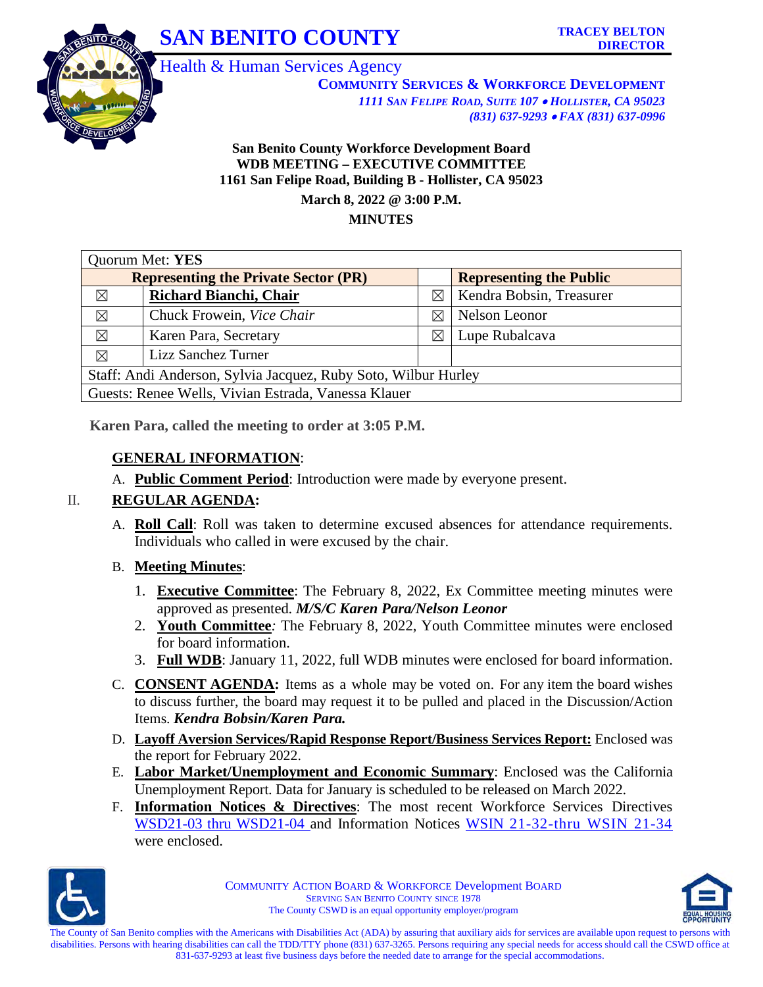

**COMMUNITY SERVICES & WORKFORCE DEVELOPMENT** *1111 SAN FELIPE ROAD, SUITE 107* • *HOLLISTER, CA 95023 (831) 637-9293* • *FAX (831) 637-0996*

### **San Benito County Workforce Development Board WDB MEETING – EXECUTIVE COMMITTEE 1161 San Felipe Road, Building B - Hollister, CA 95023 March 8, 2022 @ 3:00 P.M. MINUTES**

|                                             | Quorum Met: YES                                                |             |                                |  |  |  |  |
|---------------------------------------------|----------------------------------------------------------------|-------------|--------------------------------|--|--|--|--|
| <b>Representing the Private Sector (PR)</b> |                                                                |             | <b>Representing the Public</b> |  |  |  |  |
| ⊠                                           | Richard Bianchi, Chair                                         | $\boxtimes$ | Kendra Bobsin, Treasurer       |  |  |  |  |
| $\boxtimes$                                 | Chuck Frowein, Vice Chair                                      | X           | Nelson Leonor                  |  |  |  |  |
| $\boxtimes$                                 | Karen Para, Secretary                                          | $\boxtimes$ | Lupe Rubalcava                 |  |  |  |  |
| $\boxtimes$                                 | Lizz Sanchez Turner                                            |             |                                |  |  |  |  |
|                                             | Staff: Andi Anderson, Sylvia Jacquez, Ruby Soto, Wilbur Hurley |             |                                |  |  |  |  |
|                                             | Guests: Renee Wells, Vivian Estrada, Vanessa Klauer            |             |                                |  |  |  |  |

**Karen Para, called the meeting to order at 3:05 P.M.**

### **GENERAL INFORMATION**:

A. **Public Comment Period**: Introduction were made by everyone present.

### II. **REGULAR AGENDA:**

A. **Roll Call**: Roll was taken to determine excused absences for attendance requirements. Individuals who called in were excused by the chair.

### B. **Meeting Minutes**:

- 1. **Executive Committee**: The February 8, 2022, Ex Committee meeting minutes were approved as presented. *M/S/C Karen Para/Nelson Leonor*
- 2. **Youth Committee***:* The February 8, 2022, Youth Committee minutes were enclosed for board information.
- 3. **Full WDB**: January 11, 2022, full WDB minutes were enclosed for board information.
- C. **CONSENT AGENDA:** Items as a whole may be voted on. For any item the board wishes to discuss further, the board may request it to be pulled and placed in the Discussion/Action Items. *Kendra Bobsin/Karen Para.*
- D. **Layoff Aversion Services/Rapid Response Report/Business Services Report:** Enclosed was the report for February 2022.
- E. **Labor Market/Unemployment and Economic Summary**: Enclosed was the California Unemployment Report. Data for January is scheduled to be released on March 2022.
- F. **Information Notices & Directives**: The most recent Workforce Services Directives [WSD21-03 thru WSD21-04](https://www.edd.ca.gov/Jobs_and_Training/Active_Directives.htm) and Information Notices [WSIN 21-32-thru WSIN 21-34](https://www.edd.ca.gov/jobs_and_training/Information_Notices.htm) were enclosed.



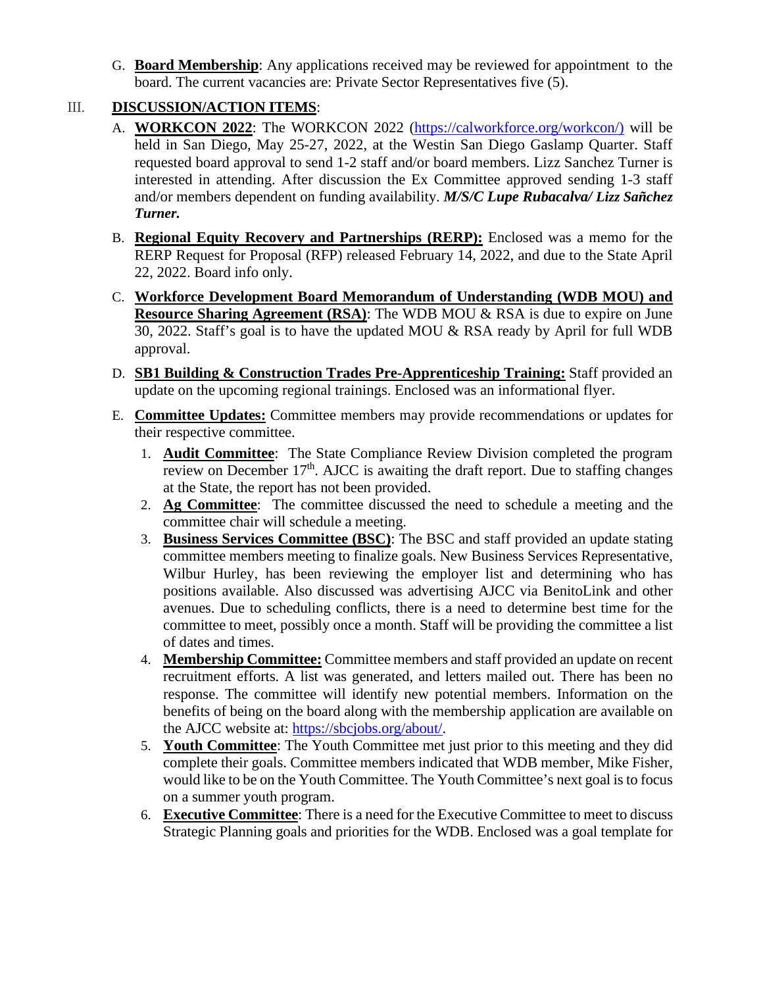G. **Board Membership**: Any applications received may be reviewed for appointment to the board. The current vacancies are: Private Sector Representatives five (5).

### III. **DISCUSSION/ACTION ITEMS**:

- A. **WORKCON 2022**: The WORKCON 2022 [\(https://calworkforce.org/workcon/\)](https://calworkforce.org/workcon/) will be held in San Diego, May 25-27, 2022, at the Westin San Diego Gaslamp Quarter. Staff requested board approval to send 1-2 staff and/or board members. Lizz Sanchez Turner is interested in attending. After discussion the Ex Committee approved sending 1-3 staff and/or members dependent on funding availability. *M/S/C Lupe Rubacalva/ Lizz Sañchez Turner.*
- B. **Regional Equity Recovery and Partnerships (RERP):** Enclosed was a memo for the RERP Request for Proposal (RFP) released February 14, 2022, and due to the State April 22, 2022. Board info only.
- C. **Workforce Development Board Memorandum of Understanding (WDB MOU) and Resource Sharing Agreement (RSA):** The WDB MOU & RSA is due to expire on June 30, 2022. Staff's goal is to have the updated MOU & RSA ready by April for full WDB approval.
- D. **SB1 Building & Construction Trades Pre-Apprenticeship Training:** Staff provided an update on the upcoming regional trainings. Enclosed was an informational flyer.
- E. **Committee Updates:** Committee members may provide recommendations or updates for their respective committee.
	- 1. **Audit Committee**: The State Compliance Review Division completed the program review on December  $17<sup>th</sup>$ . AJCC is awaiting the draft report. Due to staffing changes at the State, the report has not been provided.
	- 2. **Ag Committee**: The committee discussed the need to schedule a meeting and the committee chair will schedule a meeting.
	- 3. **Business Services Committee (BSC)**: The BSC and staff provided an update stating committee members meeting to finalize goals. New Business Services Representative, Wilbur Hurley, has been reviewing the employer list and determining who has positions available. Also discussed was advertising AJCC via BenitoLink and other avenues. Due to scheduling conflicts, there is a need to determine best time for the committee to meet, possibly once a month. Staff will be providing the committee a list of dates and times.
	- 4. **Membership Committee:** Committee members and staff provided an update on recent recruitment efforts. A list was generated, and letters mailed out. There has been no response. The committee will identify new potential members. Information on the benefits of being on the board along with the membership application are available on the AJCC website at: [https://sbcjobs.org/about/.](https://sbcjobs.org/about/)
	- 5. **Youth Committee**: The Youth Committee met just prior to this meeting and they did complete their goals. Committee members indicated that WDB member, Mike Fisher, would like to be on the Youth Committee. The Youth Committee's next goal is to focus on a summer youth program.
	- 6. **Executive Committee**: There is a need for the Executive Committee to meet to discuss Strategic Planning goals and priorities for the WDB. Enclosed was a goal template for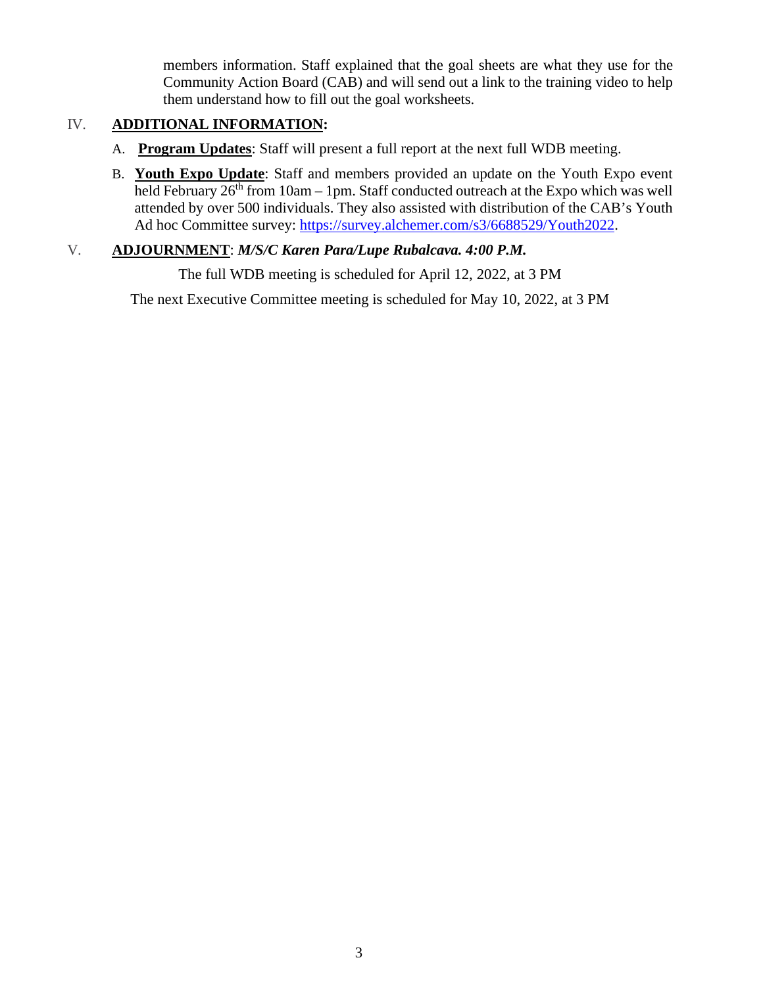members information. Staff explained that the goal sheets are what they use for the Community Action Board (CAB) and will send out a link to the training video to help them understand how to fill out the goal worksheets.

### IV. **ADDITIONAL INFORMATION:**

- A. **Program Updates**: Staff will present a full report at the next full WDB meeting.
- B. **Youth Expo Update**: Staff and members provided an update on the Youth Expo event held February  $26<sup>th</sup>$  from 10am – 1pm. Staff conducted outreach at the Expo which was well attended by over 500 individuals. They also assisted with distribution of the CAB's Youth Ad hoc Committee survey: [https://survey.alchemer.com/s3/6688529/Youth2022.](https://survey.alchemer.com/s3/6688529/Youth2022)

### V. **ADJOURNMENT**: *M/S/C Karen Para/Lupe Rubalcava. 4:00 P.M.*

The full WDB meeting is scheduled for April 12, 2022, at 3 PM

The next Executive Committee meeting is scheduled for May 10, 2022, at 3 PM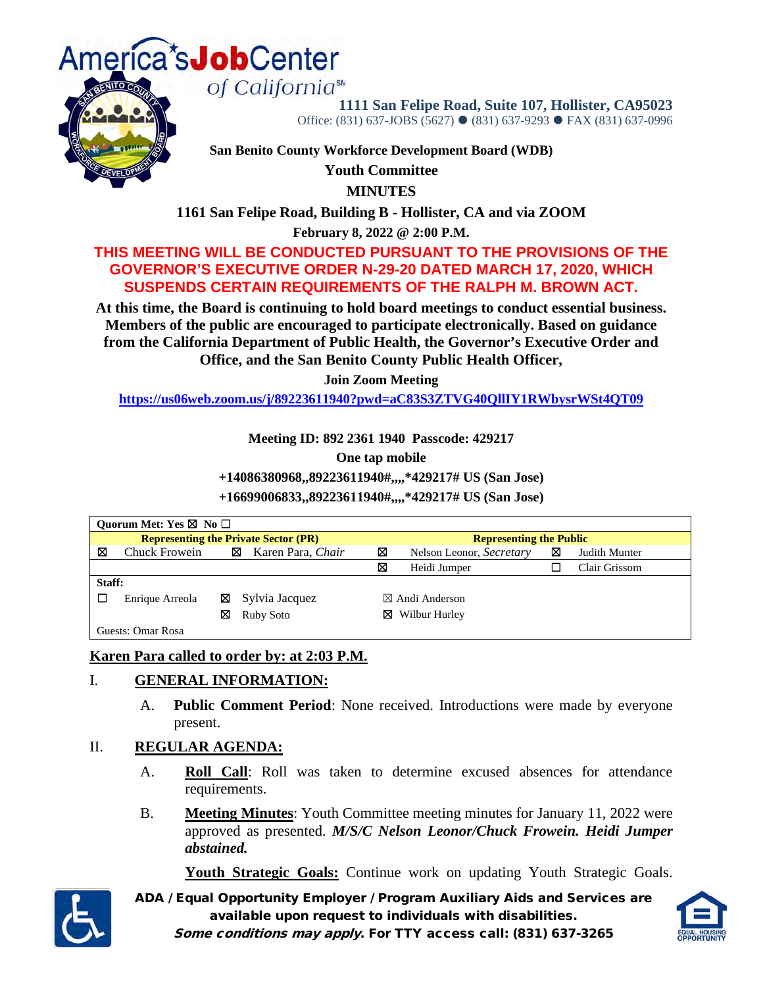

**1111 San Felipe Road, Suite 107, Hollister, CA95023**  Office: (831) 637-JOBS (5627) ● (831) 637-9293 ● FAX (831) 637-0996

**San Benito County Workforce Development Board (WDB)** 

**Youth Committee**

**MINUTES**

**1161 San Felipe Road, Building B - Hollister, CA and via ZOOM**

**February 8, 2022 @ 2:00 P.M.**

### **THIS MEETING WILL BE CONDUCTED PURSUANT TO THE PROVISIONS OF THE GOVERNOR'S EXECUTIVE ORDER N-29-20 DATED MARCH 17, 2020, WHICH SUSPENDS CERTAIN REQUIREMENTS OF THE RALPH M. BROWN ACT.**

**At this time, the Board is continuing to hold board meetings to conduct essential business. Members of the public are encouraged to participate electronically. Based on guidance from the California Department of Public Health, the Governor's Executive Order and Office, and the San Benito County Public Health Officer,**

**Join Zoom Meeting**

**<https://us06web.zoom.us/j/89223611940?pwd=aC83S3ZTVG40QllIY1RWbysrWSt4QT09>**

**Meeting ID: 892 2361 1940 Passcode: 429217**

**One tap mobile**

**+14086380968,,89223611940#,,,,\*429217# US (San Jose)** 

**+16699006833,,89223611940#,,,,\*429217# US (San Jose)** 

| Quorum Met: Yes $\boxtimes$ No $\Box$       |                   |   |                        |                                |                           |   |               |  |
|---------------------------------------------|-------------------|---|------------------------|--------------------------------|---------------------------|---|---------------|--|
| <b>Representing the Private Sector (PR)</b> |                   |   |                        | <b>Representing the Public</b> |                           |   |               |  |
| ⊠                                           | Chuck Frowein     |   | Karen Para, Chair<br>⊠ | ⊠                              | Nelson Leonor, Secretary  | ⊠ | Judith Munter |  |
|                                             |                   |   |                        | ⊠                              | Heidi Jumper              |   | Clair Grissom |  |
| Staff:                                      |                   |   |                        |                                |                           |   |               |  |
|                                             | Enrique Arreola   | ⊠ | Sylvia Jacquez         |                                | $\boxtimes$ Andi Anderson |   |               |  |
|                                             |                   | ⊠ | Ruby Soto              | Wilbur Hurley<br>⊠             |                           |   |               |  |
|                                             | Guests: Omar Rosa |   |                        |                                |                           |   |               |  |

### **Karen Para called to order by: at 2:03 P.M.**

### I. **GENERAL INFORMATION:**

A. **Public Comment Period**: None received. Introductions were made by everyone present.

### II. **REGULAR AGENDA:**

- A. **Roll Call**: Roll was taken to determine excused absences for attendance requirements.
- B. **Meeting Minutes**: Youth Committee meeting minutes for January 11, 2022 were approved as presented. *M/S/C Nelson Leonor/Chuck Frowein. Heidi Jumper abstained.*

Youth Strategic Goals: Continue work on updating Youth Strategic Goals.



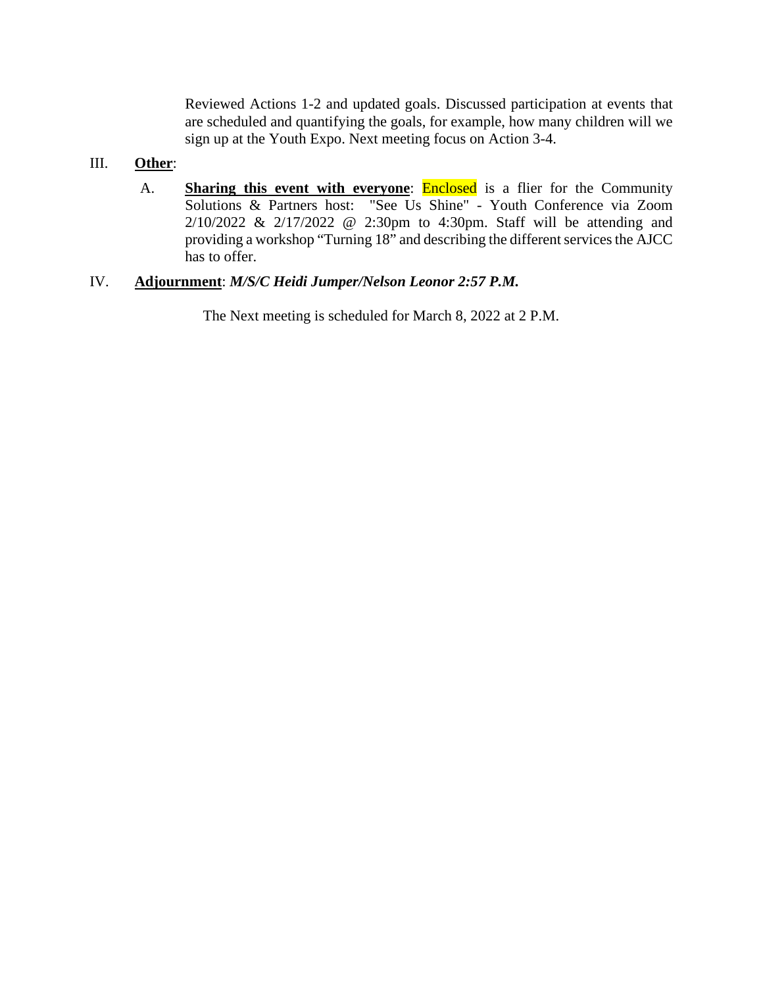Reviewed Actions 1-2 and updated goals. Discussed participation at events that are scheduled and quantifying the goals, for example, how many children will we sign up at the Youth Expo. Next meeting focus on Action 3-4.

### III. **Other**:

A. **Sharing this event with everyone**: Enclosed is a flier for the Community Solutions & Partners host: "See Us Shine" - Youth Conference via Zoom 2/10/2022 & 2/17/2022 @ 2:30pm to 4:30pm. Staff will be attending and providing a workshop "Turning 18" and describing the different services the AJCC has to offer.

### IV. **Adjournment**: *M/S/C Heidi Jumper/Nelson Leonor 2:57 P.M.*

The Next meeting is scheduled for March 8, 2022 at 2 P.M.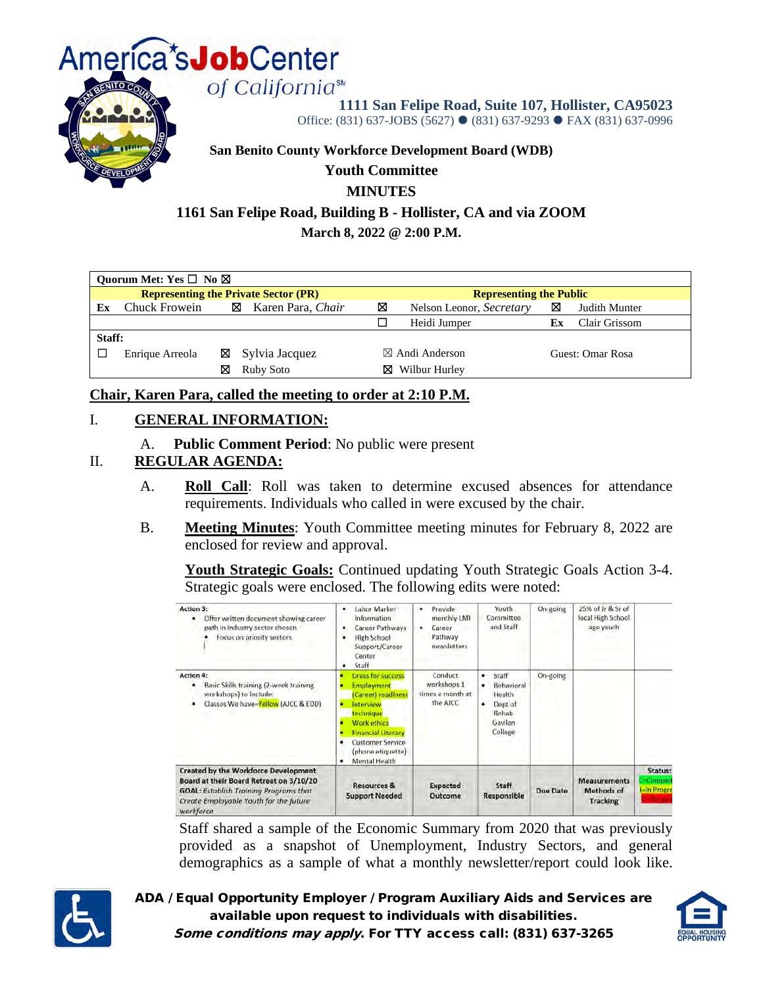

**1111 San Felipe Road, Suite 107, Hollister, CA95023** 

Office: (831) 637-JOBS (5627) ● (831) 637-9293 ● FAX (831) 637-0996

#### **San Benito County Workforce Development Board (WDB)**

### **Youth Committee**

### **MINUTES**

### **1161 San Felipe Road, Building B - Hollister, CA and via ZOOM**

**March 8, 2022 @ 2:00 P.M.**

|                                             | Quorum Met: Yes $\square$ No $\boxtimes$ |   |                            |   |                                |    |                  |  |  |
|---------------------------------------------|------------------------------------------|---|----------------------------|---|--------------------------------|----|------------------|--|--|
| <b>Representing the Private Sector (PR)</b> |                                          |   |                            |   | <b>Representing the Public</b> |    |                  |  |  |
| Еx                                          | Chuck Frowein                            |   | Karen Para, Chair<br>⊠     | ⊠ | Nelson Leonor, Secretary       | ⊠  | Judith Munter    |  |  |
|                                             |                                          |   |                            |   | Heidi Jumper                   | Еx | Clair Grissom    |  |  |
| Staff:                                      |                                          |   |                            |   |                                |    |                  |  |  |
|                                             | Enrique Arreola                          |   | $\boxtimes$ Sylvia Jacquez |   | $\boxtimes$ Andi Anderson      |    | Guest: Omar Rosa |  |  |
|                                             |                                          | ⊠ | Ruby Soto                  | ⊠ | Wilbur Hurley                  |    |                  |  |  |

**Chair, Karen Para, called the meeting to order at 2:10 P.M.** 

### I. **GENERAL INFORMATION:**

A. **Public Comment Period**: No public were present

### II. **REGULAR AGENDA:**

- A. **Roll Call**: Roll was taken to determine excused absences for attendance requirements. Individuals who called in were excused by the chair.
- B. **Meeting Minutes**: Youth Committee meeting minutes for February 8, 2022 are enclosed for review and approval.

**Youth Strategic Goals:** Continued updating Youth Strategic Goals Action 3-4. Strategic goals were enclosed. The following edits were noted:



Staff shared a sample of the Economic Summary from 2020 that was previously provided as a snapshot of Unemployment, Industry Sectors, and general demographics as a sample of what a monthly newsletter/report could look like.



ADA / Equal Opportunity Employer / Program Auxiliary Aids and Services are available upon request to individuals with disabilities. Some conditions may apply. For TTY access call: (831) 637-3265

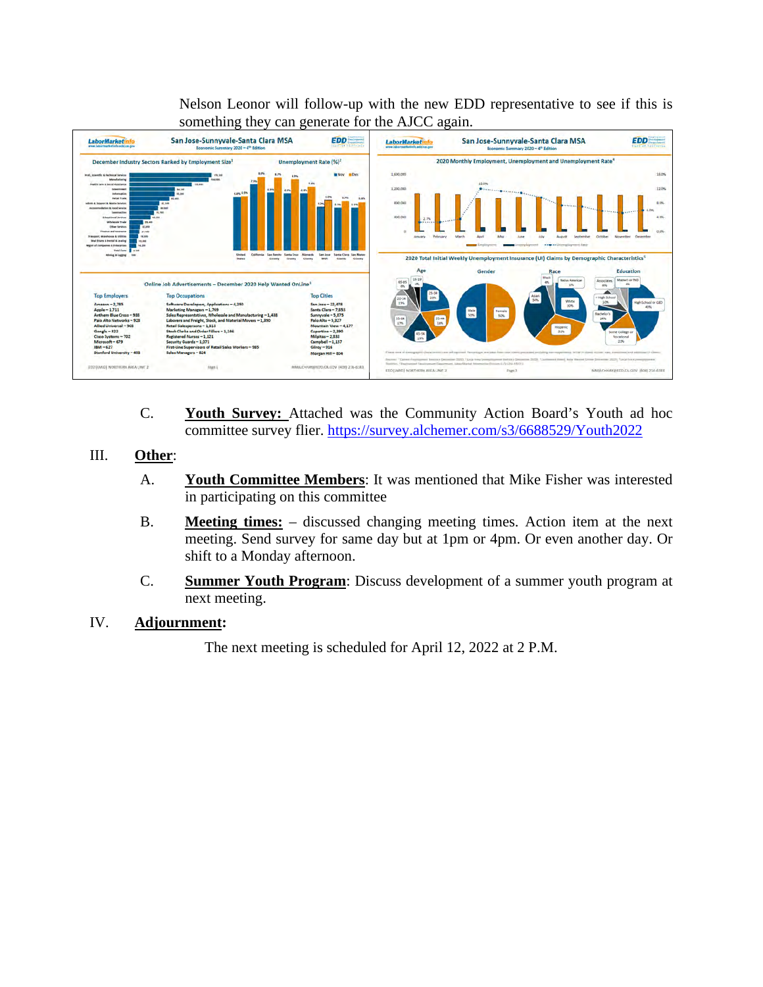Nelson Leonor will follow-up with the new EDD representative to see if this is something they can generate for the AJCC again.



- C. **Youth Survey:** Attached was the Community Action Board's Youth ad hoc committee survey flier.<https://survey.alchemer.com/s3/6688529/Youth2022>
- III. **Other**:
	- A. **Youth Committee Members**: It was mentioned that Mike Fisher was interested in participating on this committee
	- B. **Meeting times:** discussed changing meeting times. Action item at the next meeting. Send survey for same day but at 1pm or 4pm. Or even another day. Or shift to a Monday afternoon.
	- C. **Summer Youth Program**: Discuss development of a summer youth program at next meeting.
- IV. **Adjournment:**

The next meeting is scheduled for April 12, 2022 at 2 P.M.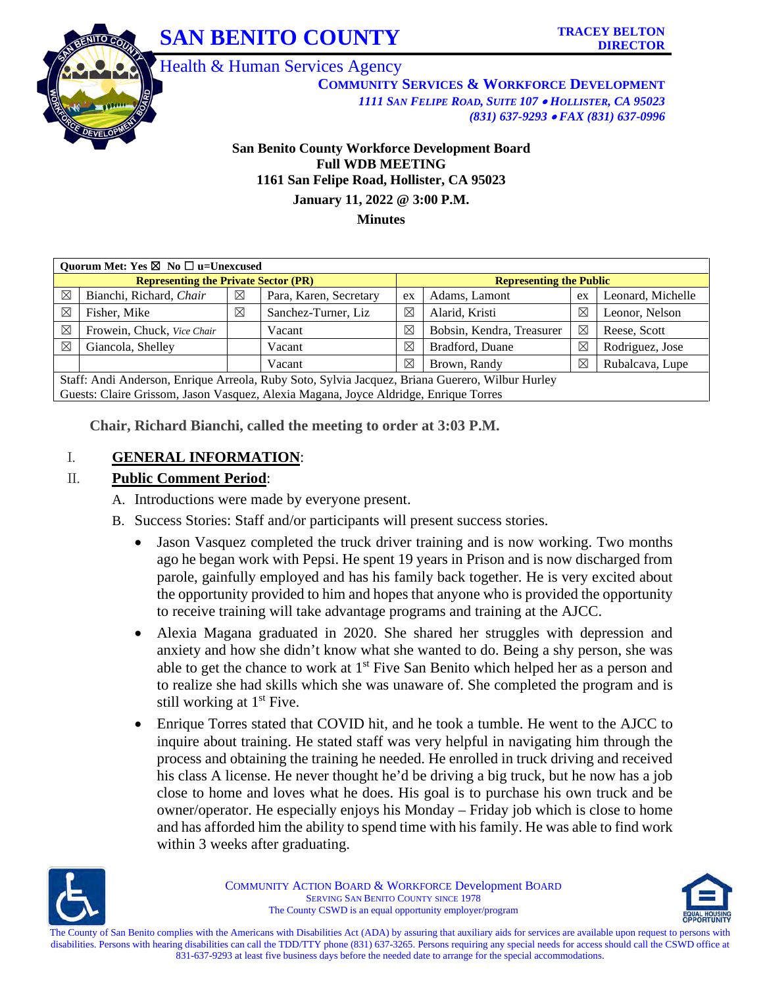



Health & Human Services Agency

**COMMUNITY SERVICES & WORKFORCE DEVELOPMENT** *1111 SAN FELIPE ROAD, SUITE 107* • *HOLLISTER, CA 95023 (831) 637-9293* • *FAX (831) 637-0996*

### **San Benito County Workforce Development Board Full WDB MEETING 1161 San Felipe Road, Hollister, CA 95023 January 11, 2022 @ 3:00 P.M.**

**Minutes**

|                                             | Ouorum Met: Yes $\boxtimes$ No $\Box$ u=Unexcused                                               |   |                        |                                |                           |             |                   |  |  |  |
|---------------------------------------------|-------------------------------------------------------------------------------------------------|---|------------------------|--------------------------------|---------------------------|-------------|-------------------|--|--|--|
| <b>Representing the Private Sector (PR)</b> |                                                                                                 |   |                        | <b>Representing the Public</b> |                           |             |                   |  |  |  |
| $\boxtimes$                                 | Bianchi, Richard, Chair                                                                         | ⊠ | Para, Karen, Secretary | ex                             | Adams, Lamont             | ex          | Leonard, Michelle |  |  |  |
| $\boxtimes$                                 | Fisher, Mike                                                                                    | ⊠ | Sanchez-Turner, Liz    | $\boxtimes$                    | Alarid, Kristi            | ⊠           | Leonor, Nelson    |  |  |  |
| $\boxtimes$                                 | Frowein, Chuck, Vice Chair                                                                      |   | Vacant                 | X                              | Bobsin, Kendra, Treasurer | $\boxtimes$ | Reese, Scott      |  |  |  |
| $\boxtimes$                                 | Giancola, Shelley                                                                               |   | Vacant                 | $\boxtimes$                    | Bradford, Duane           | $\boxtimes$ | Rodriguez, Jose   |  |  |  |
|                                             |                                                                                                 |   | Vacant                 | $\boxtimes$                    | Brown, Randy              | ⊠           | Rubalcava, Lupe   |  |  |  |
|                                             | Staff: Andi Anderson, Enrique Arreola, Ruby Soto, Sylvia Jacquez, Briana Guerero, Wilbur Hurley |   |                        |                                |                           |             |                   |  |  |  |
|                                             | Guests: Claire Grissom, Jason Vasquez, Alexia Magana, Joyce Aldridge, Enrique Torres            |   |                        |                                |                           |             |                   |  |  |  |

**Chair, Richard Bianchi, called the meeting to order at 3:03 P.M.** 

### I. **GENERAL INFORMATION**:

### II. **Public Comment Period**:

- A. Introductions were made by everyone present.
- B. Success Stories: Staff and/or participants will present success stories.
	- Jason Vasquez completed the truck driver training and is now working. Two months ago he began work with Pepsi. He spent 19 years in Prison and is now discharged from parole, gainfully employed and has his family back together. He is very excited about the opportunity provided to him and hopes that anyone who is provided the opportunity to receive training will take advantage programs and training at the AJCC.
	- Alexia Magana graduated in 2020. She shared her struggles with depression and anxiety and how she didn't know what she wanted to do. Being a shy person, she was able to get the chance to work at  $1<sup>st</sup>$  Five San Benito which helped her as a person and to realize she had skills which she was unaware of. She completed the program and is still working at  $1<sup>st</sup>$  Five.
	- Enrique Torres stated that COVID hit, and he took a tumble. He went to the AJCC to inquire about training. He stated staff was very helpful in navigating him through the process and obtaining the training he needed. He enrolled in truck driving and received his class A license. He never thought he'd be driving a big truck, but he now has a job close to home and loves what he does. His goal is to purchase his own truck and be owner/operator. He especially enjoys his Monday – Friday job which is close to home and has afforded him the ability to spend time with his family. He was able to find work within 3 weeks after graduating.



COMMUNITY ACTION BOARD & WORKFORCE Development BOARD SERVING SAN BENITO COUNTY SINCE 1978 The County CSWD is an equal opportunity employer/program

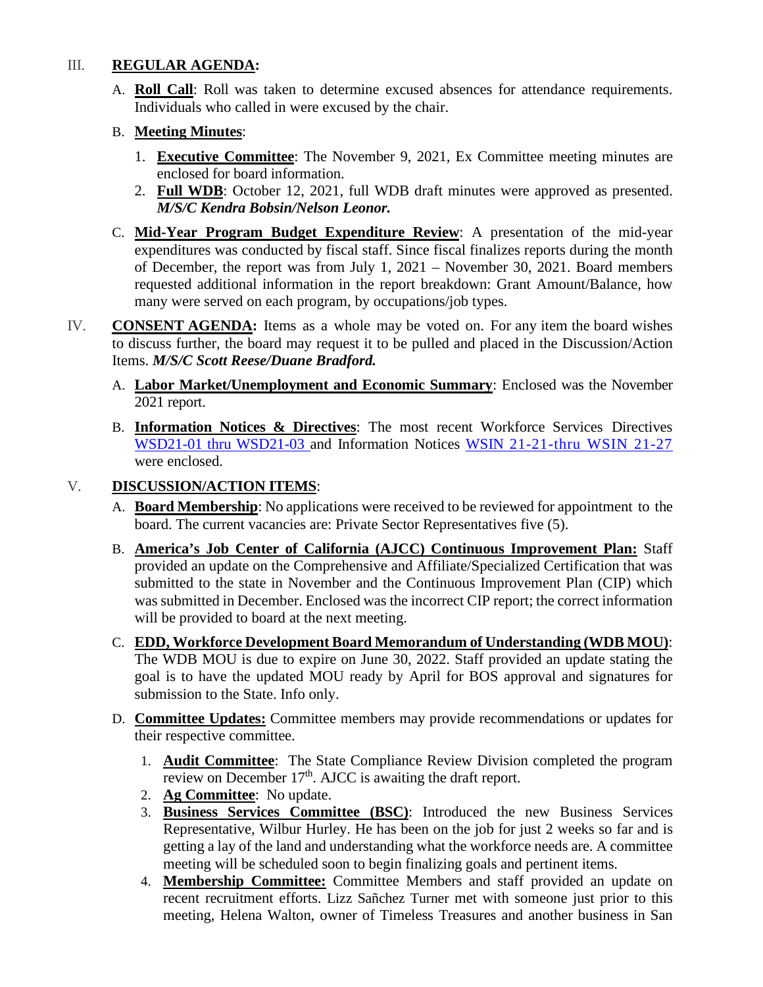### III. **REGULAR AGENDA:**

A. **Roll Call**: Roll was taken to determine excused absences for attendance requirements. Individuals who called in were excused by the chair.

### B. **Meeting Minutes**:

- 1. **Executive Committee**: The November 9, 2021, Ex Committee meeting minutes are enclosed for board information.
- 2. **Full WDB**: October 12, 2021, full WDB draft minutes were approved as presented. *M/S/C Kendra Bobsin/Nelson Leonor.*
- C. **Mid-Year Program Budget Expenditure Review**: A presentation of the mid-year expenditures was conducted by fiscal staff. Since fiscal finalizes reports during the month of December, the report was from July 1, 2021 – November 30, 2021. Board members requested additional information in the report breakdown: Grant Amount/Balance, how many were served on each program, by occupations/job types.
- IV. **CONSENT AGENDA:** Items as a whole may be voted on. For any item the board wishes to discuss further, the board may request it to be pulled and placed in the Discussion/Action Items. *M/S/C Scott Reese/Duane Bradford.* 
	- A. **Labor Market/Unemployment and Economic Summary**: Enclosed was the November 2021 report.
	- B. **Information Notices & Directives**: The most recent Workforce Services Directives [WSD21-01](https://www.edd.ca.gov/Jobs_and_Training/pubs/wsd20-13.pdf) thru WSD21-03 and Information Notices [WSIN 21-21-thru WSIN 21-27](https://www.edd.ca.gov/jobs_and_training/Information_Notices.htm) were enclosed.

### V. **DISCUSSION/ACTION ITEMS**:

- A. **Board Membership**: No applications were received to be reviewed for appointment to the board. The current vacancies are: Private Sector Representatives five (5).
- B. **America's Job Center of California (AJCC) Continuous Improvement Plan:** Staff provided an update on the Comprehensive and Affiliate/Specialized Certification that was submitted to the state in November and the Continuous Improvement Plan (CIP) which was submitted in December. Enclosed was the incorrect CIP report; the correct information will be provided to board at the next meeting.
- C. **EDD, Workforce Development Board Memorandum of Understanding (WDB MOU)**: The WDB MOU is due to expire on June 30, 2022. Staff provided an update stating the goal is to have the updated MOU ready by April for BOS approval and signatures for submission to the State. Info only.
- D. **Committee Updates:** Committee members may provide recommendations or updates for their respective committee.
	- 1. **Audit Committee**: The State Compliance Review Division completed the program review on December  $17<sup>th</sup>$ . AJCC is awaiting the draft report.
	- 2. **Ag Committee**: No update.
	- 3. **Business Services Committee (BSC)**: Introduced the new Business Services Representative, Wilbur Hurley. He has been on the job for just 2 weeks so far and is getting a lay of the land and understanding what the workforce needs are. A committee meeting will be scheduled soon to begin finalizing goals and pertinent items.
	- 4. **Membership Committee:** Committee Members and staff provided an update on recent recruitment efforts. Lizz Sañchez Turner met with someone just prior to this meeting, Helena Walton, owner of Timeless Treasures and another business in San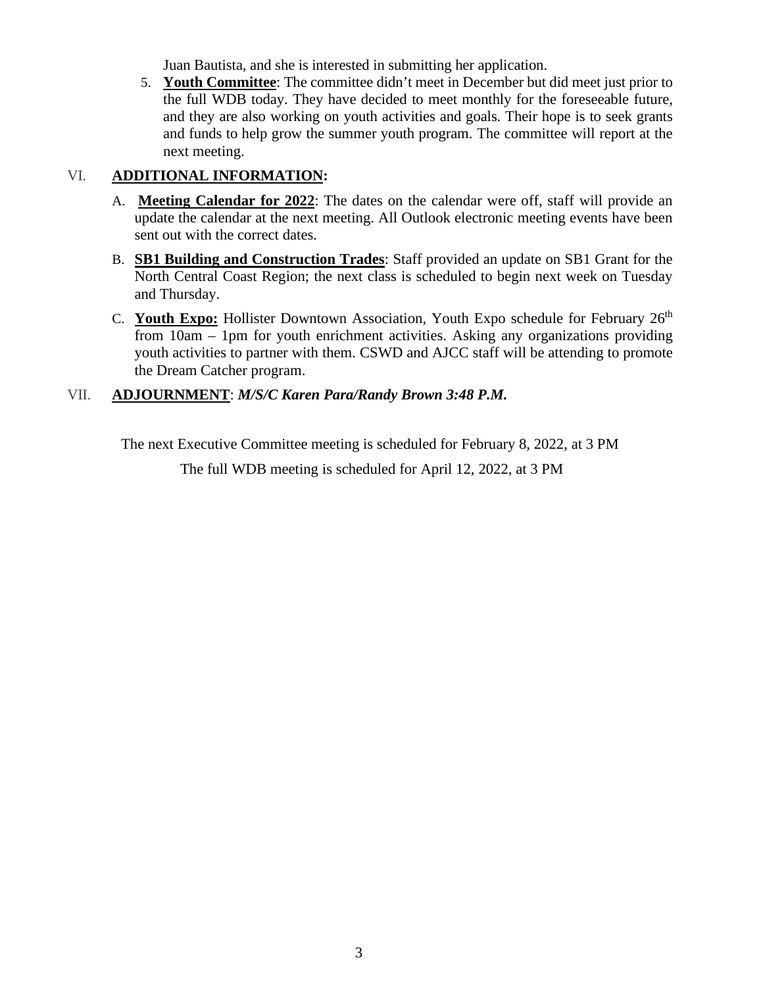Juan Bautista, and she is interested in submitting her application.

5. **Youth Committee**: The committee didn't meet in December but did meet just prior to the full WDB today. They have decided to meet monthly for the foreseeable future, and they are also working on youth activities and goals. Their hope is to seek grants and funds to help grow the summer youth program. The committee will report at the next meeting.

### VI. **ADDITIONAL INFORMATION:**

- A. **Meeting Calendar for 2022**: The dates on the calendar were off, staff will provide an update the calendar at the next meeting. All Outlook electronic meeting events have been sent out with the correct dates.
- B. **SB1 Building and Construction Trades**: Staff provided an update on SB1 Grant for the North Central Coast Region; the next class is scheduled to begin next week on Tuesday and Thursday.
- C. **Youth Expo:** Hollister Downtown Association, Youth Expo schedule for February 26<sup>th</sup> from 10am – 1pm for youth enrichment activities. Asking any organizations providing youth activities to partner with them. CSWD and AJCC staff will be attending to promote the Dream Catcher program.

### VII. **ADJOURNMENT**: *M/S/C Karen Para/Randy Brown 3:48 P.M.*

The next Executive Committee meeting is scheduled for February 8, 2022, at 3 PM

The full WDB meeting is scheduled for April 12, 2022, at 3 PM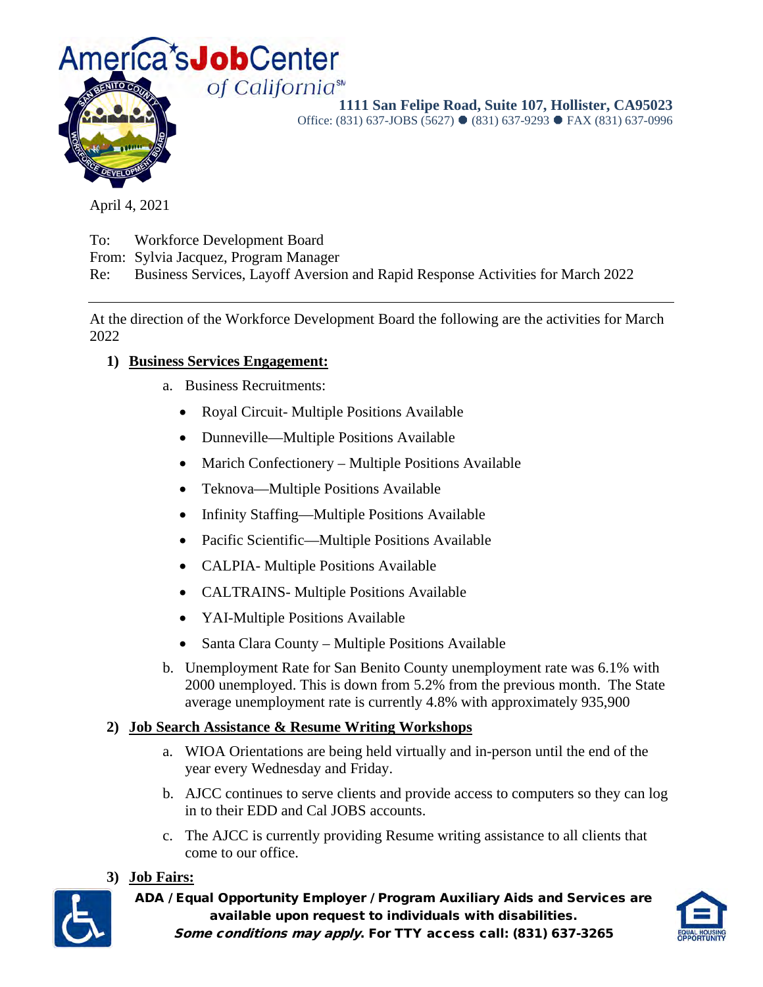

**1111 San Felipe Road, Suite 107, Hollister, CA95023** 

Office: (831) 637-JOBS (5627) ● (831) 637-9293 ● FAX (831) 637-0996

April 4, 2021

To: Workforce Development Board

From: Sylvia Jacquez, Program Manager

Re: Business Services, Layoff Aversion and Rapid Response Activities for March 2022

At the direction of the Workforce Development Board the following are the activities for March 2022

### **1) Business Services Engagement:**

- a. Business Recruitments:
	- Royal Circuit- Multiple Positions Available
	- Dunneville—Multiple Positions Available
	- Marich Confectionery Multiple Positions Available
	- Teknova—Multiple Positions Available
	- Infinity Staffing—Multiple Positions Available
	- Pacific Scientific—Multiple Positions Available
	- CALPIA- Multiple Positions Available
	- CALTRAINS- Multiple Positions Available
	- YAI-Multiple Positions Available
	- Santa Clara County Multiple Positions Available
- b. Unemployment Rate for San Benito County unemployment rate was 6.1% with 2000 unemployed. This is down from 5.2% from the previous month. The State average unemployment rate is currently 4.8% with approximately 935,900

### **2) Job Search Assistance & Resume Writing Workshops**

- a. WIOA Orientations are being held virtually and in-person until the end of the year every Wednesday and Friday.
- b. AJCC continues to serve clients and provide access to computers so they can log in to their EDD and Cal JOBS accounts.
- c. The AJCC is currently providing Resume writing assistance to all clients that come to our office.

### **3) Job Fairs:**



ADA / Equal Opportunity Employer / Program Auxiliary Aids and Services are available upon request to individuals with disabilities. Some conditions may apply. For TTY access call: (831) 637-3265

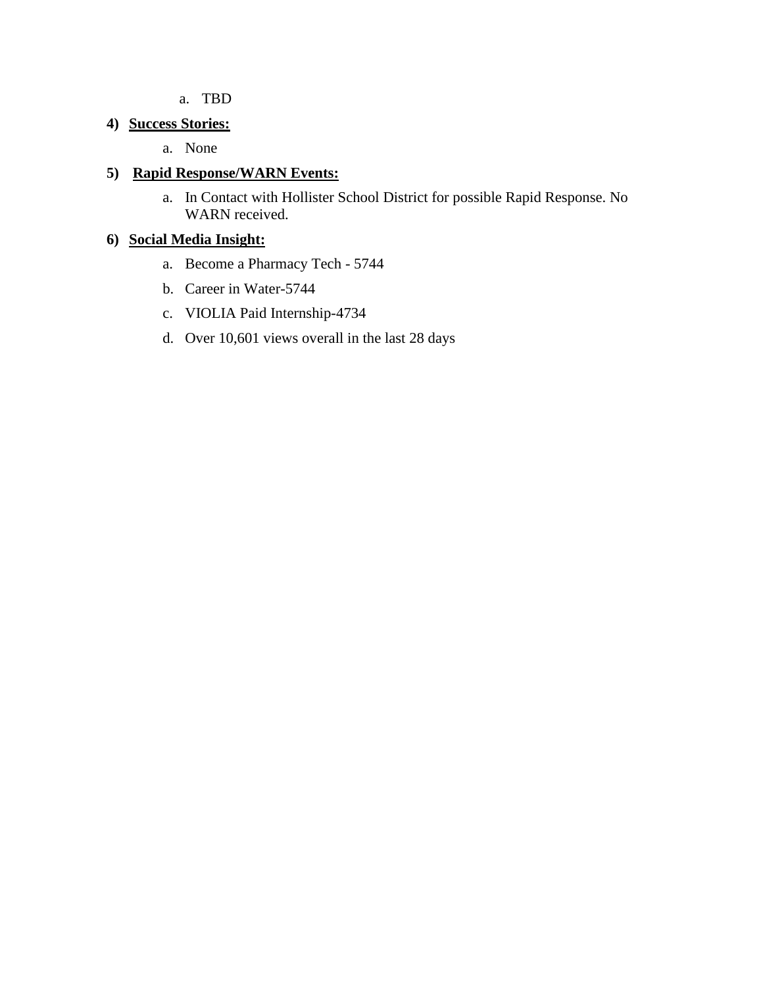a. TBD

### **4) Success Stories:**

a. None

### **5) Rapid Response/WARN Events:**

a. In Contact with Hollister School District for possible Rapid Response. No WARN received.

### **6) Social Media Insight:**

- a. Become a Pharmacy Tech 5744
- b. Career in Water-5744
- c. VIOLIA Paid Internship-4734
- d. Over 10,601 views overall in the last 28 days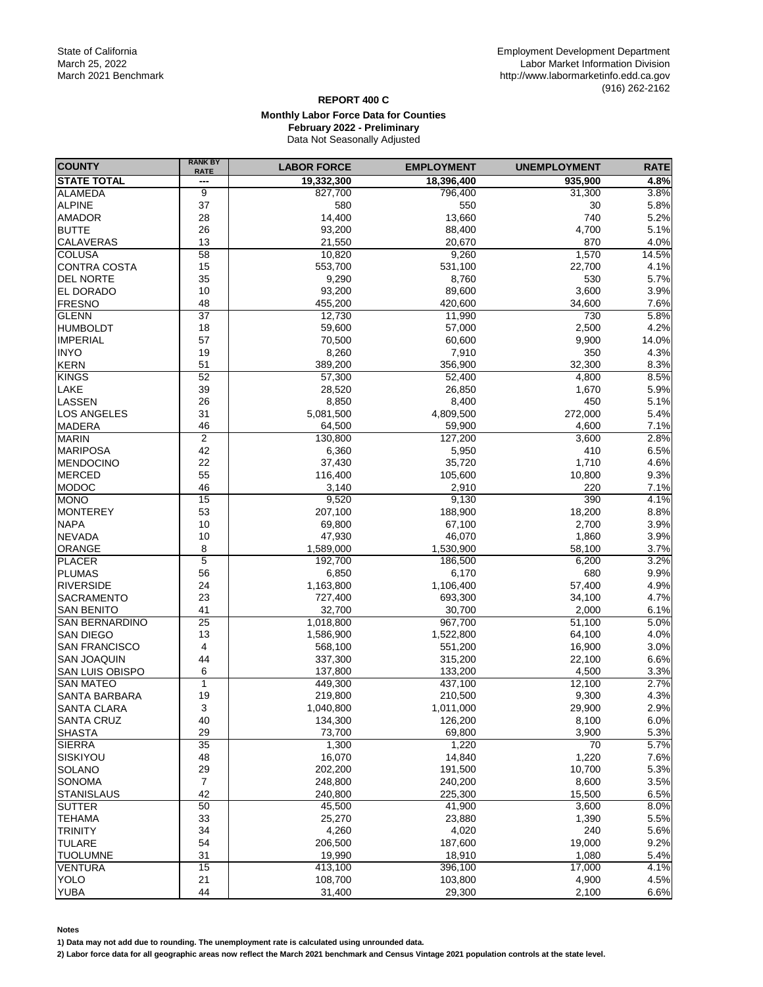#### **REPORT 400 C Monthly Labor Force Data for Counties February 2022 - Preliminary** Data Not Seasonally Adjusted

| <b>COUNTY</b>         | <b>RANK BY</b><br><b>RATE</b> | <b>LABOR FORCE</b> | <b>EMPLOYMENT</b> | <b>UNEMPLOYMENT</b> | <b>RATE</b> |
|-----------------------|-------------------------------|--------------------|-------------------|---------------------|-------------|
| <b>STATE TOTAL</b>    | ---                           | 19,332,300         | 18,396,400        | 935,900             | 4.8%        |
| ALAMEDA               | 9                             | 827,700            | 796,400           | 31,300              | 3.8%        |
| <b>ALPINE</b>         | 37                            | 580                | 550               | 30                  | 5.8%        |
| <b>AMADOR</b>         | 28                            | 14,400             | 13,660            | 740                 | 5.2%        |
| <b>BUTTE</b>          | 26                            | 93,200             | 88,400            | 4,700               | 5.1%        |
| CALAVERAS             | 13                            | 21,550             | 20,670            | 870                 | 4.0%        |
| <b>COLUSA</b>         | $\overline{58}$               | 10,820             | 9,260             | 1,570               | 14.5%       |
| <b>CONTRA COSTA</b>   | 15                            | 553,700            | 531,100           | 22,700              | 4.1%        |
| <b>DEL NORTE</b>      | 35                            | 9,290              | 8,760             | 530                 | 5.7%        |
| <b>EL DORADO</b>      | 10                            | 93,200             | 89,600            | 3,600               | 3.9%        |
| FRESNO                | 48                            | 455,200            | 420,600           | 34,600              | 7.6%        |
| <b>GLENN</b>          | $\overline{37}$               | 12,730             | 11,990            | 730                 | 5.8%        |
| <b>HUMBOLDT</b>       | 18                            | 59,600             | 57,000            | 2,500               | 4.2%        |
| <b>IMPERIAL</b>       | 57                            | 70,500             | 60,600            | 9,900               | 14.0%       |
|                       |                               |                    |                   |                     |             |
| <b>INYO</b>           | 19                            | 8,260              | 7,910             | 350                 | 4.3%        |
| <b>KERN</b>           | 51                            | 389,200            | 356,900           | 32,300              | 8.3%        |
| <b>KINGS</b>          | 52                            | 57,300             | 52,400            | 4,800               | 8.5%        |
| LAKE                  | 39                            | 28,520             | 26,850            | 1,670               | 5.9%        |
| LASSEN                | 26                            | 8,850              | 8,400             | 450                 | 5.1%        |
| <b>LOS ANGELES</b>    | 31                            | 5,081,500          | 4,809,500         | 272,000             | 5.4%        |
| <b>MADERA</b>         | 46                            | 64,500             | 59,900            | 4,600               | 7.1%        |
| <b>MARIN</b>          | $\overline{2}$                | 130,800            | 127,200           | 3,600               | 2.8%        |
| <b>MARIPOSA</b>       | 42                            | 6,360              | 5,950             | 410                 | 6.5%        |
| <b>MENDOCINO</b>      | 22                            | 37,430             | 35,720            | 1,710               | 4.6%        |
| <b>MERCED</b>         | 55                            | 116,400            | 105,600           | 10,800              | 9.3%        |
| <b>MODOC</b>          | 46                            | 3,140              | 2,910             | 220                 | 7.1%        |
| <b>MONO</b>           | 15                            | 9,520              | 9,130             | 390                 | 4.1%        |
| <b>MONTEREY</b>       | 53                            | 207,100            | 188,900           | 18,200              | 8.8%        |
| <b>NAPA</b>           | 10                            | 69,800             | 67,100            | 2,700               | 3.9%        |
| <b>NEVADA</b>         | 10                            | 47,930             | 46,070            | 1,860               | 3.9%        |
| <b>ORANGE</b>         | 8                             | 1,589,000          | 1,530,900         | 58,100              | 3.7%        |
| <b>PLACER</b>         | 5                             | 192,700            | 186,500           | 6,200               | 3.2%        |
| <b>PLUMAS</b>         | 56                            | 6,850              | 6,170             | 680                 | 9.9%        |
| <b>RIVERSIDE</b>      | 24                            | 1,163,800          | 1,106,400         | 57,400              | 4.9%        |
| <b>SACRAMENTO</b>     | 23                            | 727,400            | 693,300           | 34,100              | 4.7%        |
| <b>SAN BENITO</b>     | 41                            | 32,700             | 30,700            | 2,000               | 6.1%        |
| <b>SAN BERNARDINO</b> | 25                            | 1,018,800          | 967,700           | 51,100              | 5.0%        |
| <b>SAN DIEGO</b>      | 13                            | 1,586,900          | 1,522,800         | 64,100              | 4.0%        |
| <b>SAN FRANCISCO</b>  | 4                             | 568,100            | 551,200           | 16,900              | 3.0%        |
| <b>SAN JOAQUIN</b>    | 44                            | 337,300            | 315,200           | 22,100              | 6.6%        |
| SAN LUIS OBISPO       | 6                             | 137,800            | 133,200           | 4,500               | 3.3%        |
| <b>SAN MATEO</b>      | 1                             | 449,300            | 437,100           | 12,100              | 2.7%        |
| <b>SANTA BARBARA</b>  | 19                            | 219,800            | 210,500           | 9,300               | 4.3%        |
| <b>SANTA CLARA</b>    | 3                             | 1,040,800          | 1,011,000         | 29,900              | 2.9%        |
| <b>SANTA CRUZ</b>     | 40                            | 134,300            | 126,200           | 8,100               | 6.0%        |
| <b>SHASTA</b>         | 29                            | 73,700             | 69,800            | 3,900               | 5.3%        |
| <b>SIERRA</b>         | 35                            | 1,300              | 1,220             | $\overline{70}$     | 5.7%        |
|                       |                               | 16,070             |                   |                     |             |
| SISKIYOU              | 48                            |                    | 14,840            | 1,220               | 7.6%        |
| <b>SOLANO</b>         | 29                            | 202,200            | 191,500           | 10,700              | 5.3%        |
| <b>SONOMA</b>         | $\overline{7}$                | 248,800            | 240,200           | 8,600               | 3.5%        |
| <b>STANISLAUS</b>     | 42                            | 240.800            | 225,300           | 15,500              | 6.5%        |
| <b>SUTTER</b>         | 50                            | 45,500             | 41,900            | 3,600               | 8.0%        |
| <b>TEHAMA</b>         | 33                            | 25,270             | 23,880            | 1,390               | 5.5%        |
| <b>TRINITY</b>        | 34                            | 4,260              | 4,020             | 240                 | 5.6%        |
| <b>TULARE</b>         | 54                            | 206,500            | 187,600           | 19,000              | 9.2%        |
| <b>TUOLUMNE</b>       | 31                            | 19,990             | 18,910            | 1,080               | 5.4%        |
| <b>VENTURA</b>        | 15                            | 413,100            | 396,100           | 17,000              | 4.1%        |
| <b>YOLO</b>           | 21                            | 108,700            | 103,800           | 4,900               | 4.5%        |
| <b>YUBA</b>           | 44                            | 31,400             | 29,300            | 2,100               | 6.6%        |

**Notes**

**1) Data may not add due to rounding. The unemployment rate is calculated using unrounded data.**

**2) Labor force data for all geographic areas now reflect the March 2021 benchmark and Census Vintage 2021 population controls at the state level.**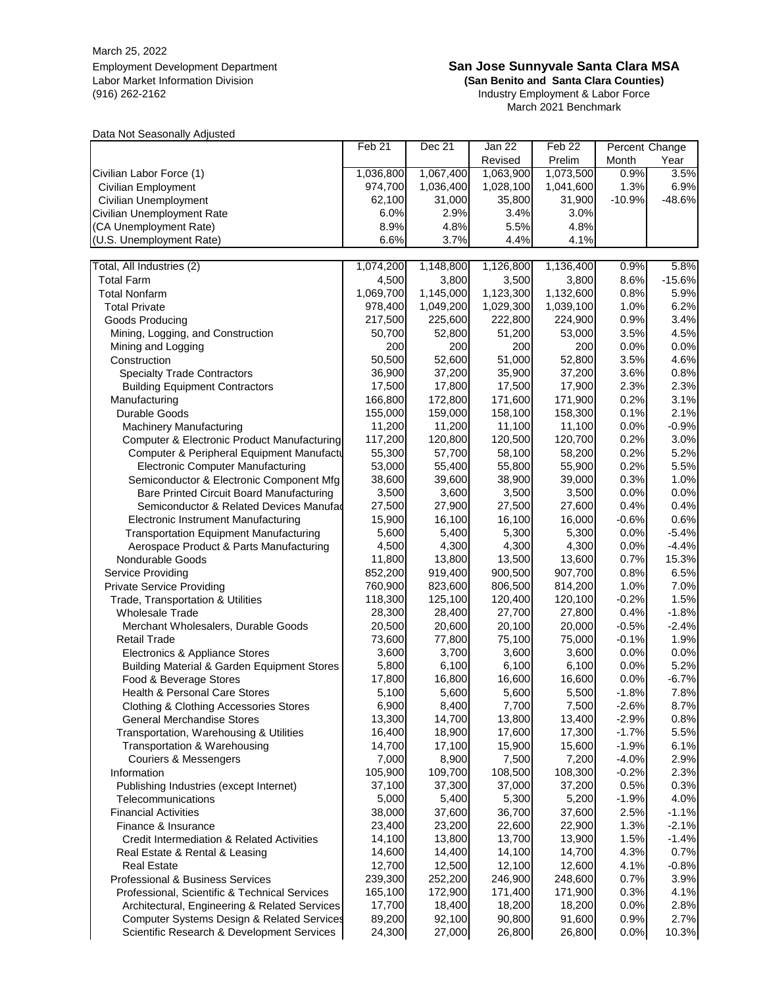March 25, 2022

#### Employment Development Department **San Jose Sunnyvale Santa Clara MSA**

Labor Market Information Division **(San Benito and Santa Clara Counties)** (916) 262-2162 Industry Employment & Labor Force March 2021 Benchmark

Data Not Seasonally Adjusted

|                                                                                             | Feb <sub>21</sub>  | Dec 21             | Jan 22             | Feb <sub>22</sub>  | Percent Change  |              |
|---------------------------------------------------------------------------------------------|--------------------|--------------------|--------------------|--------------------|-----------------|--------------|
|                                                                                             |                    |                    | Revised            | Prelim             | Month           | Year         |
| Civilian Labor Force (1)                                                                    | 1,036,800          | 1,067,400          | 1,063,900          | 1,073,500          | 0.9%            | 3.5%         |
| Civilian Employment                                                                         | 974,700            | 1,036,400          | 1,028,100          | 1,041,600          | 1.3%            | 6.9%         |
| Civilian Unemployment                                                                       | 62,100             | 31,000             | 35,800             | 31,900             | $-10.9%$        | $-48.6%$     |
| Civilian Unemployment Rate                                                                  | 6.0%               | 2.9%               | 3.4%               | 3.0%               |                 |              |
| (CA Unemployment Rate)                                                                      | 8.9%               | 4.8%               | 5.5%               | 4.8%               |                 |              |
| (U.S. Unemployment Rate)                                                                    | 6.6%               | 3.7%               | 4.4%               | 4.1%               |                 |              |
| Total, All Industries (2)                                                                   | 1,074,200          | 1,148,800          | 1,126,800          | 1,136,400          | 0.9%            | 5.8%         |
| <b>Total Farm</b>                                                                           | 4,500              | 3,800              | 3,500              | 3,800              | 8.6%            | $-15.6%$     |
| <b>Total Nonfarm</b>                                                                        | 1,069,700          | 1,145,000          | 1,123,300          | 1,132,600          | 0.8%            | 5.9%         |
| <b>Total Private</b>                                                                        | 978,400            | 1,049,200          | 1,029,300          | 1,039,100          | 1.0%            | 6.2%         |
| Goods Producing                                                                             | 217,500            | 225,600            | 222,800            | 224,900            | 0.9%            | 3.4%         |
| Mining, Logging, and Construction                                                           | 50,700             | 52,800             | 51,200             | 53,000             | 3.5%            | 4.5%         |
| Mining and Logging                                                                          | 200                | 200                | 200                | 200                | 0.0%            | 0.0%         |
| Construction                                                                                | 50,500             | 52,600             | 51,000             | 52,800             | 3.5%            | 4.6%         |
| <b>Specialty Trade Contractors</b>                                                          | 36,900             | 37,200             | 35,900             | 37,200             | 3.6%            | 0.8%         |
| <b>Building Equipment Contractors</b>                                                       | 17,500             | 17,800             | 17,500             | 17,900             | 2.3%            | 2.3%         |
| Manufacturing                                                                               | 166,800            | 172,800            | 171,600            | 171,900            | 0.2%            | 3.1%         |
| Durable Goods                                                                               | 155,000            | 159,000            | 158,100            | 158,300            | 0.1%            | 2.1%         |
| <b>Machinery Manufacturing</b>                                                              | 11,200             | 11,200             | 11,100             | 11,100             | 0.0%            | $-0.9%$      |
| <b>Computer &amp; Electronic Product Manufacturing</b>                                      | 117,200            | 120,800            | 120,500            | 120,700            | 0.2%            | 3.0%         |
| Computer & Peripheral Equipment Manufactu                                                   | 55,300             | 57,700             | 58,100             | 58,200             | 0.2%            | 5.2%         |
| <b>Electronic Computer Manufacturing</b>                                                    | 53,000             | 55,400             | 55,800             | 55,900             | 0.2%            | 5.5%         |
| Semiconductor & Electronic Component Mfg                                                    | 38,600             | 39,600             | 38,900             | 39,000             | 0.3%            | 1.0%         |
| Bare Printed Circuit Board Manufacturing                                                    | 3,500              | 3,600              | 3,500              | 3,500              | 0.0%            | 0.0%         |
| Semiconductor & Related Devices Manufad                                                     | 27,500             | 27,900             | 27,500             | 27,600             | 0.4%            | 0.4%         |
| <b>Electronic Instrument Manufacturing</b>                                                  | 15,900             | 16,100             | 16,100             | 16,000             | $-0.6%$         | 0.6%         |
| <b>Transportation Equipment Manufacturing</b>                                               | 5,600              | 5,400              | 5,300              | 5,300              | 0.0%            | $-5.4%$      |
| Aerospace Product & Parts Manufacturing                                                     | 4,500              | 4,300              | 4,300              | 4,300              | 0.0%            | $-4.4%$      |
| Nondurable Goods                                                                            | 11,800             | 13,800             | 13,500             | 13,600             | 0.7%            | 15.3%        |
| Service Providing                                                                           | 852,200<br>760,900 | 919,400            | 900,500            | 907,700            | 0.8%            | 6.5%         |
| <b>Private Service Providing</b><br>Trade, Transportation & Utilities                       | 118,300            | 823,600<br>125,100 | 806,500<br>120,400 | 814,200<br>120,100 | 1.0%<br>$-0.2%$ | 7.0%<br>1.5% |
| <b>Wholesale Trade</b>                                                                      | 28,300             | 28,400             | 27,700             | 27,800             | 0.4%            | $-1.8%$      |
| Merchant Wholesalers, Durable Goods                                                         | 20,500             | 20,600             | 20,100             | 20,000             | $-0.5%$         | $-2.4%$      |
| <b>Retail Trade</b>                                                                         | 73,600             | 77,800             | 75,100             | 75,000             | $-0.1%$         | 1.9%         |
| Electronics & Appliance Stores                                                              | 3,600              | 3,700              | 3,600              | 3,600              | 0.0%            | 0.0%         |
| <b>Building Material &amp; Garden Equipment Stores</b>                                      | 5,800              | 6,100              | 6,100              | 6,100              | 0.0%            | 5.2%         |
| Food & Beverage Stores                                                                      | 17,800             | 16,800             | 16,600             | 16,600             | 0.0%            | $-6.7%$      |
| <b>Health &amp; Personal Care Stores</b>                                                    | 5,100              | 5,600              | 5,600              | 5,500              | $-1.8%$         | 7.8%         |
| <b>Clothing &amp; Clothing Accessories Stores</b>                                           | 6,900              | 8,400              | 7,700              | 7,500              | $-2.6%$         | 8.7%         |
| <b>General Merchandise Stores</b>                                                           | 13,300             | 14,700             | 13,800             | 13,400             | $-2.9%$         | 0.8%         |
| Transportation, Warehousing & Utilities                                                     | 16,400             | 18,900             | 17,600             | 17,300             | $-1.7%$         | 5.5%         |
| Transportation & Warehousing                                                                | 14,700             | 17,100             | 15,900             | 15,600             | $-1.9%$         | 6.1%         |
| <b>Couriers &amp; Messengers</b>                                                            | 7,000              | 8,900              | 7,500              | 7,200              | $-4.0%$         | 2.9%         |
| Information                                                                                 | 105,900            | 109,700            | 108,500            | 108,300            | $-0.2%$         | 2.3%         |
| Publishing Industries (except Internet)                                                     | 37,100             | 37,300             | 37,000             | 37,200             | 0.5%            | 0.3%         |
| Telecommunications                                                                          | 5,000              | 5,400              | 5,300              | 5,200              | $-1.9%$         | 4.0%         |
| <b>Financial Activities</b>                                                                 | 38,000             | 37,600             | 36,700             | 37,600             | 2.5%            | $-1.1%$      |
| Finance & Insurance                                                                         | 23,400             | 23,200             | 22,600             | 22,900             | 1.3%            | $-2.1%$      |
| Credit Intermediation & Related Activities                                                  | 14,100             | 13,800             | 13,700             | 13,900             | 1.5%            | $-1.4%$      |
| Real Estate & Rental & Leasing                                                              | 14,600             | 14,400             | 14,100             | 14,700             | 4.3%            | 0.7%         |
| <b>Real Estate</b>                                                                          | 12,700             | 12,500             | 12,100             | 12,600             | 4.1%            | $-0.8%$      |
| <b>Professional &amp; Business Services</b>                                                 | 239,300            | 252,200            | 246,900            | 248,600            | 0.7%            | 3.9%         |
| Professional, Scientific & Technical Services                                               | 165,100<br>17,700  | 172,900<br>18,400  | 171,400            | 171,900            | 0.3%<br>0.0%    | 4.1%<br>2.8% |
| Architectural, Engineering & Related Services<br>Computer Systems Design & Related Services | 89,200             | 92,100             | 18,200<br>90,800   | 18,200<br>91,600   | 0.9%            | 2.7%         |
| Scientific Research & Development Services                                                  | 24,300             | 27,000             | 26,800             | 26,800             | 0.0%            | 10.3%        |
|                                                                                             |                    |                    |                    |                    |                 |              |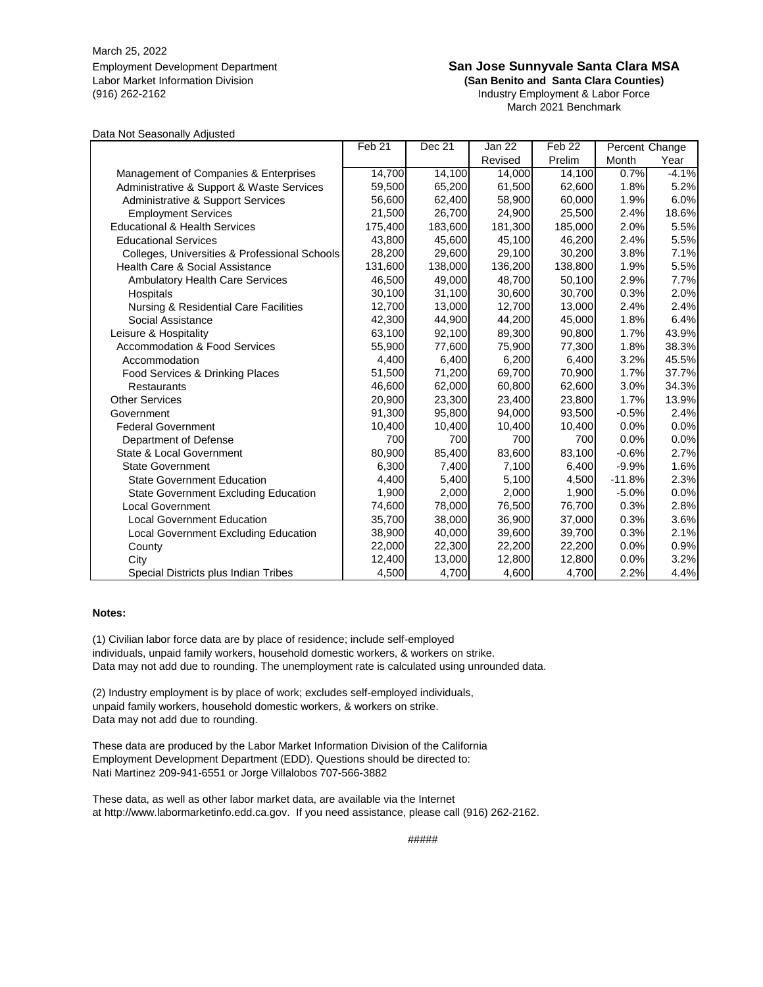March 25, 2022 Employment Development Department<br>Labor Market Information Division **San Sentity Connect San Benito and Santa Clara Counties** Labor Market Information Division **(San Benito and Santa Clara Counties)**

Industry Employment & Labor Force March 2021 Benchmark

#### Data Not Seasonally Adjusted

|                                               | Feb <sub>21</sub> | Dec 21  | Jan 22  | Feb <sub>22</sub> | Percent Change |         |
|-----------------------------------------------|-------------------|---------|---------|-------------------|----------------|---------|
|                                               |                   |         | Revised | Prelim            | Month          | Year    |
| Management of Companies & Enterprises         | 14,700            | 14,100  | 14,000  | 14,100            | 0.7%           | $-4.1%$ |
| Administrative & Support & Waste Services     | 59,500            | 65,200  | 61,500  | 62,600            | 1.8%           | 5.2%    |
| Administrative & Support Services             | 56,600            | 62,400  | 58,900  | 60,000            | 1.9%           | 6.0%    |
| <b>Employment Services</b>                    | 21,500            | 26,700  | 24,900  | 25,500            | 2.4%           | 18.6%   |
| <b>Educational &amp; Health Services</b>      | 175,400           | 183,600 | 181,300 | 185,000           | 2.0%           | 5.5%    |
| <b>Educational Services</b>                   | 43,800            | 45.600  | 45,100  | 46,200            | 2.4%           | 5.5%    |
| Colleges, Universities & Professional Schools | 28,200            | 29,600  | 29,100  | 30,200            | 3.8%           | 7.1%    |
| Health Care & Social Assistance               | 131,600           | 138,000 | 136,200 | 138,800           | 1.9%           | 5.5%    |
| <b>Ambulatory Health Care Services</b>        | 46,500            | 49,000  | 48,700  | 50,100            | 2.9%           | 7.7%    |
| Hospitals                                     | 30,100            | 31,100  | 30,600  | 30,700            | 0.3%           | 2.0%    |
| Nursing & Residential Care Facilities         | 12,700            | 13,000  | 12,700  | 13,000            | 2.4%           | 2.4%    |
| Social Assistance                             | 42,300            | 44,900  | 44,200  | 45,000            | 1.8%           | 6.4%    |
| Leisure & Hospitality                         | 63,100            | 92,100  | 89,300  | 90,800            | 1.7%           | 43.9%   |
| <b>Accommodation &amp; Food Services</b>      | 55,900            | 77,600  | 75,900  | 77,300            | 1.8%           | 38.3%   |
| Accommodation                                 | 4,400             | 6,400   | 6,200   | 6,400             | 3.2%           | 45.5%   |
| Food Services & Drinking Places               | 51,500            | 71,200  | 69,700  | 70,900            | 1.7%           | 37.7%   |
| <b>Restaurants</b>                            | 46,600            | 62,000  | 60,800  | 62,600            | 3.0%           | 34.3%   |
| <b>Other Services</b>                         | 20,900            | 23,300  | 23,400  | 23,800            | 1.7%           | 13.9%   |
| Government                                    | 91,300            | 95,800  | 94,000  | 93,500            | $-0.5%$        | 2.4%    |
| <b>Federal Government</b>                     | 10,400            | 10,400  | 10,400  | 10,400            | 0.0%           | 0.0%    |
| Department of Defense                         | 700               | 700     | 700     | 700               | 0.0%           | 0.0%    |
| State & Local Government                      | 80,900            | 85,400  | 83,600  | 83,100            | $-0.6%$        | 2.7%    |
| <b>State Government</b>                       | 6,300             | 7,400   | 7,100   | 6,400             | $-9.9%$        | 1.6%    |
| <b>State Government Education</b>             | 4,400             | 5,400   | 5,100   | 4,500             | $-11.8%$       | 2.3%    |
| <b>State Government Excluding Education</b>   | 1,900             | 2,000   | 2,000   | 1,900             | $-5.0%$        | 0.0%    |
| <b>Local Government</b>                       | 74,600            | 78,000  | 76,500  | 76,700            | 0.3%           | 2.8%    |
| <b>Local Government Education</b>             | 35,700            | 38,000  | 36,900  | 37,000            | 0.3%           | 3.6%    |
| Local Government Excluding Education          | 38,900            | 40,000  | 39,600  | 39,700            | 0.3%           | 2.1%    |
| County                                        | 22,000            | 22,300  | 22,200  | 22,200            | 0.0%           | 0.9%    |
| City                                          | 12,400            | 13,000  | 12,800  | 12,800            | 0.0%           | 3.2%    |
| Special Districts plus Indian Tribes          | 4,500             | 4,700   | 4,600   | 4,700             | 2.2%           | 4.4%    |

#### **Notes:**

(1) Civilian labor force data are by place of residence; include self-employed individuals, unpaid family workers, household domestic workers, & workers on strike. Data may not add due to rounding. The unemployment rate is calculated using unrounded data.

(2) Industry employment is by place of work; excludes self-employed individuals, unpaid family workers, household domestic workers, & workers on strike. Data may not add due to rounding.

Nati Martinez 209-941-6551 or Jorge Villalobos 707-566-3882 These data are produced by the Labor Market Information Division of the California Employment Development Department (EDD). Questions should be directed to:

These data, as well as other labor market data, are available via the Internet at http://www.labormarketinfo.edd.ca.gov. If you need assistance, please call (916) 262-2162.

#####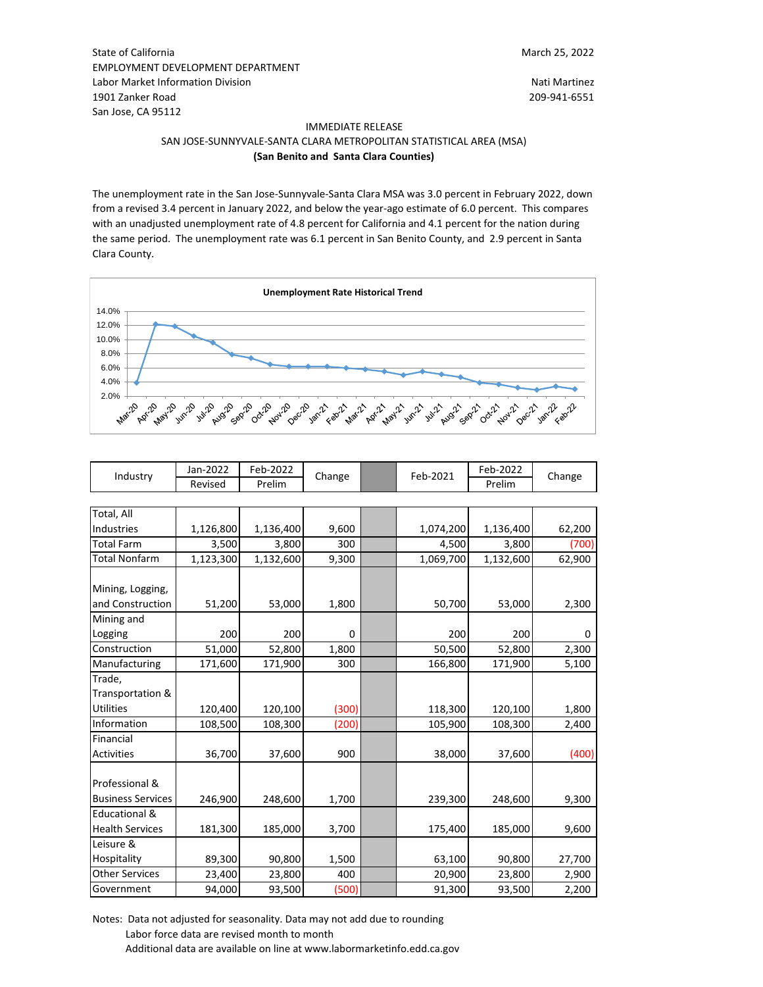March 25, 2022

State of California EMPLOYMENT DEVELOPMENT DEPARTMENT Labor Market Information Division<br>1901 Zanker Road Nati Martinez<br>1901 Zanker Road Nati Martinez 1901 Zanker Road San Jose, CA 95112

#### IMMEDIATE RELEASE SAN JOSE-SUNNYVALE-SANTA CLARA METROPOLITAN STATISTICAL AREA (MSA) **(San Benito and Santa Clara Counties)**

The unemployment rate in the San Jose-Sunnyvale-Santa Clara MSA was 3.0 percent in February 2022, down from a revised 3.4 percent in January 2022, and below the year-ago estimate of 6.0 percent. This compares with an unadjusted unemployment rate of 4.8 percent for California and 4.1 percent for the nation during the same period. The unemployment rate was 6.1 percent in San Benito County, and 2.9 percent in Santa Clara County.



| Industry | Jan-2022 | Feb-2022 | $\sim$ | Feb-2021 | Feb-2022 | Change |
|----------|----------|----------|--------|----------|----------|--------|
|          | Revised  | Prelim   | Change |          | Prelim   |        |

| 1,126,800 |           | 9,600 |                                          | 1,074,200 | 1,136,400 | 62,200    |
|-----------|-----------|-------|------------------------------------------|-----------|-----------|-----------|
| 3,500     | 3,800     | 300   |                                          | 4,500     | 3,800     | (700)     |
| 1,123,300 | 1,132,600 | 9,300 |                                          |           | 1,132,600 | 62,900    |
|           |           |       |                                          |           |           |           |
|           |           |       |                                          |           |           |           |
| 51,200    |           | 1,800 |                                          | 50,700    | 53,000    | 2,300     |
|           |           |       |                                          |           |           |           |
| 200       | 200       | 0     |                                          | 200       | 200       | 0         |
| 51,000    | 52,800    | 1,800 |                                          | 50,500    | 52,800    | 2,300     |
| 171,600   | 171,900   | 300   |                                          | 166,800   | 171,900   | 5,100     |
|           |           |       |                                          |           |           |           |
|           |           |       |                                          |           |           |           |
| 120,400   |           | (300) |                                          | 118,300   | 120,100   | 1,800     |
| 108,500   | 108,300   |       |                                          | 105,900   | 108,300   | 2,400     |
|           |           |       |                                          |           |           |           |
| 36,700    | 37,600    | 900   |                                          | 38,000    | 37,600    | (400)     |
|           |           |       |                                          |           |           |           |
|           |           |       |                                          |           |           |           |
| 246,900   | 248,600   | 1,700 |                                          | 239,300   | 248,600   | 9,300     |
|           |           |       |                                          |           |           |           |
| 181,300   | 185,000   | 3,700 |                                          | 175,400   | 185,000   | 9,600     |
|           |           |       |                                          |           |           |           |
| 89,300    |           | 1,500 |                                          | 63,100    | 90,800    | 27,700    |
| 23,400    | 23,800    | 400   |                                          | 20,900    | 23,800    | 2,900     |
| 94,000    | 93,500    | (500) |                                          | 91,300    | 93,500    | 2,200     |
|           |           |       | 1,136,400<br>53,000<br>120,100<br>90,800 | (200)     |           | 1,069,700 |

Notes: Data not adjusted for seasonality. Data may not add due to rounding Labor force data are revised month to month Additional data are available on line at www.labormarketinfo.edd.ca.gov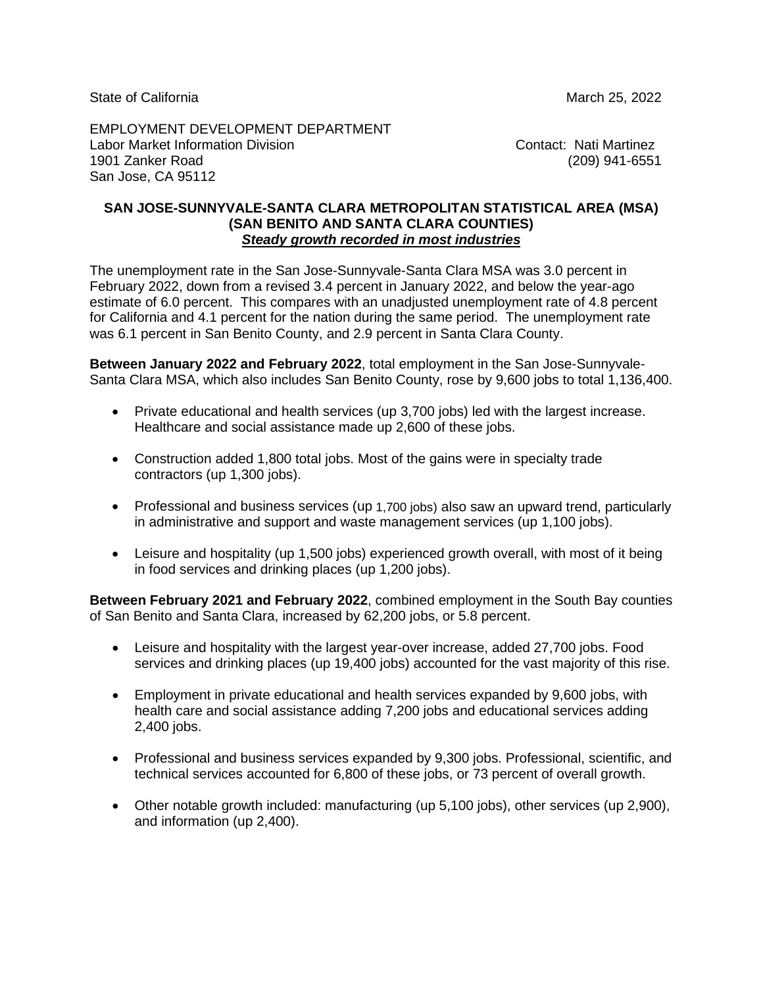State of California **March 25, 2022** 

EMPLOYMENT DEVELOPMENT DEPARTMENT Labor Market Information Division Contact: Nati Martinez 1901 Zanker Road (209) 941-6551 San Jose, CA 95112

#### **SAN JOSE-SUNNYVALE-SANTA CLARA METROPOLITAN STATISTICAL AREA (MSA) (SAN BENITO AND SANTA CLARA COUNTIES)** *Steady growth recorded in most industries*

The unemployment rate in the San Jose-Sunnyvale-Santa Clara MSA was 3.0 percent in February 2022, down from a revised 3.4 percent in January 2022, and below the year-ago estimate of 6.0 percent. This compares with an unadjusted unemployment rate of 4.8 percent for California and 4.1 percent for the nation during the same period. The unemployment rate was 6.1 percent in San Benito County, and 2.9 percent in Santa Clara County.

**Between January 2022 and February 2022**, total employment in the San Jose-Sunnyvale-Santa Clara MSA, which also includes San Benito County, rose by 9,600 jobs to total 1,136,400.

- Private educational and health services (up 3,700 jobs) led with the largest increase. Healthcare and social assistance made up 2,600 of these jobs.
- Construction added 1,800 total jobs. Most of the gains were in specialty trade contractors (up 1,300 jobs).
- Professional and business services (up 1,700 jobs) also saw an upward trend, particularly in administrative and support and waste management services (up 1,100 jobs).
- Leisure and hospitality (up 1,500 jobs) experienced growth overall, with most of it being in food services and drinking places (up 1,200 jobs).

**Between February 2021 and February 2022**, combined employment in the South Bay counties of San Benito and Santa Clara, increased by 62,200 jobs, or 5.8 percent.

- Leisure and hospitality with the largest year-over increase, added 27,700 jobs. Food services and drinking places (up 19,400 jobs) accounted for the vast majority of this rise.
- Employment in private educational and health services expanded by 9,600 jobs, with health care and social assistance adding 7,200 jobs and educational services adding 2,400 jobs.
- Professional and business services expanded by 9,300 jobs. Professional, scientific, and technical services accounted for 6,800 of these jobs, or 73 percent of overall growth.
- Other notable growth included: manufacturing (up 5,100 jobs), other services (up 2,900), and information (up 2,400).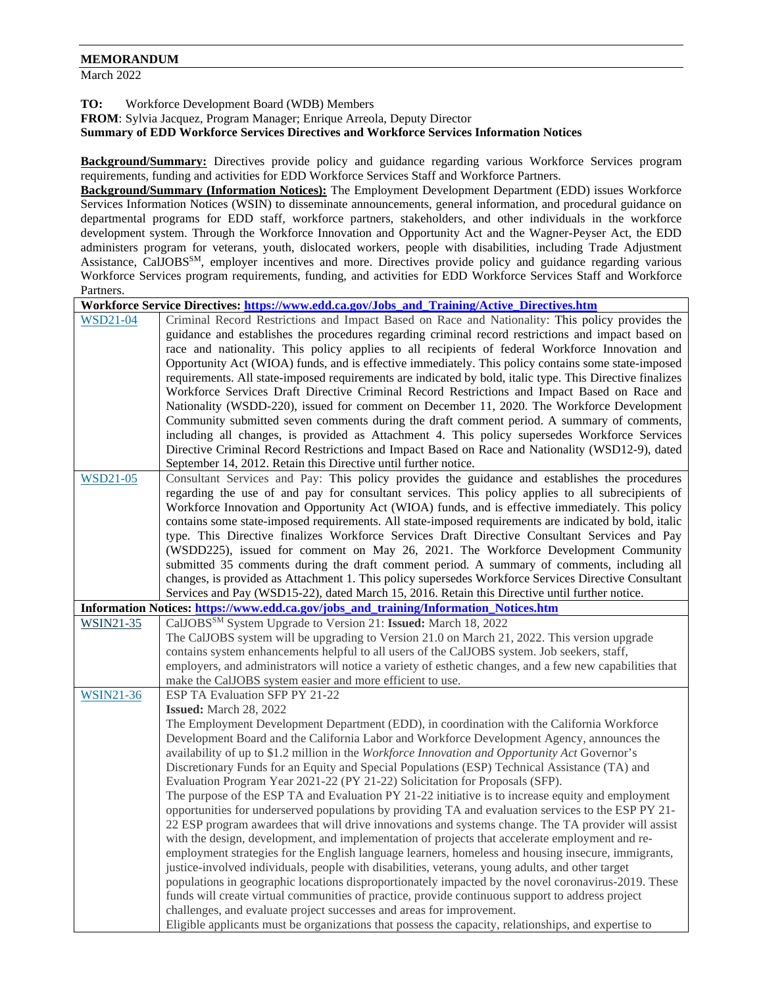#### **MEMORANDUM**

March 2022

**TO:** Workforce Development Board (WDB) Members

**FROM**: Sylvia Jacquez, Program Manager; Enrique Arreola, Deputy Director

#### **Summary of EDD Workforce Services Directives and Workforce Services Information Notices**

**Background/Summary:** Directives provide policy and guidance regarding various Workforce Services program requirements, funding and activities for EDD Workforce Services Staff and Workforce Partners.

**Background/Summary (Information Notices):** The Employment Development Department (EDD) issues Workforce Services Information Notices (WSIN) to disseminate announcements, general information, and procedural guidance on departmental programs for EDD staff, workforce partners, stakeholders, and other individuals in the workforce development system. Through the Workforce Innovation and Opportunity Act and the Wagner-Peyser Act, the EDD administers program for veterans, youth, dislocated workers, people with disabilities, including Trade Adjustment Assistance, CalJOBS<sup>SM</sup>, employer incentives and more. Directives provide policy and guidance regarding various Workforce Services program requirements, funding, and activities for EDD Workforce Services Staff and Workforce Partners.

**Workforce Service Directives: [https://www.edd.ca.gov/Jobs\\_and\\_Training/Active\\_Directives.htm](https://www.edd.ca.gov/Jobs_and_Training/Active_Directives.htm)** [WSD21-04](https://edd.ca.gov/Jobs_and_Training/pubs/wsd21-04.pdf) Criminal Record Restrictions and Impact Based on Race and Nationality: This policy provides the guidance and establishes the procedures regarding criminal record restrictions and impact based on race and nationality. This policy applies to all recipients of federal Workforce Innovation and Opportunity Act (WIOA) funds, and is effective immediately. This policy contains some state-imposed requirements. All state-imposed requirements are indicated by bold, italic type. This Directive finalizes Workforce Services Draft Directive Criminal Record Restrictions and Impact Based on Race and Nationality (WSDD-220), issued for comment on December 11, 2020. The Workforce Development Community submitted seven comments during the draft comment period. A summary of comments, including all changes, is provided as Attachment 4. This policy supersedes Workforce Services Directive Criminal Record Restrictions and Impact Based on Race and Nationality (WSD12-9), dated September 14, 2012. Retain this Directive until further notice. [WSD21-05](https://edd.ca.gov/Jobs_and_Training/pubs/wsd21-05.pdf) Consultant Services and Pay: This policy provides the guidance and establishes the procedures regarding the use of and pay for consultant services. This policy applies to all subrecipients of Workforce Innovation and Opportunity Act (WIOA) funds, and is effective immediately. This policy contains some state-imposed requirements. All state-imposed requirements are indicated by bold, italic type. This Directive finalizes Workforce Services Draft Directive Consultant Services and Pay (WSDD225), issued for comment on May 26, 2021. The Workforce Development Community submitted 35 comments during the draft comment period. A summary of comments, including all changes, is provided as Attachment 1. This policy supersedes Workforce Services Directive Consultant Services and Pay (WSD15-22), dated March 15, 2016. Retain this Directive until further notice. **Information Notices: [https://www.edd.ca.gov/jobs\\_and\\_training/Information\\_Notices.htm](https://www.edd.ca.gov/jobs_and_training/Information_Notices.htm)** [WSIN21-35](https://edd.ca.gov/en/jobs_and_training/Information_Notices/wsin21-35/) CalJOBSSM System Upgrade to Version 21: **Issued:** March 18, 2022 The CalJOBS system will be upgrading to Version 21.0 on March 21, 2022. This version upgrade contains system enhancements helpful to all users of the CalJOBS system. Job seekers, staff, employers, and administrators will notice a variety of esthetic changes, and a few new capabilities that make the CalJOBS system easier and more efficient to use. [WSIN21-36](https://edd.ca.gov/en/jobs_and_training/Information_Notices/wsin21-36/) ESP TA Evaluation SFP PY 21-22 **Issued:** March 28, 2022 The Employment Development Department (EDD), in coordination with the California Workforce Development Board and the California Labor and Workforce Development Agency, announces the availability of up to \$1.2 million in the *Workforce Innovation and Opportunity Act* Governor's Discretionary Funds for an Equity and Special Populations (ESP) Technical Assistance (TA) and Evaluation Program Year 2021-22 (PY 21-22) Solicitation for Proposals (SFP). The purpose of the ESP TA and Evaluation PY 21-22 initiative is to increase equity and employment opportunities for underserved populations by providing TA and evaluation services to the ESP PY 21- 22 ESP program awardees that will drive innovations and systems change. The TA provider will assist with the design, development, and implementation of projects that accelerate employment and reemployment strategies for the English language learners, homeless and housing insecure, immigrants, justice-involved individuals, people with disabilities, veterans, young adults, and other target populations in geographic locations disproportionately impacted by the novel coronavirus-2019. These funds will create virtual communities of practice, provide continuous support to address project challenges, and evaluate project successes and areas for improvement. Eligible applicants must be organizations that possess the capacity, relationships, and expertise to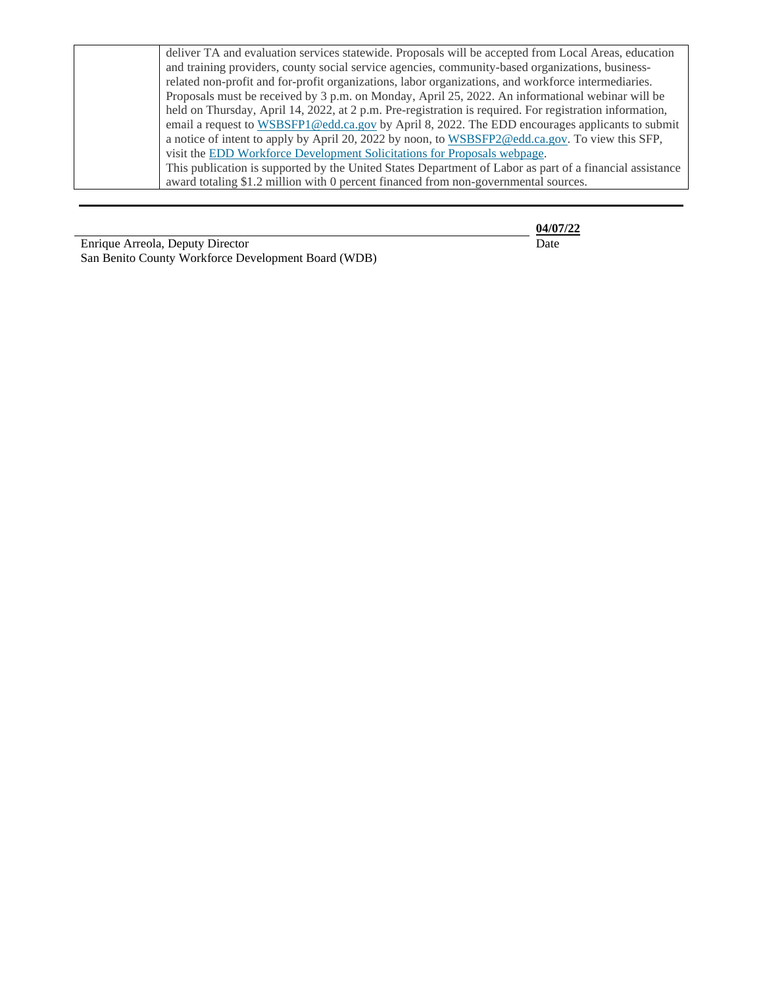| deliver TA and evaluation services statewide. Proposals will be accepted from Local Areas, education     |
|----------------------------------------------------------------------------------------------------------|
| and training providers, county social service agencies, community-based organizations, business-         |
| related non-profit and for-profit organizations, labor organizations, and workforce intermediaries.      |
| Proposals must be received by 3 p.m. on Monday, April 25, 2022. An informational webinar will be         |
| held on Thursday, April 14, 2022, at 2 p.m. Pre-registration is required. For registration information,  |
| email a request to WSBSFP1@edd.ca.gov by April 8, 2022. The EDD encourages applicants to submit          |
| a notice of intent to apply by April 20, 2022 by noon, to WSBSFP2@edd.ca.gov. To view this SFP,          |
| visit the EDD Workforce Development Solicitations for Proposals webpage.                                 |
| This publication is supported by the United States Department of Labor as part of a financial assistance |
| award totaling \$1.2 million with 0 percent financed from non-governmental sources.                      |

Enrique Arreola, Deputy Director Date San Benito County Workforce Development Board (WDB)

**04/07/22**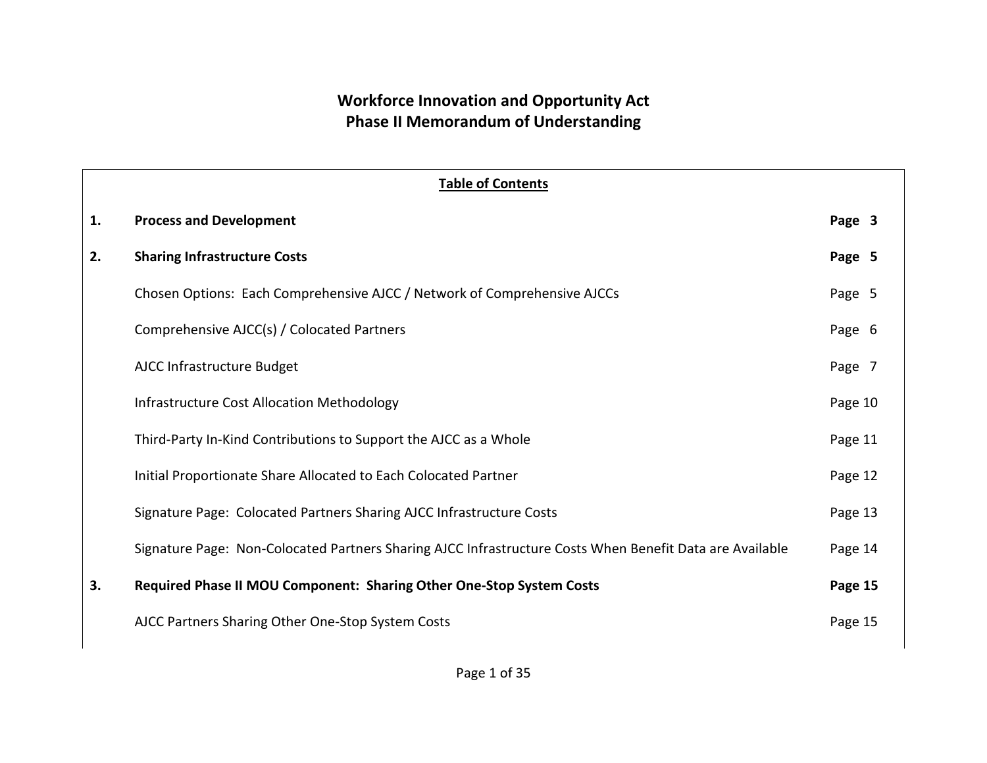### **Workforce Innovation and Opportunity Act Phase II Memorandum of Understanding**

|    | <b>Table of Contents</b>                                                                                 |         |  |  |  |  |  |  |
|----|----------------------------------------------------------------------------------------------------------|---------|--|--|--|--|--|--|
| 1. | <b>Process and Development</b>                                                                           | Page 3  |  |  |  |  |  |  |
| 2. | <b>Sharing Infrastructure Costs</b>                                                                      | Page 5  |  |  |  |  |  |  |
|    | Chosen Options: Each Comprehensive AJCC / Network of Comprehensive AJCCs                                 | Page 5  |  |  |  |  |  |  |
|    | Comprehensive AJCC(s) / Colocated Partners                                                               | Page 6  |  |  |  |  |  |  |
|    | AJCC Infrastructure Budget                                                                               | Page 7  |  |  |  |  |  |  |
|    | <b>Infrastructure Cost Allocation Methodology</b>                                                        | Page 10 |  |  |  |  |  |  |
|    | Third-Party In-Kind Contributions to Support the AJCC as a Whole                                         | Page 11 |  |  |  |  |  |  |
|    | Initial Proportionate Share Allocated to Each Colocated Partner                                          | Page 12 |  |  |  |  |  |  |
|    | Signature Page: Colocated Partners Sharing AJCC Infrastructure Costs                                     | Page 13 |  |  |  |  |  |  |
|    | Signature Page: Non-Colocated Partners Sharing AJCC Infrastructure Costs When Benefit Data are Available | Page 14 |  |  |  |  |  |  |
| 3. | Required Phase II MOU Component: Sharing Other One-Stop System Costs                                     | Page 15 |  |  |  |  |  |  |
|    | AJCC Partners Sharing Other One-Stop System Costs                                                        | Page 15 |  |  |  |  |  |  |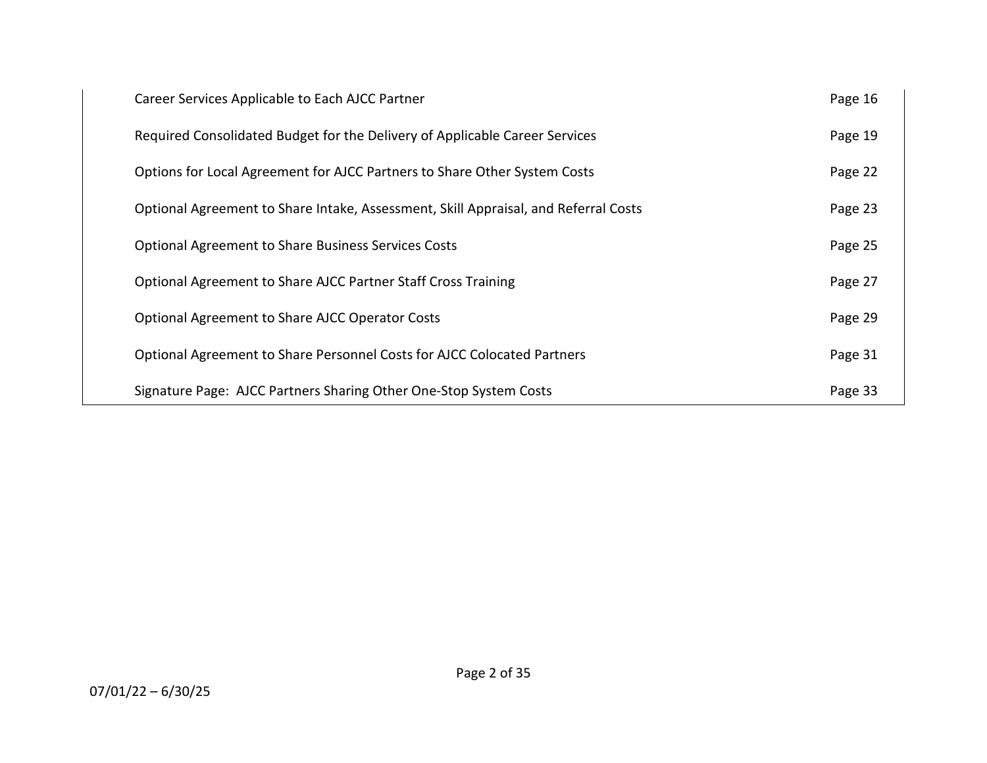| Career Services Applicable to Each AJCC Partner                                     | Page 16 |
|-------------------------------------------------------------------------------------|---------|
| Required Consolidated Budget for the Delivery of Applicable Career Services         | Page 19 |
| Options for Local Agreement for AJCC Partners to Share Other System Costs           | Page 22 |
| Optional Agreement to Share Intake, Assessment, Skill Appraisal, and Referral Costs | Page 23 |
| <b>Optional Agreement to Share Business Services Costs</b>                          | Page 25 |
| Optional Agreement to Share AJCC Partner Staff Cross Training                       | Page 27 |
| <b>Optional Agreement to Share AJCC Operator Costs</b>                              | Page 29 |
| Optional Agreement to Share Personnel Costs for AJCC Colocated Partners             | Page 31 |
| Signature Page: AJCC Partners Sharing Other One-Stop System Costs                   | Page 33 |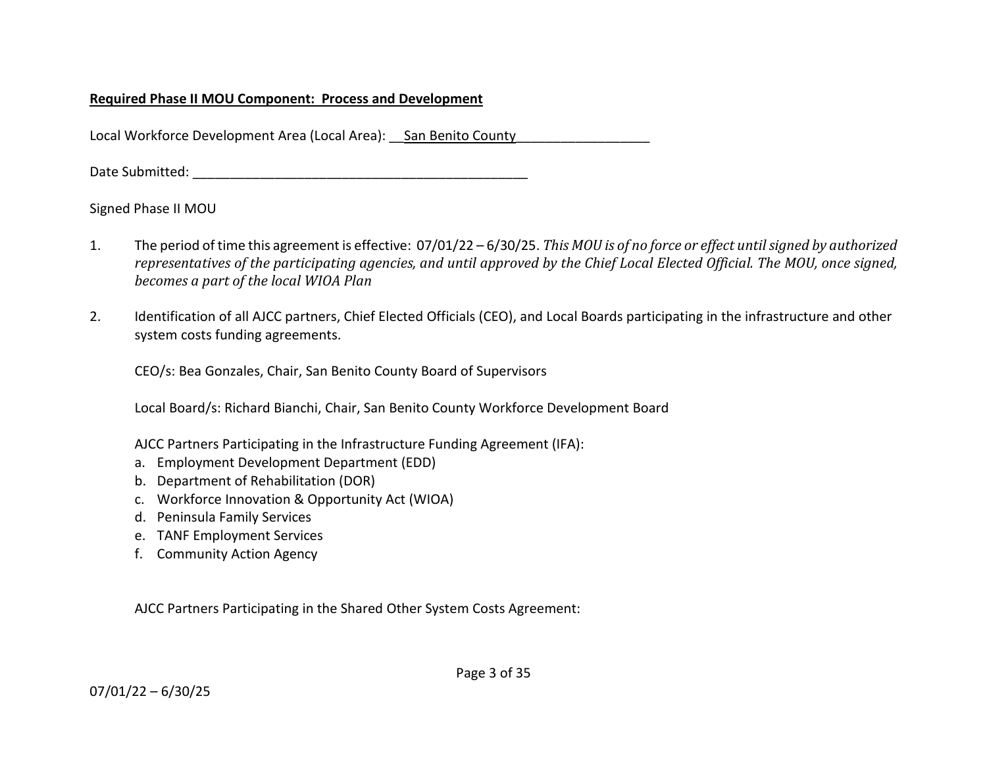### **Required Phase II MOU Component: Process and Development**

Local Workforce Development Area (Local Area): San Benito County

Date Submitted: **We are all that the submitted** in the set of  $\mathcal{L}$ 

Signed Phase II MOU

- 1. The period of time this agreement is effective: 07/01/22 6/30/25. *This MOU is of no force or effect until signed by authorized representatives of the participating agencies, and until approved by the Chief Local Elected Official. The MOU, once signed, becomes a part of the local WIOA Plan*
- 2. Identification of all AJCC partners, Chief Elected Officials (CEO), and Local Boards participating in the infrastructure and other system costs funding agreements.

CEO/s: Bea Gonzales, Chair, San Benito County Board of Supervisors

Local Board/s: Richard Bianchi, Chair, San Benito County Workforce Development Board

AJCC Partners Participating in the Infrastructure Funding Agreement (IFA):

- a. Employment Development Department (EDD)
- b. Department of Rehabilitation (DOR)
- c. Workforce Innovation & Opportunity Act (WIOA)
- d. Peninsula Family Services
- e. TANF Employment Services
- f. Community Action Agency

AJCC Partners Participating in the Shared Other System Costs Agreement: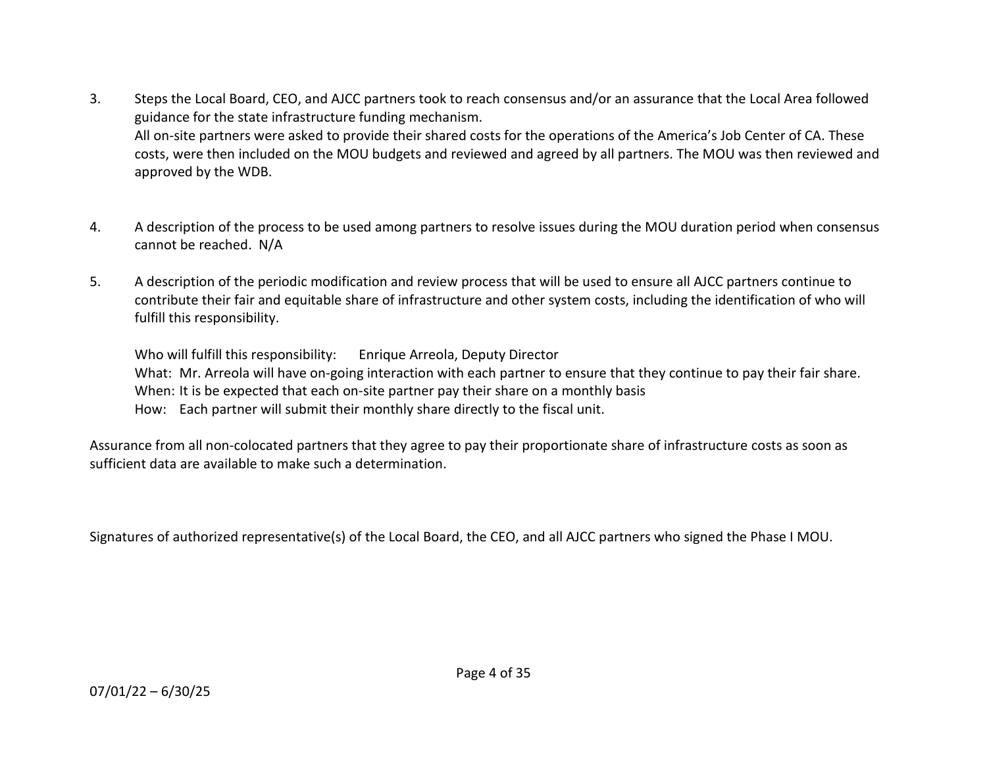- 3. Steps the Local Board, CEO, and AJCC partners took to reach consensus and/or an assurance that the Local Area followed guidance for the state infrastructure funding mechanism. All on-site partners were asked to provide their shared costs for the operations of the America's Job Center of CA. These costs, were then included on the MOU budgets and reviewed and agreed by all partners. The MOU was then reviewed and approved by the WDB.
- 4. A description of the process to be used among partners to resolve issues during the MOU duration period when consensus cannot be reached. N/A
- 5. A description of the periodic modification and review process that will be used to ensure all AJCC partners continue to contribute their fair and equitable share of infrastructure and other system costs, including the identification of who will fulfill this responsibility.

Who will fulfill this responsibility: Enrique Arreola, Deputy Director What: Mr. Arreola will have on-going interaction with each partner to ensure that they continue to pay their fair share. When: It is be expected that each on-site partner pay their share on a monthly basis How: Each partner will submit their monthly share directly to the fiscal unit.

Assurance from all non-colocated partners that they agree to pay their proportionate share of infrastructure costs as soon as sufficient data are available to make such a determination.

Signatures of authorized representative(s) of the Local Board, the CEO, and all AJCC partners who signed the Phase I MOU.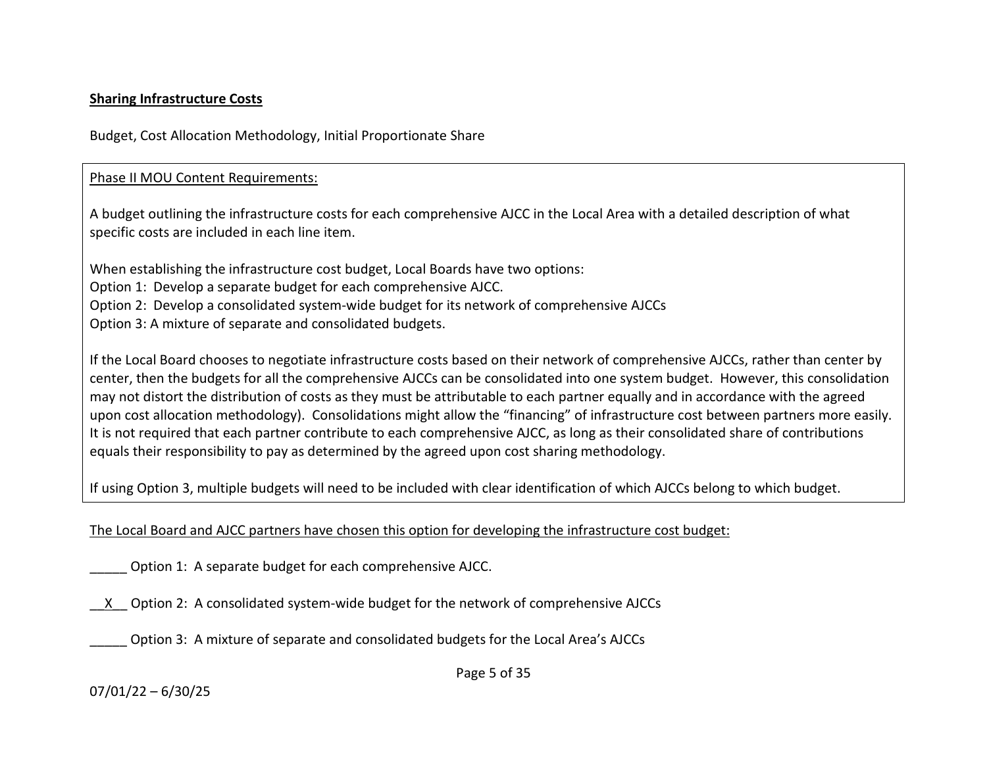### **Sharing Infrastructure Costs**

Budget, Cost Allocation Methodology, Initial Proportionate Share

### Phase II MOU Content Requirements:

A budget outlining the infrastructure costs for each comprehensive AJCC in the Local Area with a detailed description of what specific costs are included in each line item.

When establishing the infrastructure cost budget, Local Boards have two options: Option 1: Develop a separate budget for each comprehensive AJCC. Option 2: Develop a consolidated system-wide budget for its network of comprehensive AJCCs Option 3: A mixture of separate and consolidated budgets.

If the Local Board chooses to negotiate infrastructure costs based on their network of comprehensive AJCCs, rather than center by center, then the budgets for all the comprehensive AJCCs can be consolidated into one system budget. However, this consolidation may not distort the distribution of costs as they must be attributable to each partner equally and in accordance with the agreed upon cost allocation methodology). Consolidations might allow the "financing" of infrastructure cost between partners more easily. It is not required that each partner contribute to each comprehensive AJCC, as long as their consolidated share of contributions equals their responsibility to pay as determined by the agreed upon cost sharing methodology.

If using Option 3, multiple budgets will need to be included with clear identification of which AJCCs belong to which budget.

The Local Board and AJCC partners have chosen this option for developing the infrastructure cost budget:

Option 1: A separate budget for each comprehensive AJCC.

\_\_X\_\_ Option 2: A consolidated system-wide budget for the network of comprehensive AJCCs

Option 3: A mixture of separate and consolidated budgets for the Local Area's AJCCs

Page 5 of 35

07/01/22 – 6/30/25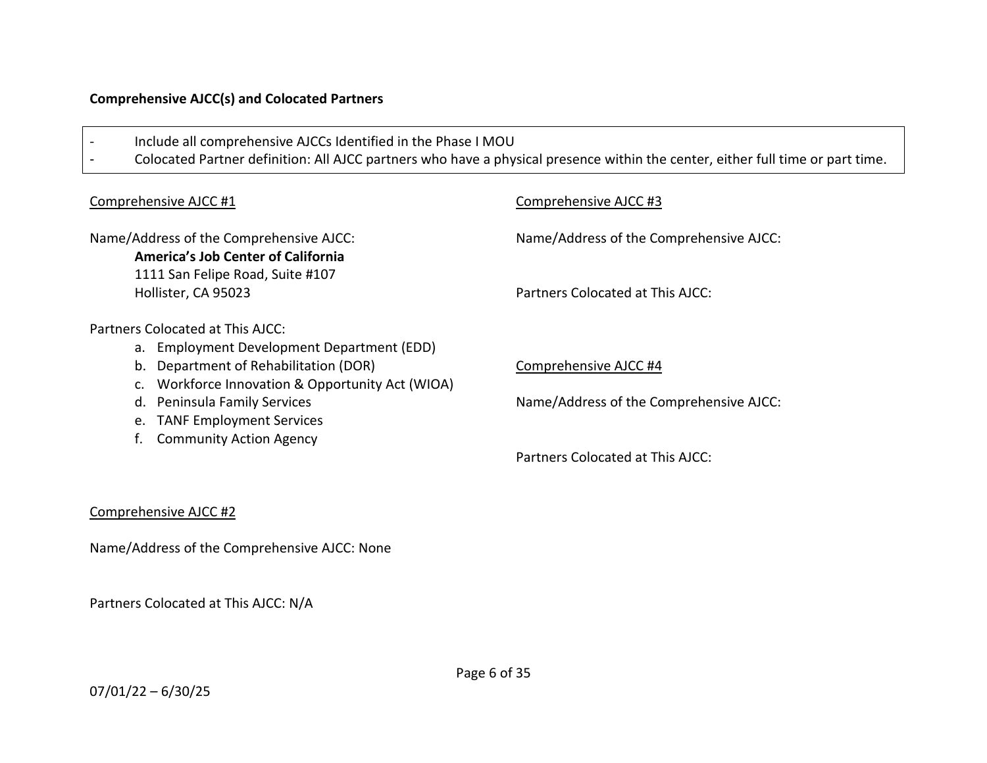### **Comprehensive AJCC(s) and Colocated Partners**

| Include all comprehensive AJCCs Identified in the Phase I MOU                                                                                 | Colocated Partner definition: All AJCC partners who have a physical presence within the center, either full time or part time. |
|-----------------------------------------------------------------------------------------------------------------------------------------------|--------------------------------------------------------------------------------------------------------------------------------|
|                                                                                                                                               |                                                                                                                                |
| Comprehensive AJCC #1                                                                                                                         | Comprehensive AJCC #3                                                                                                          |
| Name/Address of the Comprehensive AJCC:<br><b>America's Job Center of California</b><br>1111 San Felipe Road, Suite #107                      | Name/Address of the Comprehensive AJCC:                                                                                        |
| Hollister, CA 95023                                                                                                                           | Partners Colocated at This AJCC:                                                                                               |
| Partners Colocated at This AJCC:                                                                                                              |                                                                                                                                |
| a. Employment Development Department (EDD)<br>Department of Rehabilitation (DOR)<br>b.<br>Workforce Innovation & Opportunity Act (WIOA)<br>C. | Comprehensive AJCC #4                                                                                                          |
| Peninsula Family Services<br>d.<br><b>TANF Employment Services</b><br>e.                                                                      | Name/Address of the Comprehensive AJCC:                                                                                        |
| <b>Community Action Agency</b>                                                                                                                | Partners Colocated at This AJCC:                                                                                               |
|                                                                                                                                               |                                                                                                                                |

### Comprehensive AJCC #2

Name/Address of the Comprehensive AJCC: None

Partners Colocated at This AJCC: N/A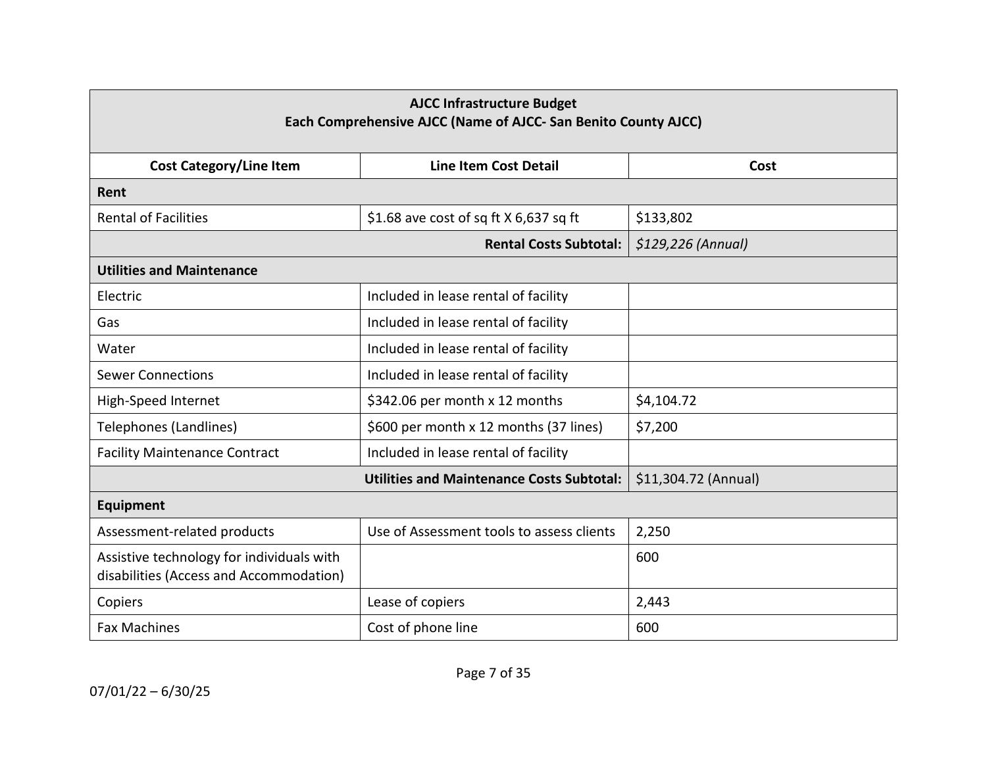| <b>AJCC Infrastructure Budget</b><br>Each Comprehensive AJCC (Name of AJCC- San Benito County AJCC) |                                                  |                      |  |
|-----------------------------------------------------------------------------------------------------|--------------------------------------------------|----------------------|--|
| <b>Cost Category/Line Item</b>                                                                      | Line Item Cost Detail                            | Cost                 |  |
| Rent                                                                                                |                                                  |                      |  |
| <b>Rental of Facilities</b>                                                                         | \$1.68 ave cost of sq ft $X$ 6,637 sq ft         | \$133,802            |  |
|                                                                                                     | <b>Rental Costs Subtotal:</b>                    | $$129,226$ (Annual)  |  |
| <b>Utilities and Maintenance</b>                                                                    |                                                  |                      |  |
| Electric                                                                                            | Included in lease rental of facility             |                      |  |
| Gas                                                                                                 | Included in lease rental of facility             |                      |  |
| Water                                                                                               | Included in lease rental of facility             |                      |  |
| <b>Sewer Connections</b>                                                                            | Included in lease rental of facility             |                      |  |
| High-Speed Internet                                                                                 | \$342.06 per month x 12 months                   | \$4,104.72           |  |
| <b>Telephones (Landlines)</b>                                                                       | \$600 per month x 12 months (37 lines)           | \$7,200              |  |
| <b>Facility Maintenance Contract</b>                                                                | Included in lease rental of facility             |                      |  |
|                                                                                                     | <b>Utilities and Maintenance Costs Subtotal:</b> | \$11,304.72 (Annual) |  |
| <b>Equipment</b>                                                                                    |                                                  |                      |  |
| Assessment-related products                                                                         | Use of Assessment tools to assess clients        | 2,250                |  |
| Assistive technology for individuals with<br>disabilities (Access and Accommodation)                |                                                  | 600                  |  |
| Copiers                                                                                             | Lease of copiers                                 | 2,443                |  |
| <b>Fax Machines</b>                                                                                 | Cost of phone line                               | 600                  |  |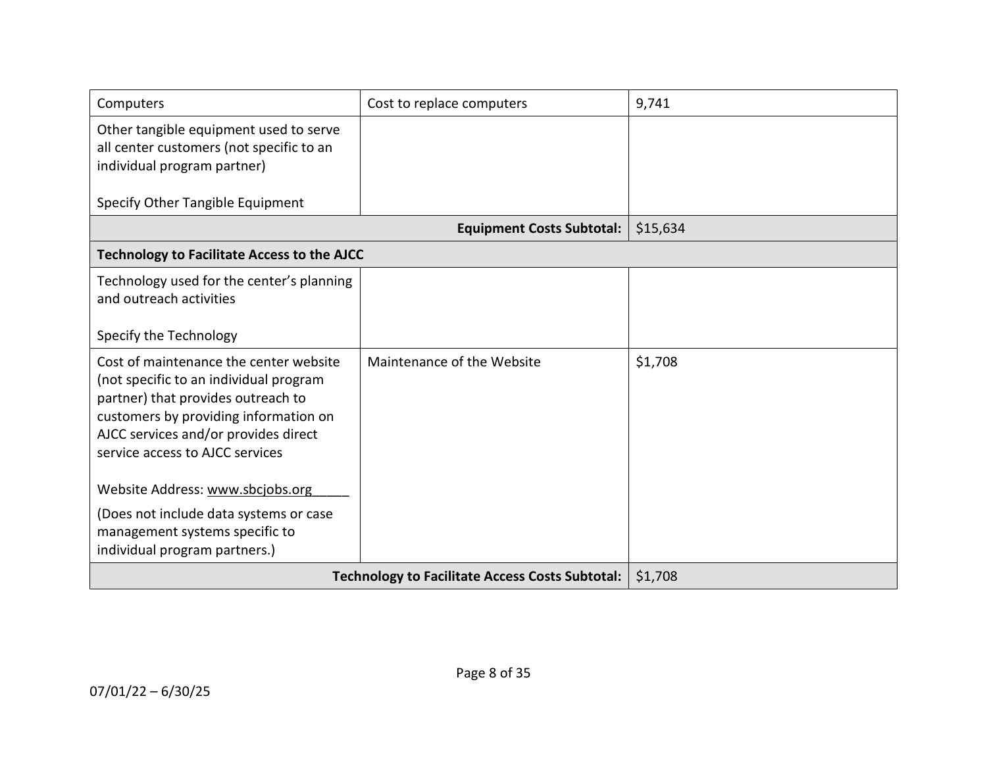| Computers                                                                                                                                                                                                                                  | Cost to replace computers                              | 9,741    |
|--------------------------------------------------------------------------------------------------------------------------------------------------------------------------------------------------------------------------------------------|--------------------------------------------------------|----------|
| Other tangible equipment used to serve<br>all center customers (not specific to an<br>individual program partner)                                                                                                                          |                                                        |          |
| Specify Other Tangible Equipment                                                                                                                                                                                                           |                                                        |          |
|                                                                                                                                                                                                                                            | <b>Equipment Costs Subtotal:</b>                       | \$15,634 |
| <b>Technology to Facilitate Access to the AJCC</b>                                                                                                                                                                                         |                                                        |          |
| Technology used for the center's planning<br>and outreach activities<br>Specify the Technology                                                                                                                                             |                                                        |          |
| Cost of maintenance the center website<br>(not specific to an individual program<br>partner) that provides outreach to<br>customers by providing information on<br>AJCC services and/or provides direct<br>service access to AJCC services | Maintenance of the Website                             | \$1,708  |
| Website Address: www.sbcjobs.org                                                                                                                                                                                                           |                                                        |          |
| (Does not include data systems or case<br>management systems specific to<br>individual program partners.)                                                                                                                                  |                                                        |          |
|                                                                                                                                                                                                                                            | <b>Technology to Facilitate Access Costs Subtotal:</b> | \$1,708  |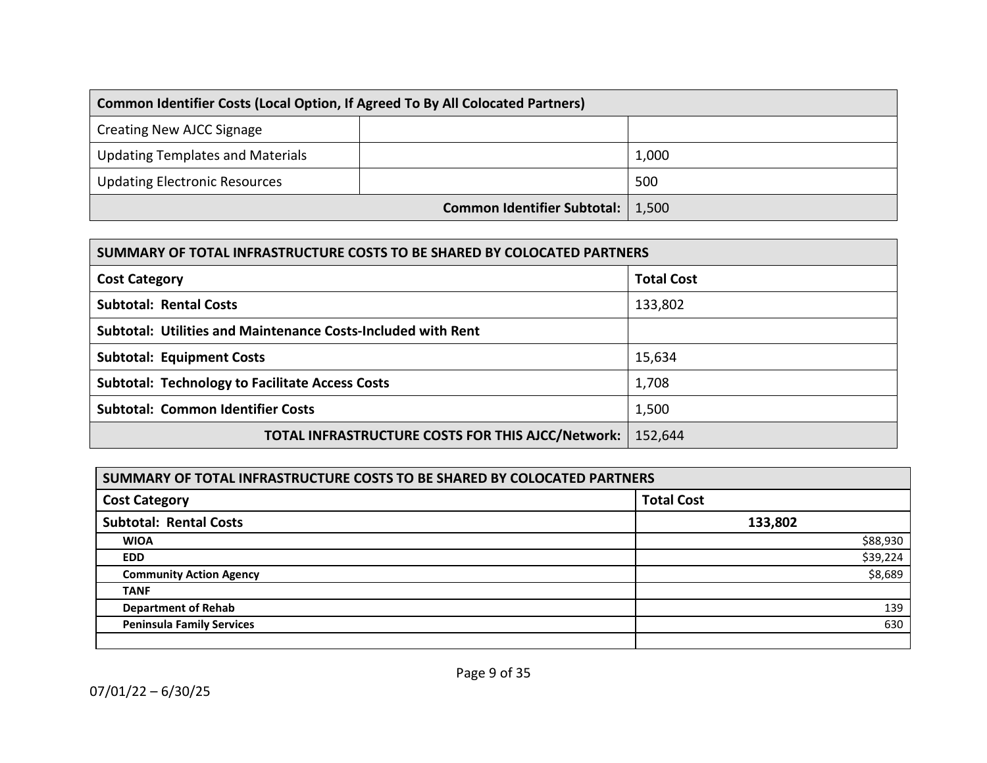| Common Identifier Costs (Local Option, If Agreed To By All Colocated Partners) |                             |       |
|--------------------------------------------------------------------------------|-----------------------------|-------|
| Creating New AJCC Signage                                                      |                             |       |
| <b>Updating Templates and Materials</b>                                        |                             | 1,000 |
| <b>Updating Electronic Resources</b>                                           |                             | 500   |
|                                                                                | Common Identifier Subtotal: | 1,500 |

| SUMMARY OF TOTAL INFRASTRUCTURE COSTS TO BE SHARED BY COLOCATED PARTNERS |                   |  |
|--------------------------------------------------------------------------|-------------------|--|
| <b>Cost Category</b>                                                     | <b>Total Cost</b> |  |
| <b>Subtotal: Rental Costs</b>                                            | 133,802           |  |
| <b>Subtotal: Utilities and Maintenance Costs-Included with Rent</b>      |                   |  |
| <b>Subtotal: Equipment Costs</b>                                         | 15,634            |  |
| <b>Subtotal: Technology to Facilitate Access Costs</b>                   | 1,708             |  |
| <b>Subtotal: Common Identifier Costs</b>                                 | 1,500             |  |
| TOTAL INFRASTRUCTURE COSTS FOR THIS AJCC/Network:                        | 152,644           |  |

| SUMMARY OF TOTAL INFRASTRUCTURE COSTS TO BE SHARED BY COLOCATED PARTNERS |                   |  |
|--------------------------------------------------------------------------|-------------------|--|
| <b>Cost Category</b>                                                     | <b>Total Cost</b> |  |
| <b>Subtotal: Rental Costs</b>                                            | 133,802           |  |
| <b>WIOA</b>                                                              | \$88,930          |  |
| <b>EDD</b>                                                               | \$39,224          |  |
| <b>Community Action Agency</b>                                           | \$8,689           |  |
| <b>TANF</b>                                                              |                   |  |
| <b>Department of Rehab</b>                                               | 139               |  |
| <b>Peninsula Family Services</b>                                         | 630               |  |
|                                                                          |                   |  |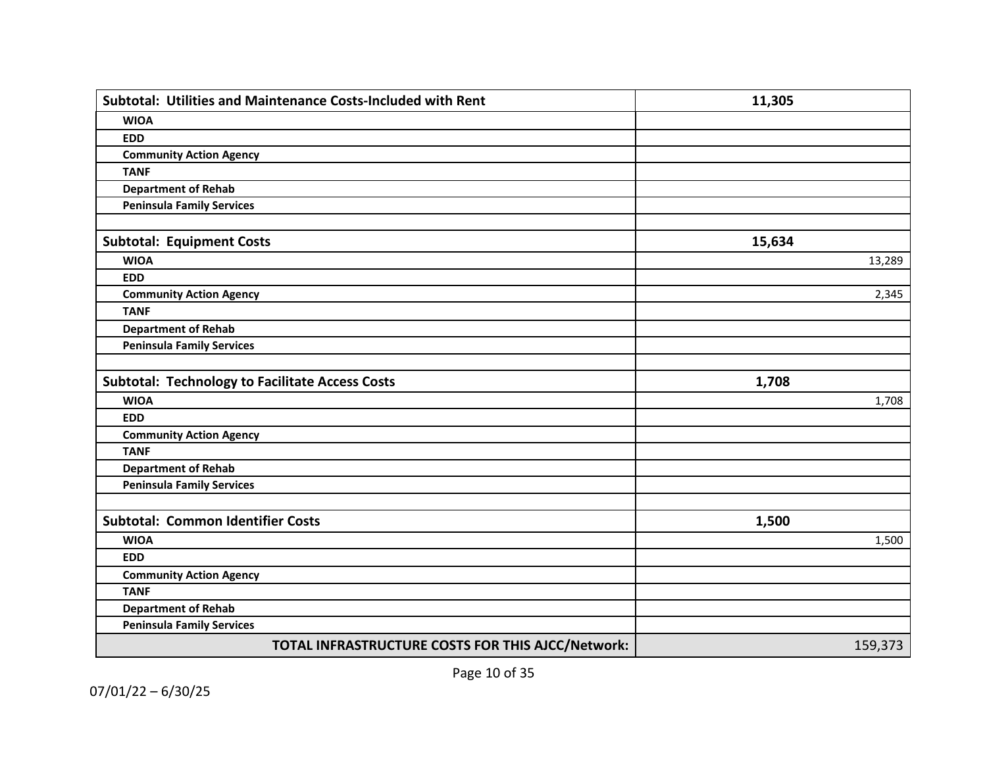| Subtotal: Utilities and Maintenance Costs-Included with Rent | 11,305  |
|--------------------------------------------------------------|---------|
| <b>WIOA</b>                                                  |         |
| <b>EDD</b>                                                   |         |
| <b>Community Action Agency</b>                               |         |
| <b>TANF</b>                                                  |         |
| <b>Department of Rehab</b>                                   |         |
| <b>Peninsula Family Services</b>                             |         |
|                                                              |         |
| <b>Subtotal: Equipment Costs</b>                             | 15,634  |
| <b>WIOA</b>                                                  | 13,289  |
| <b>EDD</b>                                                   |         |
| <b>Community Action Agency</b>                               | 2,345   |
| <b>TANF</b>                                                  |         |
| <b>Department of Rehab</b>                                   |         |
| <b>Peninsula Family Services</b>                             |         |
|                                                              |         |
| <b>Subtotal: Technology to Facilitate Access Costs</b>       | 1,708   |
| <b>WIOA</b>                                                  | 1,708   |
| <b>EDD</b>                                                   |         |
| <b>Community Action Agency</b>                               |         |
| <b>TANF</b>                                                  |         |
| <b>Department of Rehab</b>                                   |         |
| <b>Peninsula Family Services</b>                             |         |
|                                                              |         |
| <b>Subtotal: Common Identifier Costs</b>                     | 1,500   |
| <b>WIOA</b>                                                  | 1,500   |
| <b>EDD</b>                                                   |         |
| <b>Community Action Agency</b>                               |         |
| <b>TANF</b>                                                  |         |
| <b>Department of Rehab</b>                                   |         |
| <b>Peninsula Family Services</b>                             |         |
| TOTAL INFRASTRUCTURE COSTS FOR THIS AJCC/Network:            | 159,373 |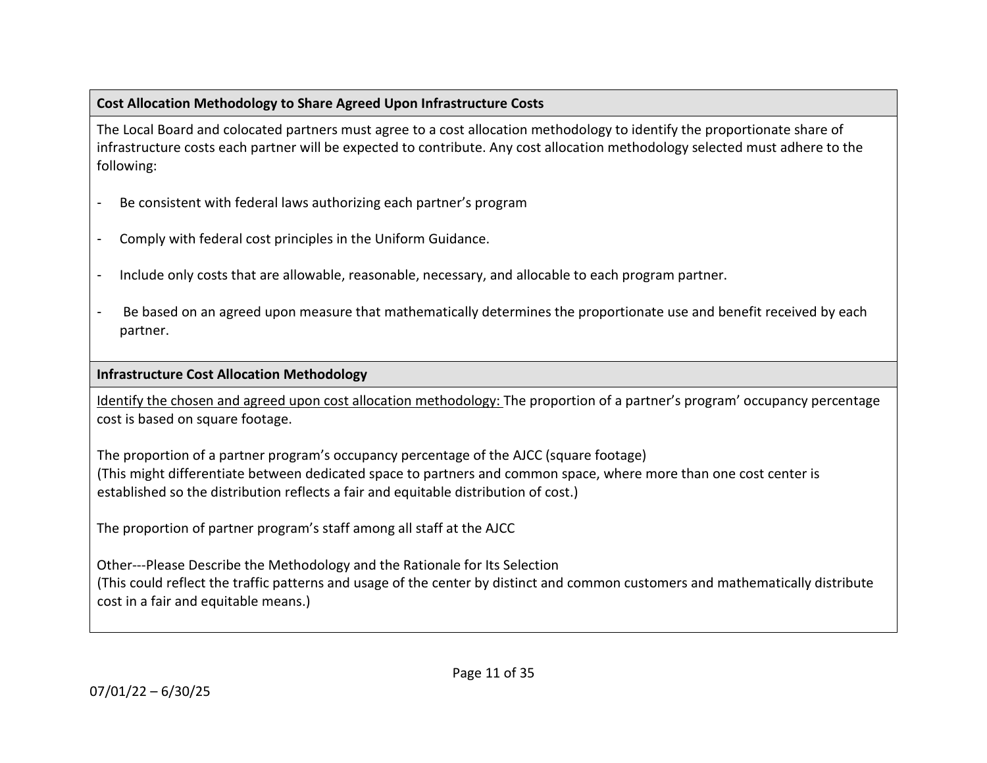### **Cost Allocation Methodology to Share Agreed Upon Infrastructure Costs**

The Local Board and colocated partners must agree to a cost allocation methodology to identify the proportionate share of infrastructure costs each partner will be expected to contribute. Any cost allocation methodology selected must adhere to the following:

- Be consistent with federal laws authorizing each partner's program
- Comply with federal cost principles in the Uniform Guidance.
- Include only costs that are allowable, reasonable, necessary, and allocable to each program partner.
- Be based on an agreed upon measure that mathematically determines the proportionate use and benefit received by each partner.

### **Infrastructure Cost Allocation Methodology**

Identify the chosen and agreed upon cost allocation methodology: The proportion of a partner's program' occupancy percentage cost is based on square footage.

The proportion of a partner program's occupancy percentage of the AJCC (square footage) (This might differentiate between dedicated space to partners and common space, where more than one cost center is established so the distribution reflects a fair and equitable distribution of cost.)

The proportion of partner program's staff among all staff at the AJCC

Other---Please Describe the Methodology and the Rationale for Its Selection (This could reflect the traffic patterns and usage of the center by distinct and common customers and mathematically distribute cost in a fair and equitable means.)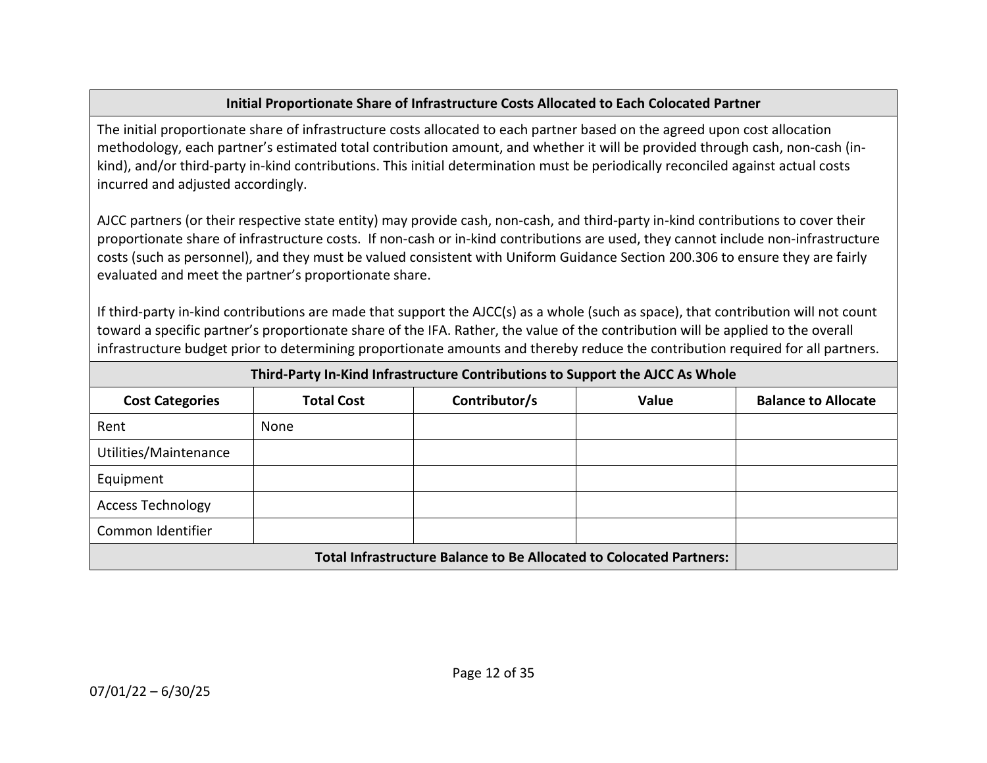### **Initial Proportionate Share of Infrastructure Costs Allocated to Each Colocated Partner**

The initial proportionate share of infrastructure costs allocated to each partner based on the agreed upon cost allocation methodology, each partner's estimated total contribution amount, and whether it will be provided through cash, non-cash (inkind), and/or third-party in-kind contributions. This initial determination must be periodically reconciled against actual costs incurred and adjusted accordingly.

AJCC partners (or their respective state entity) may provide cash, non-cash, and third-party in-kind contributions to cover their proportionate share of infrastructure costs. If non-cash or in-kind contributions are used, they cannot include non-infrastructure costs (such as personnel), and they must be valued consistent with Uniform Guidance Section 200.306 to ensure they are fairly evaluated and meet the partner's proportionate share.

If third-party in-kind contributions are made that support the AJCC(s) as a whole (such as space), that contribution will not count toward a specific partner's proportionate share of the IFA. Rather, the value of the contribution will be applied to the overall infrastructure budget prior to determining proportionate amounts and thereby reduce the contribution required for all partners.

| Third-Party In-Kind Infrastructure Contributions to Support the AJCC As Whole |                   |               |       |                            |
|-------------------------------------------------------------------------------|-------------------|---------------|-------|----------------------------|
| <b>Cost Categories</b>                                                        | <b>Total Cost</b> | Contributor/s | Value | <b>Balance to Allocate</b> |
| Rent                                                                          | None              |               |       |                            |
| Utilities/Maintenance                                                         |                   |               |       |                            |
| Equipment                                                                     |                   |               |       |                            |
| <b>Access Technology</b>                                                      |                   |               |       |                            |
| Common Identifier                                                             |                   |               |       |                            |
| <b>Total Infrastructure Balance to Be Allocated to Colocated Partners:</b>    |                   |               |       |                            |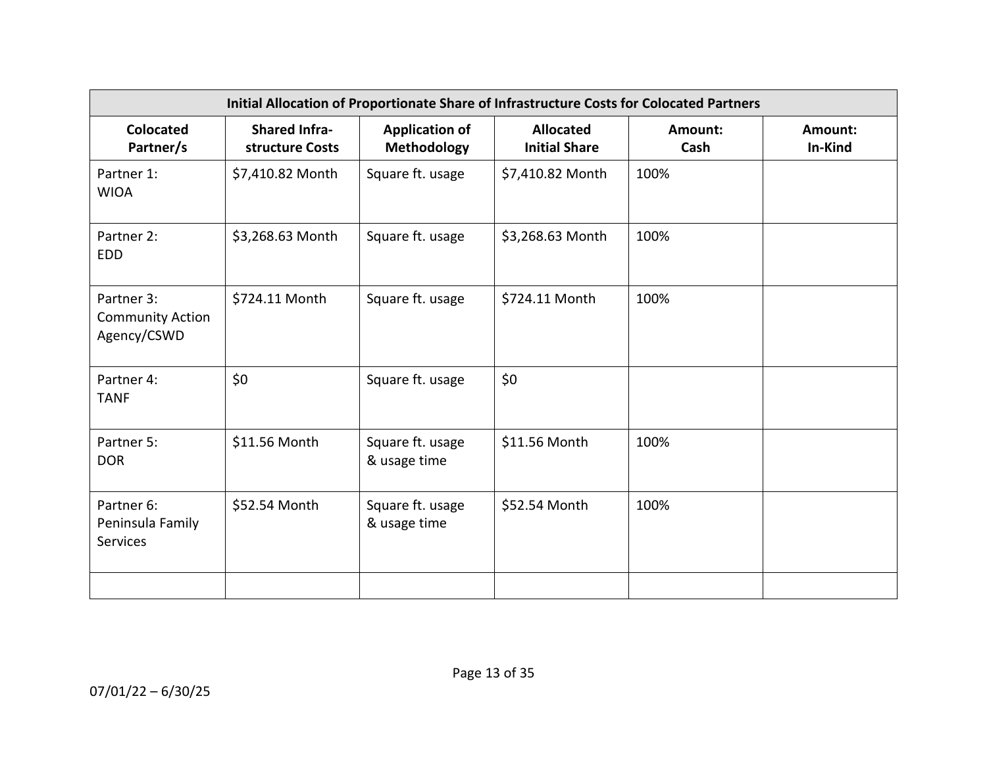| Initial Allocation of Proportionate Share of Infrastructure Costs for Colocated Partners |                                         |                                      |                                          |                 |                    |
|------------------------------------------------------------------------------------------|-----------------------------------------|--------------------------------------|------------------------------------------|-----------------|--------------------|
| <b>Colocated</b><br>Partner/s                                                            | <b>Shared Infra-</b><br>structure Costs | <b>Application of</b><br>Methodology | <b>Allocated</b><br><b>Initial Share</b> | Amount:<br>Cash | Amount:<br>In-Kind |
| Partner 1:<br><b>WIOA</b>                                                                | \$7,410.82 Month                        | Square ft. usage                     | \$7,410.82 Month                         | 100%            |                    |
| Partner 2:<br><b>EDD</b>                                                                 | \$3,268.63 Month                        | Square ft. usage                     | \$3,268.63 Month                         | 100%            |                    |
| Partner 3:<br><b>Community Action</b><br>Agency/CSWD                                     | \$724.11 Month                          | Square ft. usage                     | \$724.11 Month                           | 100%            |                    |
| Partner 4:<br><b>TANF</b>                                                                | \$0                                     | Square ft. usage                     | \$0                                      |                 |                    |
| Partner 5:<br><b>DOR</b>                                                                 | \$11.56 Month                           | Square ft. usage<br>& usage time     | \$11.56 Month                            | 100%            |                    |
| Partner 6:<br>Peninsula Family<br>Services                                               | \$52.54 Month                           | Square ft. usage<br>& usage time     | \$52.54 Month                            | 100%            |                    |
|                                                                                          |                                         |                                      |                                          |                 |                    |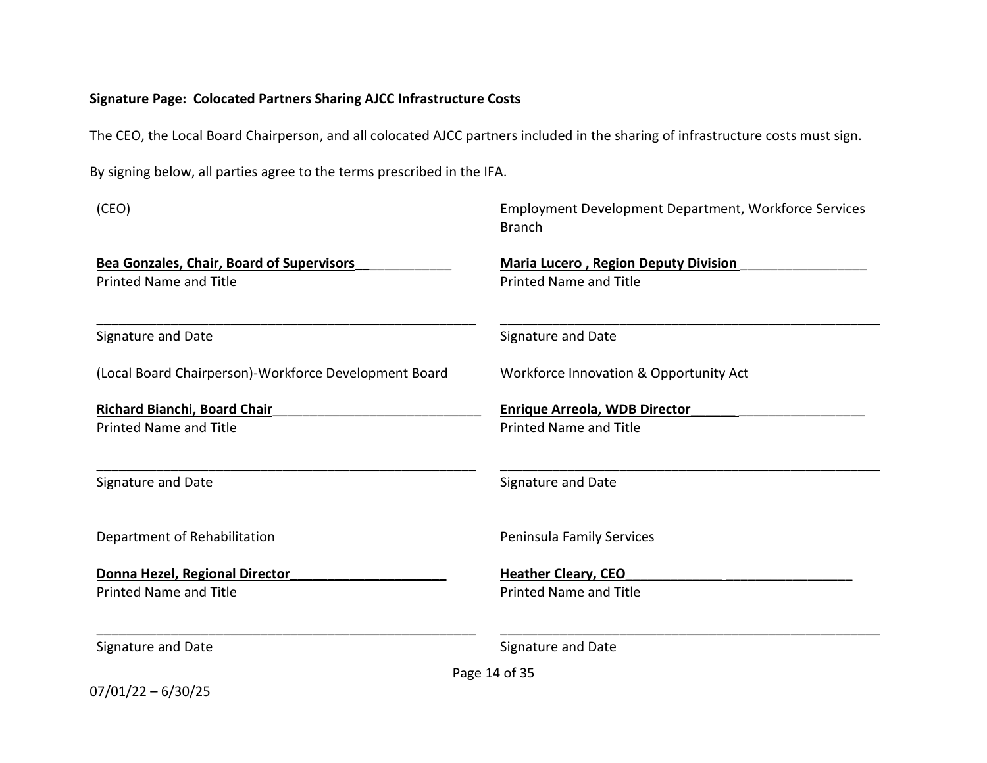### **Signature Page: Colocated Partners Sharing AJCC Infrastructure Costs**

The CEO, the Local Board Chairperson, and all colocated AJCC partners included in the sharing of infrastructure costs must sign.

By signing below, all parties agree to the terms prescribed in the IFA.

| (CEO)                                                 | <b>Employment Development Department, Workforce Services</b><br><b>Branch</b> |
|-------------------------------------------------------|-------------------------------------------------------------------------------|
| <b>Bea Gonzales, Chair, Board of Supervisors</b>      | <b>Maria Lucero, Region Deputy Division</b>                                   |
| <b>Printed Name and Title</b>                         | <b>Printed Name and Title</b>                                                 |
| Signature and Date                                    | Signature and Date                                                            |
| (Local Board Chairperson)-Workforce Development Board | Workforce Innovation & Opportunity Act                                        |
| Richard Bianchi, Board Chair                          | <b>Enrique Arreola, WDB Director</b>                                          |
| <b>Printed Name and Title</b>                         | <b>Printed Name and Title</b>                                                 |
| Signature and Date                                    | Signature and Date                                                            |
| Department of Rehabilitation                          | Peninsula Family Services                                                     |
| Donna Hezel, Regional Director                        | <b>Heather Cleary, CEO</b>                                                    |
| <b>Printed Name and Title</b>                         | <b>Printed Name and Title</b>                                                 |
| Signature and Date                                    | Signature and Date                                                            |
|                                                       | Page 14 of 35                                                                 |
| $07/01/22 - 6/30/25$                                  |                                                                               |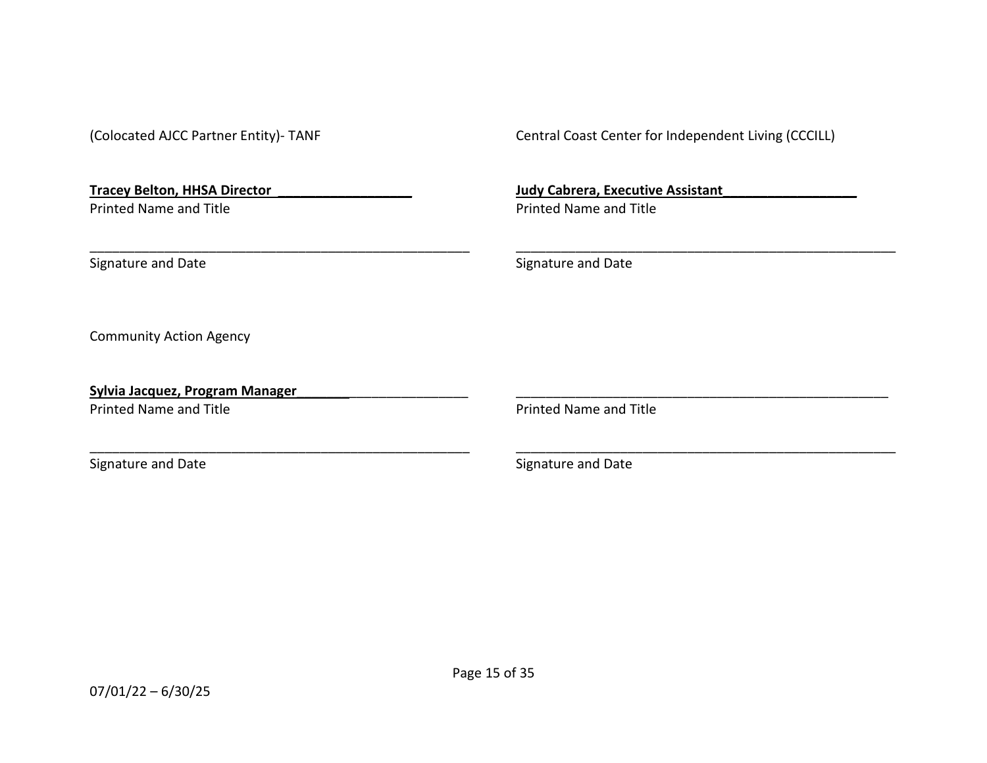| (Colocated AJCC Partner Entity)- TANF                                | Central Coast Center for Independent Living (CCCILL)                      |
|----------------------------------------------------------------------|---------------------------------------------------------------------------|
| <b>Tracey Belton, HHSA Director</b><br><b>Printed Name and Title</b> | <b>Judy Cabrera, Executive Assistant</b><br><b>Printed Name and Title</b> |
|                                                                      |                                                                           |
| Signature and Date                                                   | Signature and Date                                                        |
| <b>Community Action Agency</b>                                       |                                                                           |
| <b>Sylvia Jacquez, Program Manager</b>                               |                                                                           |
| <b>Printed Name and Title</b>                                        | <b>Printed Name and Title</b>                                             |
| Signature and Date                                                   | Signature and Date                                                        |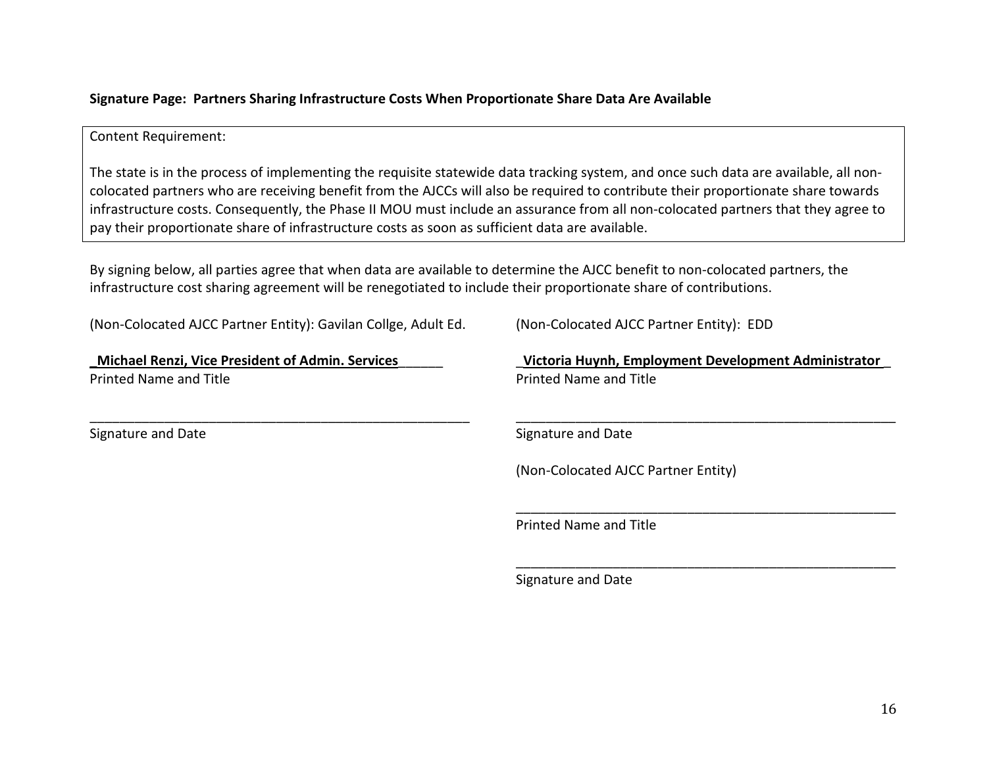### **Signature Page: Partners Sharing Infrastructure Costs When Proportionate Share Data Are Available**

### Content Requirement:

The state is in the process of implementing the requisite statewide data tracking system, and once such data are available, all noncolocated partners who are receiving benefit from the AJCCs will also be required to contribute their proportionate share towards infrastructure costs. Consequently, the Phase II MOU must include an assurance from all non-colocated partners that they agree to pay their proportionate share of infrastructure costs as soon as sufficient data are available.

By signing below, all parties agree that when data are available to determine the AJCC benefit to non-colocated partners, the infrastructure cost sharing agreement will be renegotiated to include their proportionate share of contributions.

(Non-Colocated AJCC Partner Entity): Gavilan Collge, Adult Ed.

\_\_\_\_\_\_\_\_\_\_\_\_\_\_\_\_\_\_\_\_\_\_\_\_\_\_\_\_\_\_\_\_\_\_\_\_\_\_\_\_\_\_\_\_\_\_\_\_\_\_\_

**\_Michael Renzi, Vice President of Admin. Services**\_\_\_\_\_\_ Printed Name and Title

Signature and Date

(Non-Colocated AJCC Partner Entity): EDD

\_**Victoria Huynh, Employment Development Administrator** \_ Printed Name and Title

\_\_\_\_\_\_\_\_\_\_\_\_\_\_\_\_\_\_\_\_\_\_\_\_\_\_\_\_\_\_\_\_\_\_\_\_\_\_\_\_\_\_\_\_\_\_\_\_\_\_\_

\_\_\_\_\_\_\_\_\_\_\_\_\_\_\_\_\_\_\_\_\_\_\_\_\_\_\_\_\_\_\_\_\_\_\_\_\_\_\_\_\_\_\_\_\_\_\_\_\_\_\_

\_\_\_\_\_\_\_\_\_\_\_\_\_\_\_\_\_\_\_\_\_\_\_\_\_\_\_\_\_\_\_\_\_\_\_\_\_\_\_\_\_\_\_\_\_\_\_\_\_\_\_

Signature and Date

(Non-Colocated AJCC Partner Entity)

Printed Name and Title

Signature and Date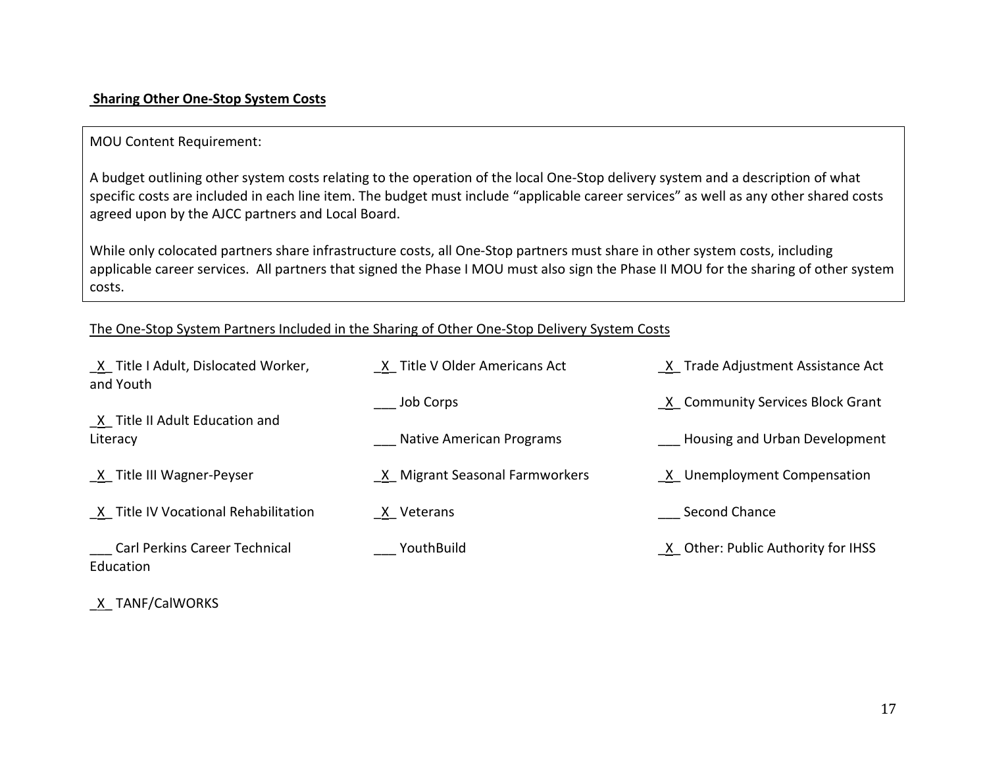### **Sharing Other One-Stop System Costs**

### MOU Content Requirement:

A budget outlining other system costs relating to the operation of the local One-Stop delivery system and a description of what specific costs are included in each line item. The budget must include "applicable career services" as well as any other shared costs agreed upon by the AJCC partners and Local Board.

While only colocated partners share infrastructure costs, all One-Stop partners must share in other system costs, including applicable career services. All partners that signed the Phase I MOU must also sign the Phase II MOU for the sharing of other system costs.

### The One-Stop System Partners Included in the Sharing of Other One-Stop Delivery System Costs

| X Title I Adult, Dislocated Worker,<br>and Youth | X Title V Older Americans Act  | X Trade Adjustment Assistance Act    |
|--------------------------------------------------|--------------------------------|--------------------------------------|
| X Title II Adult Education and                   | Job Corps                      | X Community Services Block Grant     |
| Literacy                                         | Native American Programs       | <b>Housing and Urban Development</b> |
| X Title III Wagner-Peyser                        | X Migrant Seasonal Farmworkers | X Unemployment Compensation          |
| X Title IV Vocational Rehabilitation             | X Veterans                     | Second Chance                        |
| Carl Perkins Career Technical<br>Education       | YouthBuild                     | X Other: Public Authority for IHSS   |

\_X\_ TANF/CalWORKS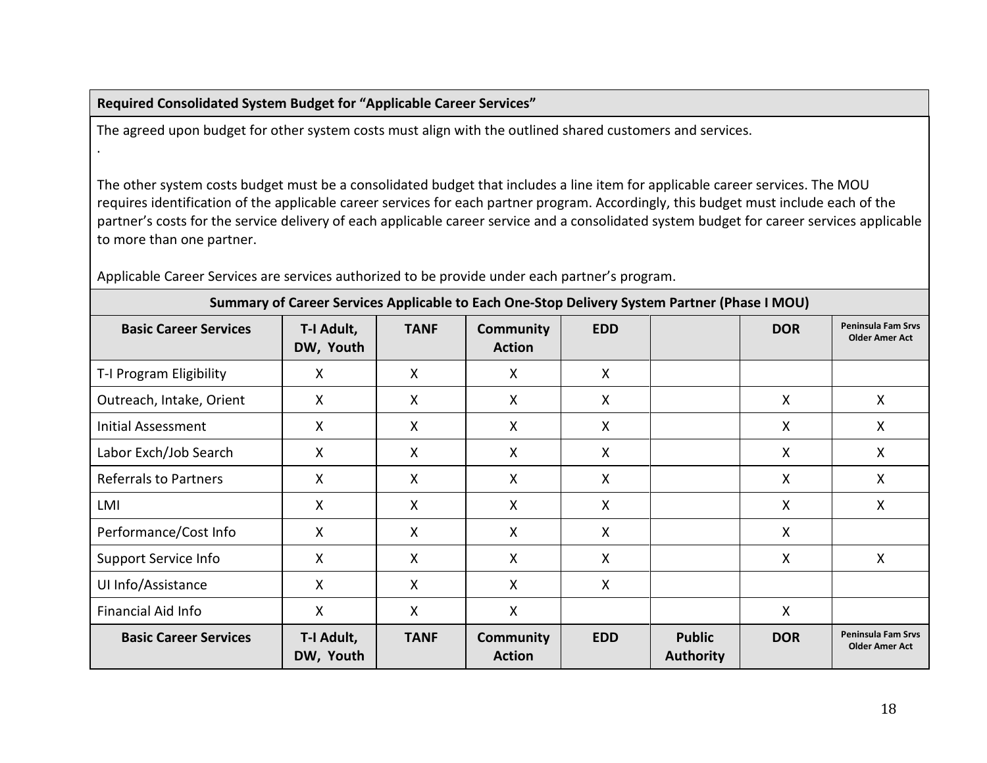### **Required Consolidated System Budget for "Applicable Career Services"**

.

The agreed upon budget for other system costs must align with the outlined shared customers and services.

The other system costs budget must be a consolidated budget that includes a line item for applicable career services. The MOU requires identification of the applicable career services for each partner program. Accordingly, this budget must include each of the partner's costs for the service delivery of each applicable career service and a consolidated system budget for career services applicable to more than one partner.

|                              | Summary of Career Services Applicable to Each One-Stop Delivery System Partner (Phase I MOU) |              |                                   |              |                                   |              |                                                    |  |  |
|------------------------------|----------------------------------------------------------------------------------------------|--------------|-----------------------------------|--------------|-----------------------------------|--------------|----------------------------------------------------|--|--|
| <b>Basic Career Services</b> | T-I Adult,<br>DW, Youth                                                                      | <b>TANF</b>  | <b>Community</b><br><b>Action</b> | <b>EDD</b>   |                                   | <b>DOR</b>   | <b>Peninsula Fam Srvs</b><br><b>Older Amer Act</b> |  |  |
| T-I Program Eligibility      | X                                                                                            | X            | X                                 | X            |                                   |              |                                                    |  |  |
| Outreach, Intake, Orient     | $\mathsf{X}$                                                                                 | X            | $\sf X$                           | X            |                                   | X            | X                                                  |  |  |
| Initial Assessment           | $\mathsf{X}$                                                                                 | $\mathsf{X}$ | $\mathsf{X}$                      | $\mathsf{X}$ |                                   | X            | X                                                  |  |  |
| Labor Exch/Job Search        | X                                                                                            | X            | X                                 | X            |                                   | X            | X                                                  |  |  |
| <b>Referrals to Partners</b> | X                                                                                            | X            | $\mathsf{X}$                      | X            |                                   | $\mathsf{X}$ | X                                                  |  |  |
| LMI                          | X                                                                                            | X            | X                                 | X            |                                   | X            | x                                                  |  |  |
| Performance/Cost Info        | X                                                                                            | $\mathsf{X}$ | $\mathsf{X}$                      | X            |                                   | X            |                                                    |  |  |
| Support Service Info         | X                                                                                            | X            | X                                 | X            |                                   | X            | Χ                                                  |  |  |
| UI Info/Assistance           | X                                                                                            | $\mathsf{X}$ | $\mathsf{X}$                      | X            |                                   |              |                                                    |  |  |
| Financial Aid Info           | X                                                                                            | X            | X                                 |              |                                   | X            |                                                    |  |  |
| <b>Basic Career Services</b> | T-I Adult,<br>DW, Youth                                                                      | <b>TANF</b>  | <b>Community</b><br><b>Action</b> | <b>EDD</b>   | <b>Public</b><br><b>Authority</b> | <b>DOR</b>   | <b>Peninsula Fam Srvs</b><br><b>Older Amer Act</b> |  |  |

Applicable Career Services are services authorized to be provide under each partner's program.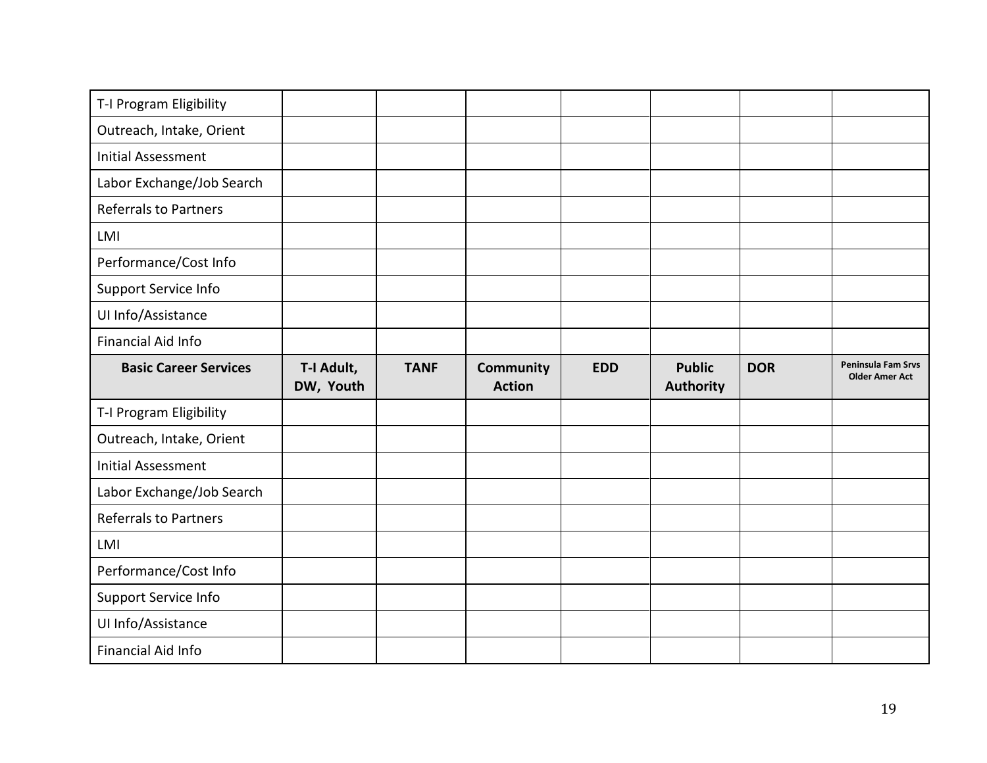| T-I Program Eligibility      |            |             |                  |            |                  |            |                       |
|------------------------------|------------|-------------|------------------|------------|------------------|------------|-----------------------|
| Outreach, Intake, Orient     |            |             |                  |            |                  |            |                       |
| <b>Initial Assessment</b>    |            |             |                  |            |                  |            |                       |
| Labor Exchange/Job Search    |            |             |                  |            |                  |            |                       |
| <b>Referrals to Partners</b> |            |             |                  |            |                  |            |                       |
| LMI                          |            |             |                  |            |                  |            |                       |
| Performance/Cost Info        |            |             |                  |            |                  |            |                       |
| Support Service Info         |            |             |                  |            |                  |            |                       |
| UI Info/Assistance           |            |             |                  |            |                  |            |                       |
| <b>Financial Aid Info</b>    |            |             |                  |            |                  |            |                       |
| <b>Basic Career Services</b> | T-I Adult, | <b>TANF</b> | <b>Community</b> | <b>EDD</b> | <b>Public</b>    | <b>DOR</b> | Peninsula Fam Srvs    |
|                              | DW, Youth  |             | <b>Action</b>    |            | <b>Authority</b> |            | <b>Older Amer Act</b> |
| T-I Program Eligibility      |            |             |                  |            |                  |            |                       |
| Outreach, Intake, Orient     |            |             |                  |            |                  |            |                       |
| <b>Initial Assessment</b>    |            |             |                  |            |                  |            |                       |
| Labor Exchange/Job Search    |            |             |                  |            |                  |            |                       |
| Referrals to Partners        |            |             |                  |            |                  |            |                       |
| LMI                          |            |             |                  |            |                  |            |                       |
| Performance/Cost Info        |            |             |                  |            |                  |            |                       |
| <b>Support Service Info</b>  |            |             |                  |            |                  |            |                       |
| UI Info/Assistance           |            |             |                  |            |                  |            |                       |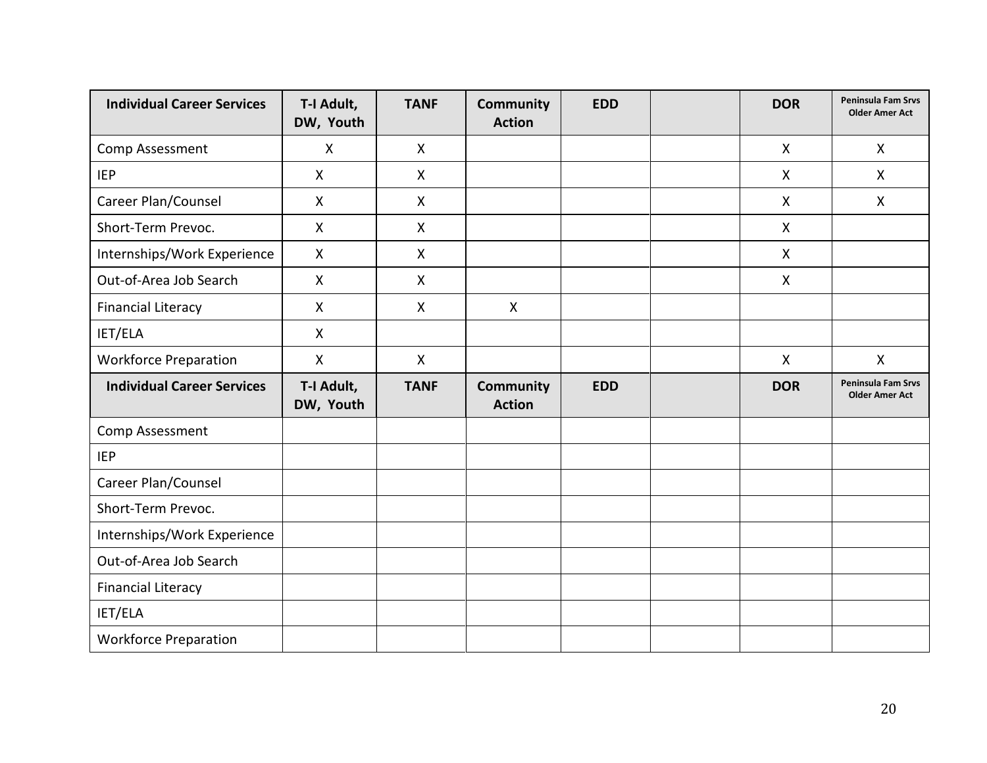| <b>Individual Career Services</b> | T-I Adult,<br>DW, Youth | <b>TANF</b>  | <b>Community</b><br><b>Action</b> | <b>EDD</b> | <b>DOR</b>   | Peninsula Fam Srvs<br><b>Older Amer Act</b> |
|-----------------------------------|-------------------------|--------------|-----------------------------------|------------|--------------|---------------------------------------------|
| Comp Assessment                   | $\pmb{\mathsf{X}}$      | $\mathsf{X}$ |                                   |            | $\mathsf{X}$ | X                                           |
| <b>IEP</b>                        | X                       | X            |                                   |            | X            | X                                           |
| Career Plan/Counsel               | X                       | $\mathsf{X}$ |                                   |            | X            | X                                           |
| Short-Term Prevoc.                | $\pmb{\mathsf{X}}$      | X            |                                   |            | $\mathsf{X}$ |                                             |
| Internships/Work Experience       | X                       | $\mathsf{X}$ |                                   |            | $\mathsf{X}$ |                                             |
| Out-of-Area Job Search            | X                       | $\mathsf{X}$ |                                   |            | X            |                                             |
| <b>Financial Literacy</b>         | X                       | X            | $\mathsf{X}$                      |            |              |                                             |
| IET/ELA                           | X                       |              |                                   |            |              |                                             |
| <b>Workforce Preparation</b>      | $\mathsf X$             | $\mathsf{X}$ |                                   |            | $\mathsf{X}$ | $\mathsf{X}$                                |
| <b>Individual Career Services</b> | T-I Adult,<br>DW, Youth | <b>TANF</b>  | <b>Community</b><br><b>Action</b> | <b>EDD</b> | <b>DOR</b>   | Peninsula Fam Srvs<br><b>Older Amer Act</b> |
| Comp Assessment                   |                         |              |                                   |            |              |                                             |
| <b>IEP</b>                        |                         |              |                                   |            |              |                                             |
| Career Plan/Counsel               |                         |              |                                   |            |              |                                             |
| Short-Term Prevoc.                |                         |              |                                   |            |              |                                             |
| Internships/Work Experience       |                         |              |                                   |            |              |                                             |
| Out-of-Area Job Search            |                         |              |                                   |            |              |                                             |
| <b>Financial Literacy</b>         |                         |              |                                   |            |              |                                             |
| IET/ELA                           |                         |              |                                   |            |              |                                             |
| <b>Workforce Preparation</b>      |                         |              |                                   |            |              |                                             |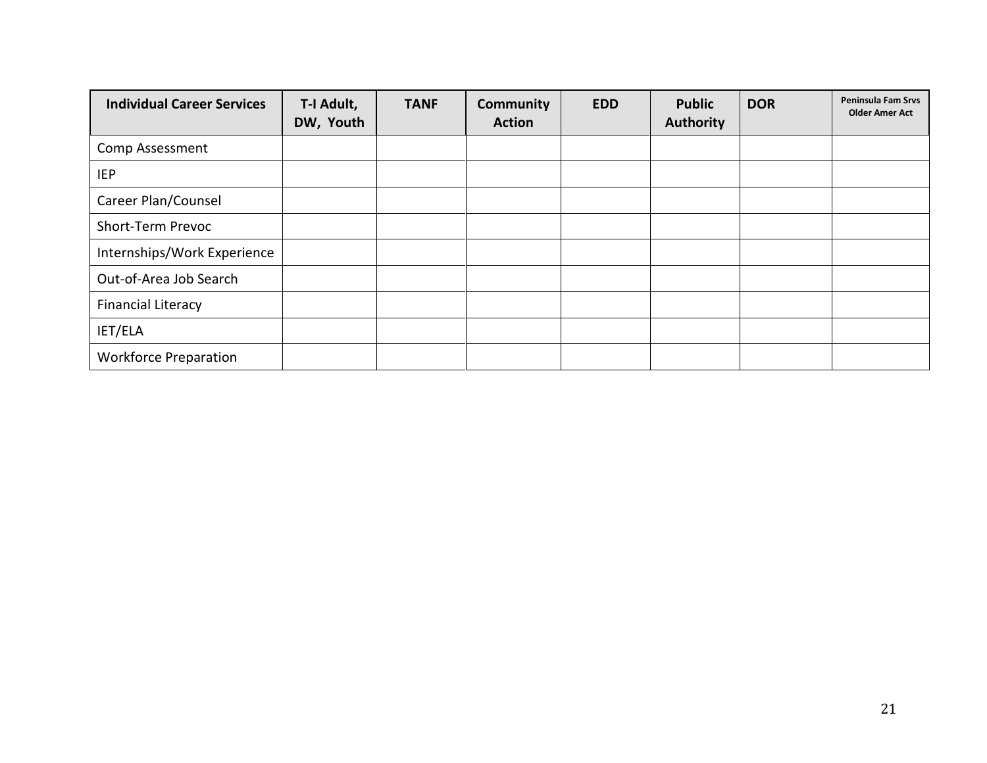| <b>Individual Career Services</b> | T-I Adult,<br>DW, Youth | <b>TANF</b> | <b>Community</b><br><b>Action</b> | <b>EDD</b> | <b>Public</b><br>Authority | <b>DOR</b> | Peninsula Fam Srvs<br><b>Older Amer Act</b> |
|-----------------------------------|-------------------------|-------------|-----------------------------------|------------|----------------------------|------------|---------------------------------------------|
| Comp Assessment                   |                         |             |                                   |            |                            |            |                                             |
| <b>IEP</b>                        |                         |             |                                   |            |                            |            |                                             |
| Career Plan/Counsel               |                         |             |                                   |            |                            |            |                                             |
| Short-Term Prevoc                 |                         |             |                                   |            |                            |            |                                             |
| Internships/Work Experience       |                         |             |                                   |            |                            |            |                                             |
| Out-of-Area Job Search            |                         |             |                                   |            |                            |            |                                             |
| <b>Financial Literacy</b>         |                         |             |                                   |            |                            |            |                                             |
| IET/ELA                           |                         |             |                                   |            |                            |            |                                             |
| <b>Workforce Preparation</b>      |                         |             |                                   |            |                            |            |                                             |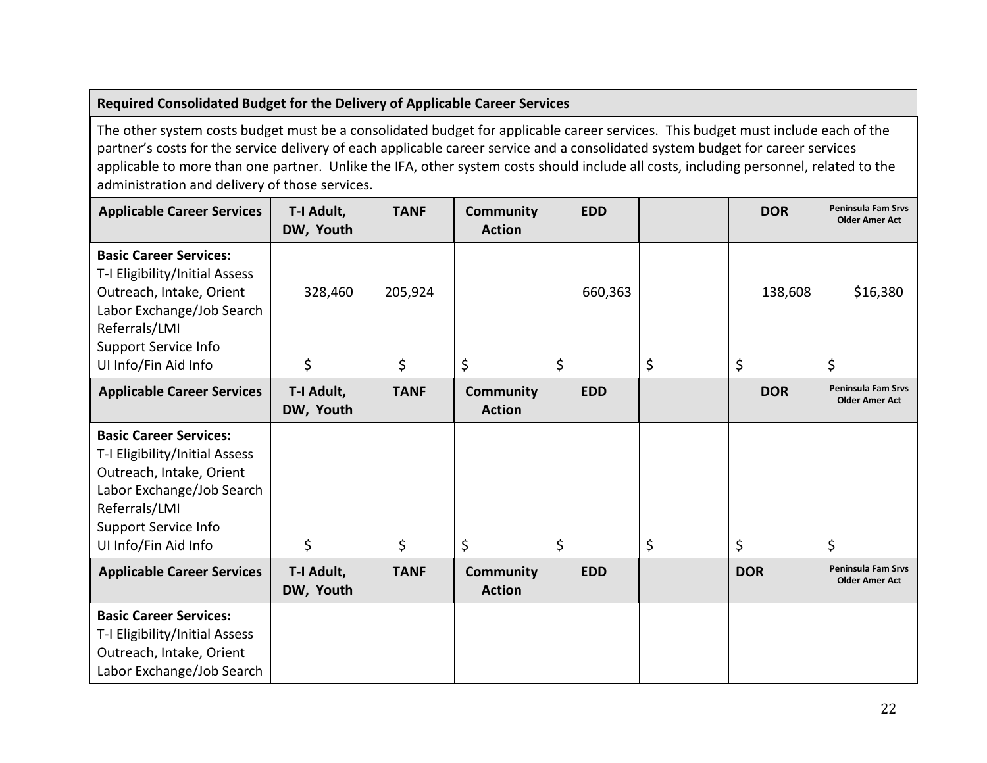### **Required Consolidated Budget for the Delivery of Applicable Career Services**

The other system costs budget must be a consolidated budget for applicable career services. This budget must include each of the partner's costs for the service delivery of each applicable career service and a consolidated system budget for career services applicable to more than one partner. Unlike the IFA, other system costs should include all costs, including personnel, related to the administration and delivery of those services.

| <b>Applicable Career Services</b>                                                                                                                                                         | T-I Adult,<br>DW, Youth | <b>TANF</b> | <b>Community</b><br><b>Action</b> | <b>EDD</b> | <b>DOR</b> | <b>Peninsula Fam Srvs</b><br><b>Older Amer Act</b> |
|-------------------------------------------------------------------------------------------------------------------------------------------------------------------------------------------|-------------------------|-------------|-----------------------------------|------------|------------|----------------------------------------------------|
| <b>Basic Career Services:</b><br>T-I Eligibility/Initial Assess<br>Outreach, Intake, Orient<br>Labor Exchange/Job Search<br>Referrals/LMI<br><b>Support Service Info</b>                  | 328,460                 | 205,924     |                                   | 660,363    | 138,608    | \$16,380                                           |
| UI Info/Fin Aid Info                                                                                                                                                                      | \$                      | \$          | \$                                | \$         | \$<br>\$   | \$                                                 |
| <b>Applicable Career Services</b>                                                                                                                                                         | T-I Adult,<br>DW, Youth | <b>TANF</b> | <b>Community</b><br><b>Action</b> | <b>EDD</b> | <b>DOR</b> | <b>Peninsula Fam Srvs</b><br><b>Older Amer Act</b> |
| <b>Basic Career Services:</b><br>T-I Eligibility/Initial Assess<br>Outreach, Intake, Orient<br>Labor Exchange/Job Search<br>Referrals/LMI<br>Support Service Info<br>UI Info/Fin Aid Info | \$                      | \$          | \$                                | \$         | \$<br>\$   | \$                                                 |
| <b>Applicable Career Services</b>                                                                                                                                                         | T-I Adult,<br>DW, Youth | <b>TANF</b> | <b>Community</b><br><b>Action</b> | <b>EDD</b> | <b>DOR</b> | <b>Peninsula Fam Srvs</b><br><b>Older Amer Act</b> |
| <b>Basic Career Services:</b><br>T-I Eligibility/Initial Assess<br>Outreach, Intake, Orient<br>Labor Exchange/Job Search                                                                  |                         |             |                                   |            |            |                                                    |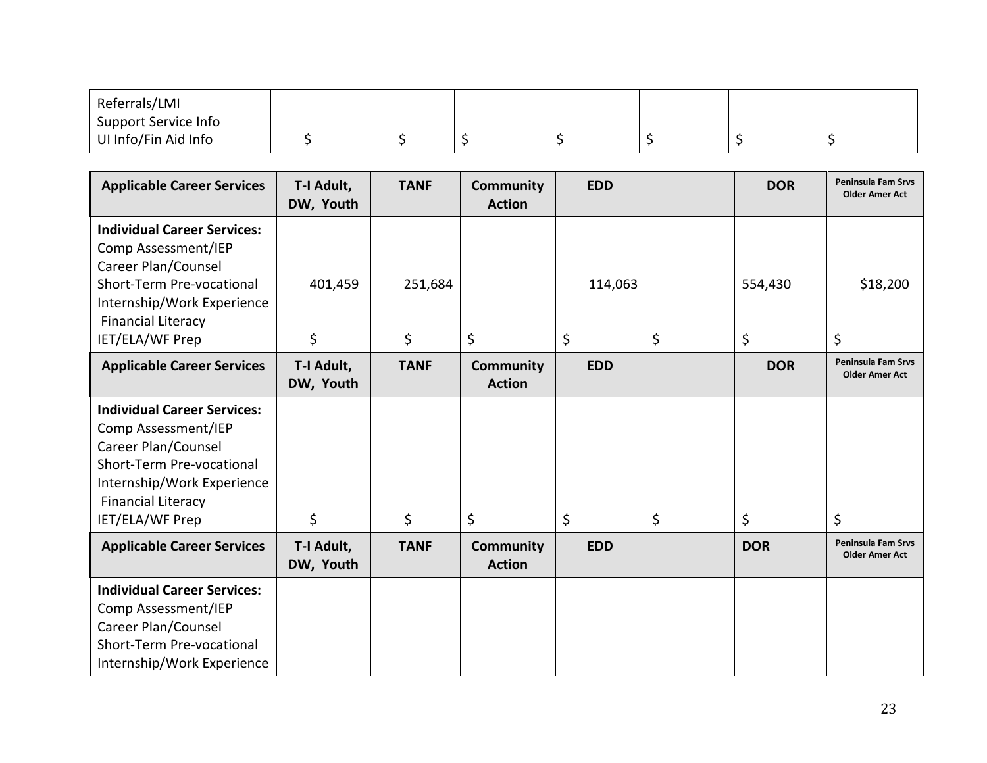| Referrals/LMI        |  |  |  |  |
|----------------------|--|--|--|--|
| Support Service Info |  |  |  |  |
| UI Info/Fin Aid Info |  |  |  |  |

| <b>Applicable Career Services</b>                                                                                                                                                           | T-I Adult,<br>DW, Youth | <b>TANF</b>   | <b>Community</b><br><b>Action</b> | <b>EDD</b>    | <b>DOR</b>          | <b>Peninsula Fam Srvs</b><br><b>Older Amer Act</b> |
|---------------------------------------------------------------------------------------------------------------------------------------------------------------------------------------------|-------------------------|---------------|-----------------------------------|---------------|---------------------|----------------------------------------------------|
| <b>Individual Career Services:</b><br>Comp Assessment/IEP<br>Career Plan/Counsel<br>Short-Term Pre-vocational<br>Internship/Work Experience<br><b>Financial Literacy</b><br>IET/ELA/WF Prep | 401,459<br>\$           | 251,684<br>\$ | \$                                | 114,063<br>\$ | \$<br>554,430<br>\$ | \$18,200<br>\$                                     |
| <b>Applicable Career Services</b>                                                                                                                                                           | T-I Adult,<br>DW, Youth | <b>TANF</b>   | <b>Community</b><br><b>Action</b> | <b>EDD</b>    | <b>DOR</b>          | <b>Peninsula Fam Srvs</b><br><b>Older Amer Act</b> |
| <b>Individual Career Services:</b><br>Comp Assessment/IEP<br>Career Plan/Counsel<br>Short-Term Pre-vocational<br>Internship/Work Experience<br><b>Financial Literacy</b><br>IET/ELA/WF Prep | \$                      | \$            | \$                                | \$            | \$<br>\$            | \$                                                 |
| <b>Applicable Career Services</b>                                                                                                                                                           | T-I Adult,<br>DW, Youth | <b>TANF</b>   | <b>Community</b><br><b>Action</b> | <b>EDD</b>    | <b>DOR</b>          | <b>Peninsula Fam Srvs</b><br><b>Older Amer Act</b> |
| <b>Individual Career Services:</b><br>Comp Assessment/IEP<br>Career Plan/Counsel<br>Short-Term Pre-vocational<br>Internship/Work Experience                                                 |                         |               |                                   |               |                     |                                                    |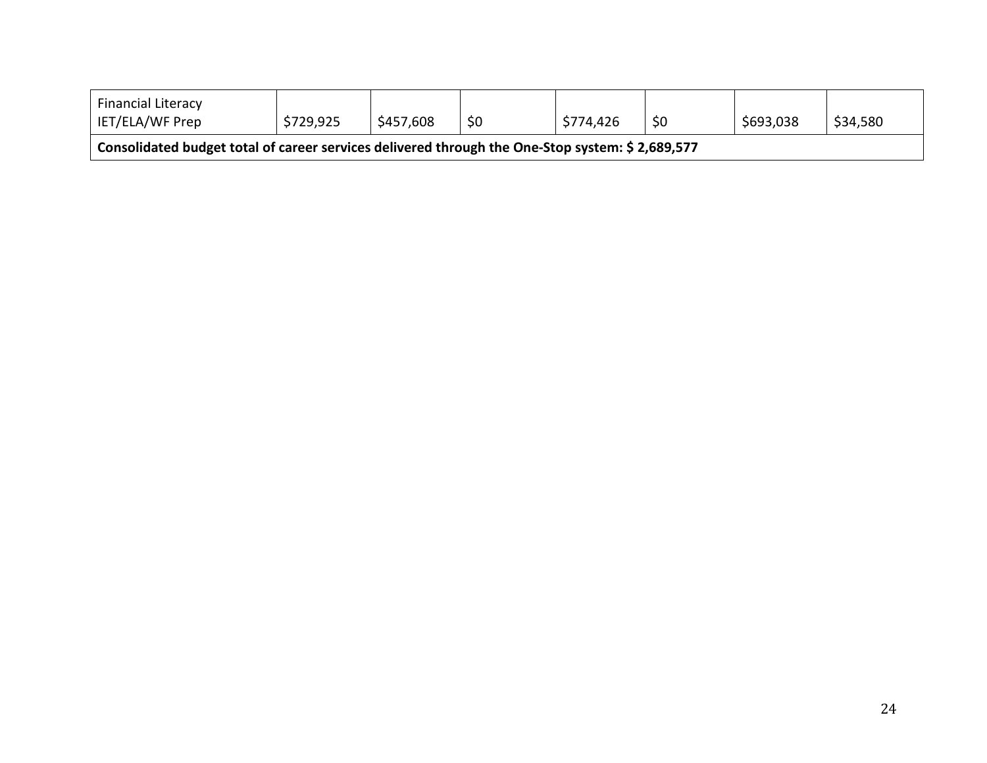| <b>Financial Literacy</b><br>IET/ELA/WF Prep                                                    | \$729,925 | \$457,608 | \$0 | \$774,426 | \$0 | \$693,038 | \$34,580 |  |
|-------------------------------------------------------------------------------------------------|-----------|-----------|-----|-----------|-----|-----------|----------|--|
| Consolidated budget total of career services delivered through the One-Stop system: \$2,689,577 |           |           |     |           |     |           |          |  |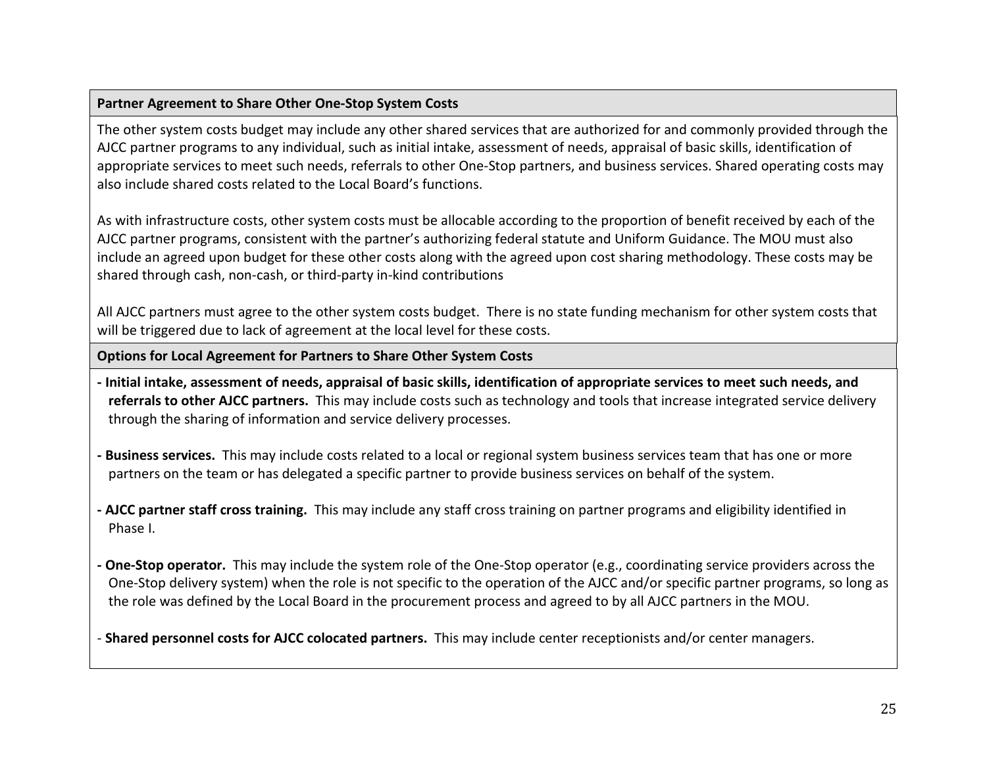### **Partner Agreement to Share Other One-Stop System Costs**

The other system costs budget may include any other shared services that are authorized for and commonly provided through the AJCC partner programs to any individual, such as initial intake, assessment of needs, appraisal of basic skills, identification of appropriate services to meet such needs, referrals to other One-Stop partners, and business services. Shared operating costs may also include shared costs related to the Local Board's functions.

As with infrastructure costs, other system costs must be allocable according to the proportion of benefit received by each of the AJCC partner programs, consistent with the partner's authorizing federal statute and Uniform Guidance. The MOU must also include an agreed upon budget for these other costs along with the agreed upon cost sharing methodology. These costs may be shared through cash, non-cash, or third-party in-kind contributions

All AJCC partners must agree to the other system costs budget. There is no state funding mechanism for other system costs that will be triggered due to lack of agreement at the local level for these costs.

**Options for Local Agreement for Partners to Share Other System Costs**

- **- Initial intake, assessment of needs, appraisal of basic skills, identification of appropriate services to meet such needs, and referrals to other AJCC partners.** This may include costs such as technology and tools that increase integrated service delivery through the sharing of information and service delivery processes.
- **Business services.** This may include costs related to a local or regional system business services team that has one or more partners on the team or has delegated a specific partner to provide business services on behalf of the system.
- **AJCC partner staff cross training.** This may include any staff cross training on partner programs and eligibility identified in Phase I.
- **One-Stop operator.** This may include the system role of the One-Stop operator (e.g., coordinating service providers across the One-Stop delivery system) when the role is not specific to the operation of the AJCC and/or specific partner programs, so long as the role was defined by the Local Board in the procurement process and agreed to by all AJCC partners in the MOU.

- **Shared personnel costs for AJCC colocated partners.** This may include center receptionists and/or center managers.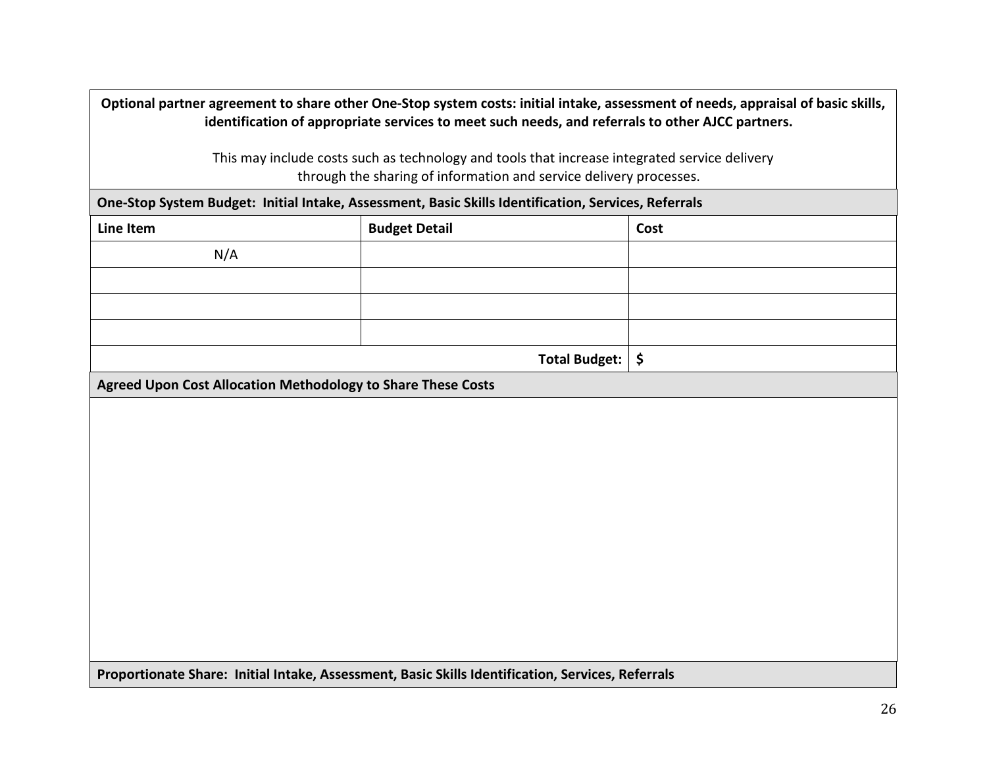**Optional partner agreement to share other One-Stop system costs: initial intake, assessment of needs, appraisal of basic skills, identification of appropriate services to meet such needs, and referrals to other AJCC partners.**  This may include costs such as technology and tools that increase integrated service delivery through the sharing of information and service delivery processes. **One-Stop System Budget: Initial Intake, Assessment, Basic Skills Identification, Services, Referrals Line Item Cost** N/A **Total Budget: \$ Agreed Upon Cost Allocation Methodology to Share These Costs Proportionate Share: Initial Intake, Assessment, Basic Skills Identification, Services, Referrals**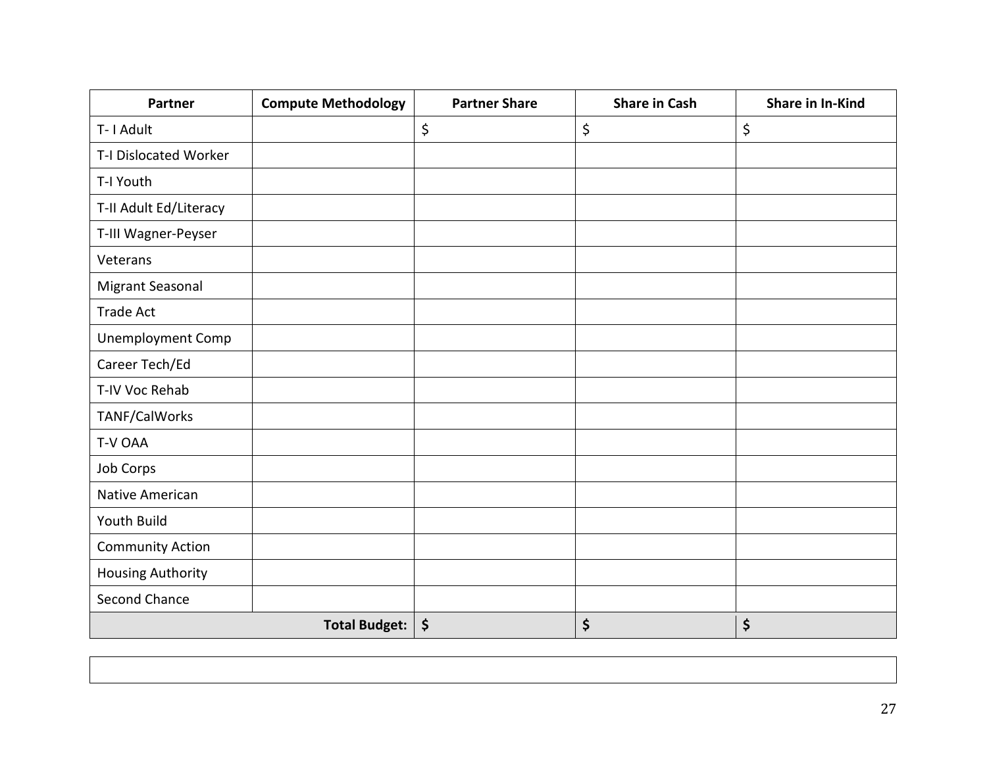| <b>Partner</b>           | <b>Compute Methodology</b> | <b>Partner Share</b>           | <b>Share in Cash</b> | Share in In-Kind |
|--------------------------|----------------------------|--------------------------------|----------------------|------------------|
| T-1 Adult                |                            | \$                             | \$                   | \$               |
| T-I Dislocated Worker    |                            |                                |                      |                  |
| T-I Youth                |                            |                                |                      |                  |
| T-II Adult Ed/Literacy   |                            |                                |                      |                  |
| T-III Wagner-Peyser      |                            |                                |                      |                  |
| Veterans                 |                            |                                |                      |                  |
| Migrant Seasonal         |                            |                                |                      |                  |
| <b>Trade Act</b>         |                            |                                |                      |                  |
| <b>Unemployment Comp</b> |                            |                                |                      |                  |
| Career Tech/Ed           |                            |                                |                      |                  |
| T-IV Voc Rehab           |                            |                                |                      |                  |
| TANF/CalWorks            |                            |                                |                      |                  |
| T-V OAA                  |                            |                                |                      |                  |
| Job Corps                |                            |                                |                      |                  |
| Native American          |                            |                                |                      |                  |
| Youth Build              |                            |                                |                      |                  |
| <b>Community Action</b>  |                            |                                |                      |                  |
| <b>Housing Authority</b> |                            |                                |                      |                  |
| <b>Second Chance</b>     |                            |                                |                      |                  |
|                          | <b>Total Budget:</b>       | $\boldsymbol{\dot{\varsigma}}$ | \$                   | \$               |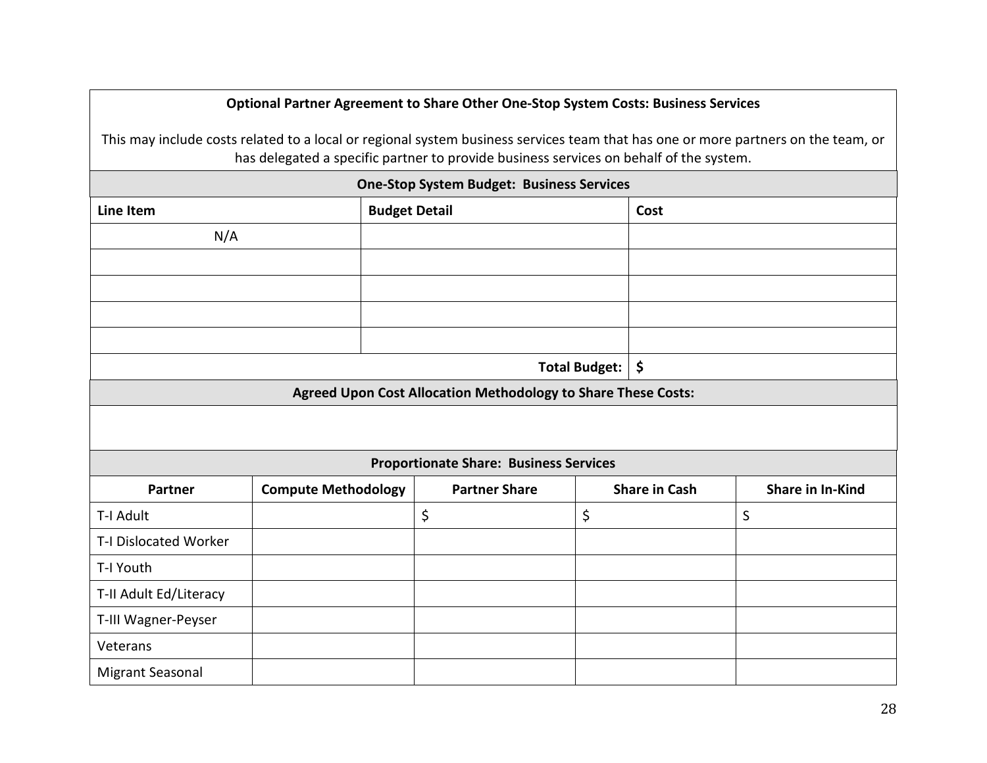### **Optional Partner Agreement to Share Other One-Stop System Costs: Business Services**

This may include costs related to a local or regional system business services team that has one or more partners on the team, or has delegated a specific partner to provide business services on behalf of the system.

| <b>One-Stop System Budget: Business Services</b> |                              |                                                               |                      |                      |                         |  |  |  |
|--------------------------------------------------|------------------------------|---------------------------------------------------------------|----------------------|----------------------|-------------------------|--|--|--|
| <b>Line Item</b>                                 | <b>Budget Detail</b><br>Cost |                                                               |                      |                      |                         |  |  |  |
| N/A                                              |                              |                                                               |                      |                      |                         |  |  |  |
|                                                  |                              |                                                               |                      |                      |                         |  |  |  |
|                                                  |                              |                                                               |                      |                      |                         |  |  |  |
|                                                  |                              |                                                               |                      |                      |                         |  |  |  |
|                                                  |                              |                                                               |                      |                      |                         |  |  |  |
|                                                  |                              |                                                               | <b>Total Budget:</b> | \$                   |                         |  |  |  |
|                                                  |                              | Agreed Upon Cost Allocation Methodology to Share These Costs: |                      |                      |                         |  |  |  |
|                                                  |                              |                                                               |                      |                      |                         |  |  |  |
|                                                  |                              | <b>Proportionate Share: Business Services</b>                 |                      |                      |                         |  |  |  |
| <b>Partner</b>                                   | <b>Compute Methodology</b>   | <b>Partner Share</b>                                          |                      | <b>Share in Cash</b> | <b>Share in In-Kind</b> |  |  |  |
| T-I Adult                                        |                              | \$                                                            | \$                   |                      | $\sf S$                 |  |  |  |
| T-I Dislocated Worker                            |                              |                                                               |                      |                      |                         |  |  |  |
| T-I Youth                                        |                              |                                                               |                      |                      |                         |  |  |  |
| T-II Adult Ed/Literacy                           |                              |                                                               |                      |                      |                         |  |  |  |
| T-III Wagner-Peyser                              |                              |                                                               |                      |                      |                         |  |  |  |
| Veterans                                         |                              |                                                               |                      |                      |                         |  |  |  |
| Migrant Seasonal                                 |                              |                                                               |                      |                      |                         |  |  |  |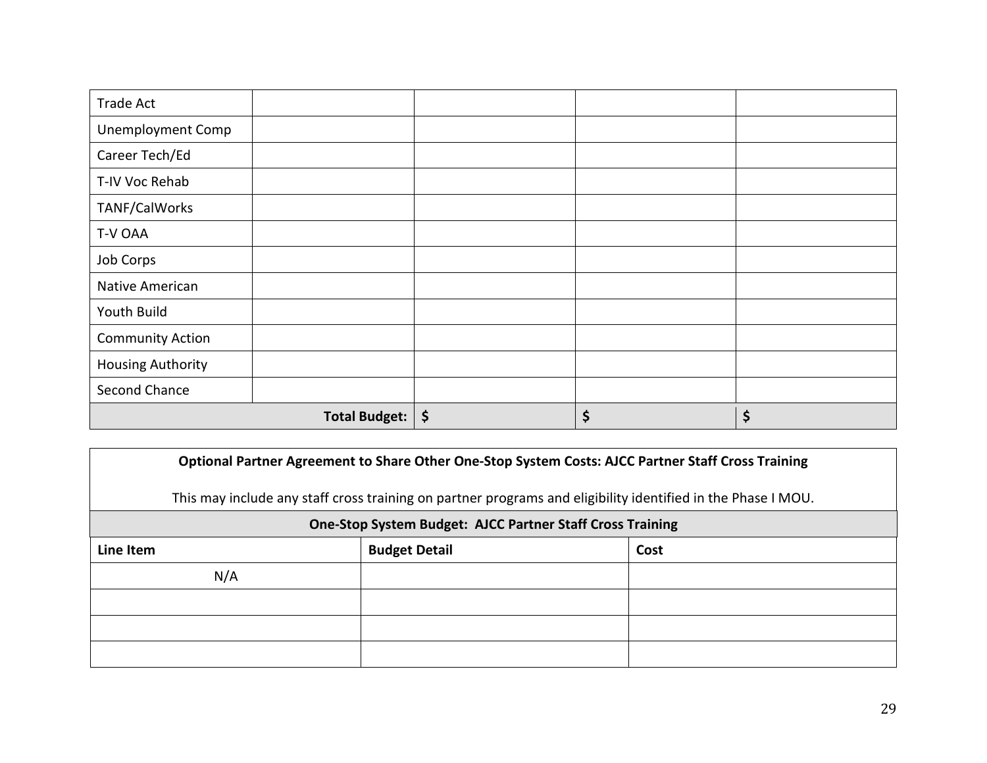| <b>Trade Act</b>         |                      |          |    |
|--------------------------|----------------------|----------|----|
| <b>Unemployment Comp</b> |                      |          |    |
| Career Tech/Ed           |                      |          |    |
| T-IV Voc Rehab           |                      |          |    |
| TANF/CalWorks            |                      |          |    |
| T-V OAA                  |                      |          |    |
| Job Corps                |                      |          |    |
| Native American          |                      |          |    |
| Youth Build              |                      |          |    |
| <b>Community Action</b>  |                      |          |    |
| <b>Housing Authority</b> |                      |          |    |
| Second Chance            |                      |          |    |
|                          | <b>Total Budget:</b> | \$<br>\$ | \$ |

|           | Optional Partner Agreement to Share Other One-Stop System Costs: AJCC Partner Staff Cross Training           |      |  |  |
|-----------|--------------------------------------------------------------------------------------------------------------|------|--|--|
|           | This may include any staff cross training on partner programs and eligibility identified in the Phase I MOU. |      |  |  |
|           | <b>One-Stop System Budget: AJCC Partner Staff Cross Training</b>                                             |      |  |  |
| Line Item | <b>Budget Detail</b>                                                                                         | Cost |  |  |
| N/A       |                                                                                                              |      |  |  |
|           |                                                                                                              |      |  |  |
|           |                                                                                                              |      |  |  |
|           |                                                                                                              |      |  |  |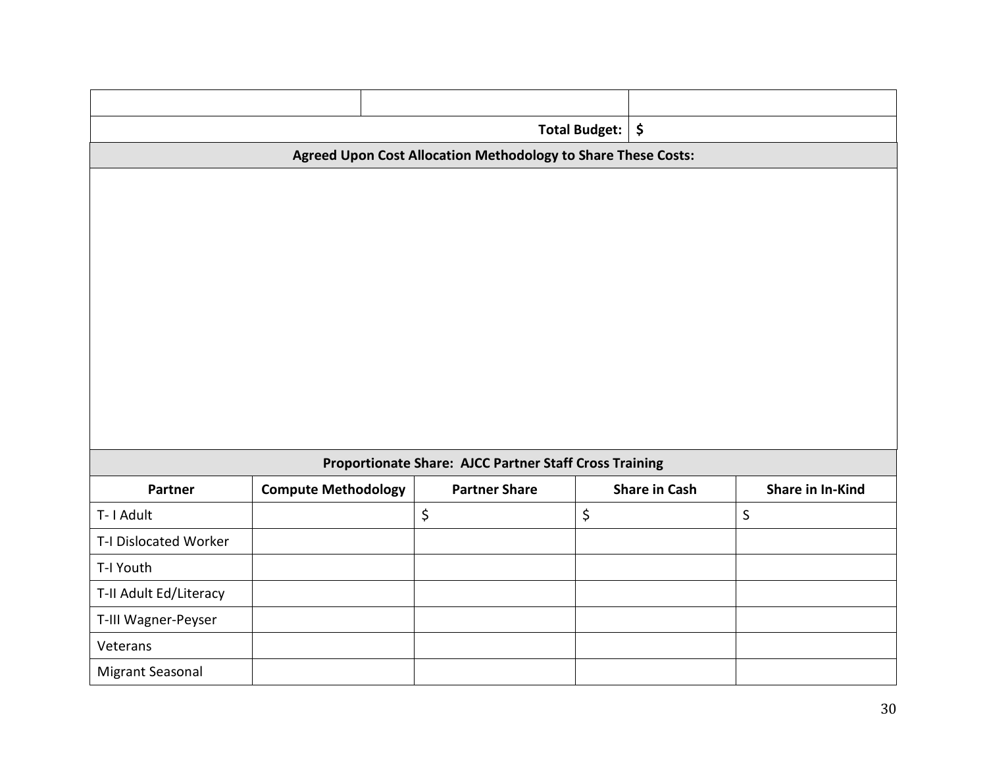|                        | <b>Total Budget:</b>       |                                                               |    |                      |                  |
|------------------------|----------------------------|---------------------------------------------------------------|----|----------------------|------------------|
|                        |                            | Agreed Upon Cost Allocation Methodology to Share These Costs: |    |                      |                  |
|                        |                            |                                                               |    |                      |                  |
|                        |                            |                                                               |    |                      |                  |
|                        |                            |                                                               |    |                      |                  |
|                        |                            |                                                               |    |                      |                  |
|                        |                            |                                                               |    |                      |                  |
|                        |                            |                                                               |    |                      |                  |
|                        |                            |                                                               |    |                      |                  |
|                        |                            |                                                               |    |                      |                  |
|                        |                            |                                                               |    |                      |                  |
|                        |                            |                                                               |    |                      |                  |
|                        |                            | Proportionate Share: AJCC Partner Staff Cross Training        |    |                      |                  |
| Partner                | <b>Compute Methodology</b> | <b>Partner Share</b>                                          |    | <b>Share in Cash</b> | Share in In-Kind |
| T-1 Adult              |                            | \$                                                            | \$ |                      | $\mathsf{S}$     |
| T-I Dislocated Worker  |                            |                                                               |    |                      |                  |
| T-I Youth              |                            |                                                               |    |                      |                  |
| T-II Adult Ed/Literacy |                            |                                                               |    |                      |                  |
| T-III Wagner-Peyser    |                            |                                                               |    |                      |                  |
| Veterans               |                            |                                                               |    |                      |                  |
| Migrant Seasonal       |                            |                                                               |    |                      |                  |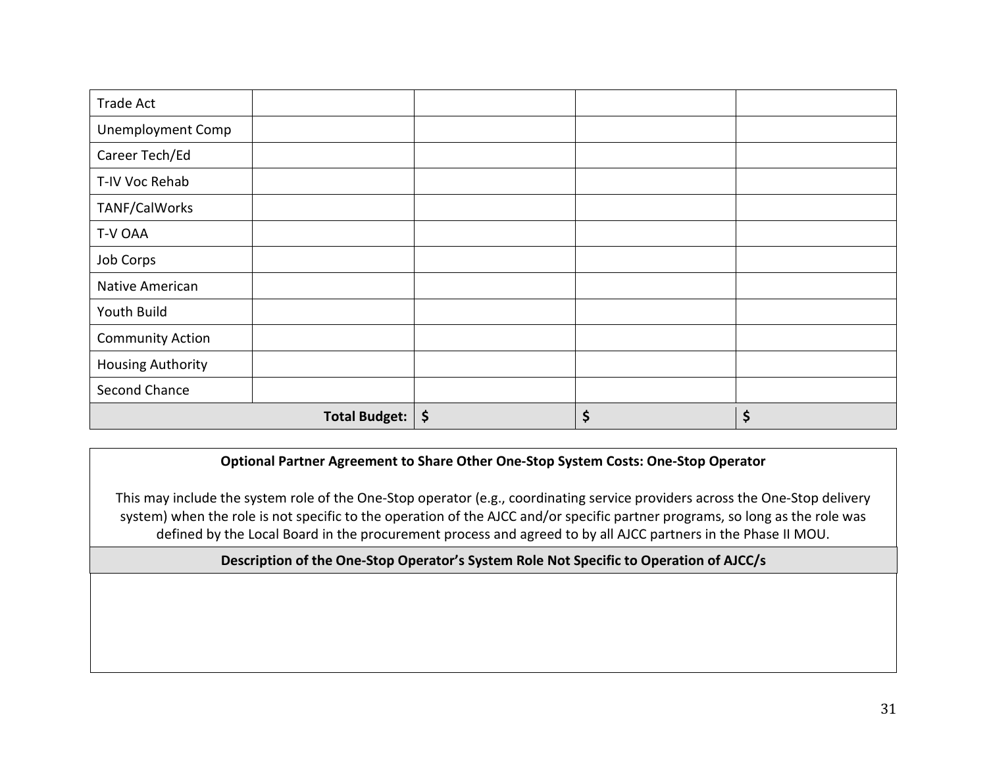| <b>Trade Act</b>         |                      |          |    |
|--------------------------|----------------------|----------|----|
| <b>Unemployment Comp</b> |                      |          |    |
| Career Tech/Ed           |                      |          |    |
| T-IV Voc Rehab           |                      |          |    |
| TANF/CalWorks            |                      |          |    |
| T-V OAA                  |                      |          |    |
| Job Corps                |                      |          |    |
| Native American          |                      |          |    |
| Youth Build              |                      |          |    |
| <b>Community Action</b>  |                      |          |    |
| <b>Housing Authority</b> |                      |          |    |
| Second Chance            |                      |          |    |
|                          | <b>Total Budget:</b> | \$<br>\$ | \$ |

### **Optional Partner Agreement to Share Other One-Stop System Costs: One-Stop Operator**

This may include the system role of the One-Stop operator (e.g., coordinating service providers across the One-Stop delivery system) when the role is not specific to the operation of the AJCC and/or specific partner programs, so long as the role was defined by the Local Board in the procurement process and agreed to by all AJCC partners in the Phase II MOU.

### **Description of the One-Stop Operator's System Role Not Specific to Operation of AJCC/s**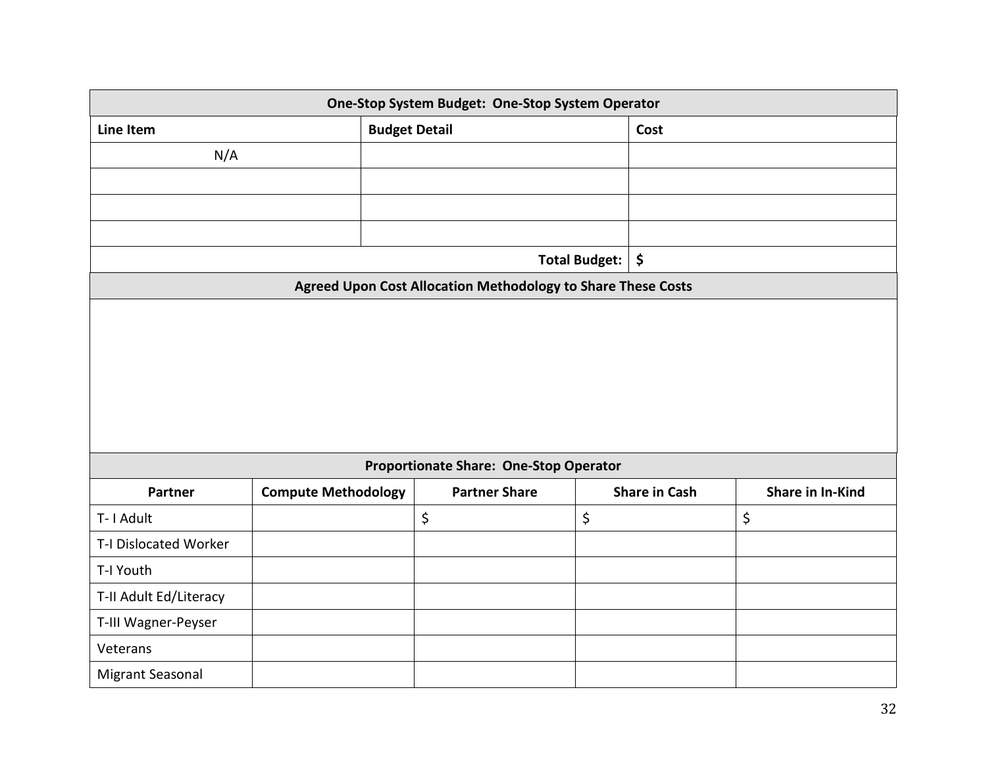|                        | One-Stop System Budget: One-Stop System Operator |                      |                                                              |               |                      |                         |
|------------------------|--------------------------------------------------|----------------------|--------------------------------------------------------------|---------------|----------------------|-------------------------|
| Line Item              |                                                  | <b>Budget Detail</b> |                                                              |               | Cost                 |                         |
| N/A                    |                                                  |                      |                                                              |               |                      |                         |
|                        |                                                  |                      |                                                              |               |                      |                         |
|                        |                                                  |                      |                                                              |               |                      |                         |
|                        |                                                  |                      |                                                              |               |                      |                         |
|                        |                                                  |                      |                                                              | Total Budget: | $\zeta$              |                         |
|                        |                                                  |                      | Agreed Upon Cost Allocation Methodology to Share These Costs |               |                      |                         |
|                        |                                                  |                      |                                                              |               |                      |                         |
|                        |                                                  |                      | <b>Proportionate Share: One-Stop Operator</b>                |               |                      |                         |
| Partner                | <b>Compute Methodology</b>                       |                      | <b>Partner Share</b>                                         |               | <b>Share in Cash</b> | <b>Share in In-Kind</b> |
| T-1 Adult              |                                                  |                      | \$                                                           | \$            |                      | \$                      |
| T-I Dislocated Worker  |                                                  |                      |                                                              |               |                      |                         |
| T-I Youth              |                                                  |                      |                                                              |               |                      |                         |
| T-II Adult Ed/Literacy |                                                  |                      |                                                              |               |                      |                         |
| T-III Wagner-Peyser    |                                                  |                      |                                                              |               |                      |                         |
| Veterans               |                                                  |                      |                                                              |               |                      |                         |
| Migrant Seasonal       |                                                  |                      |                                                              |               |                      |                         |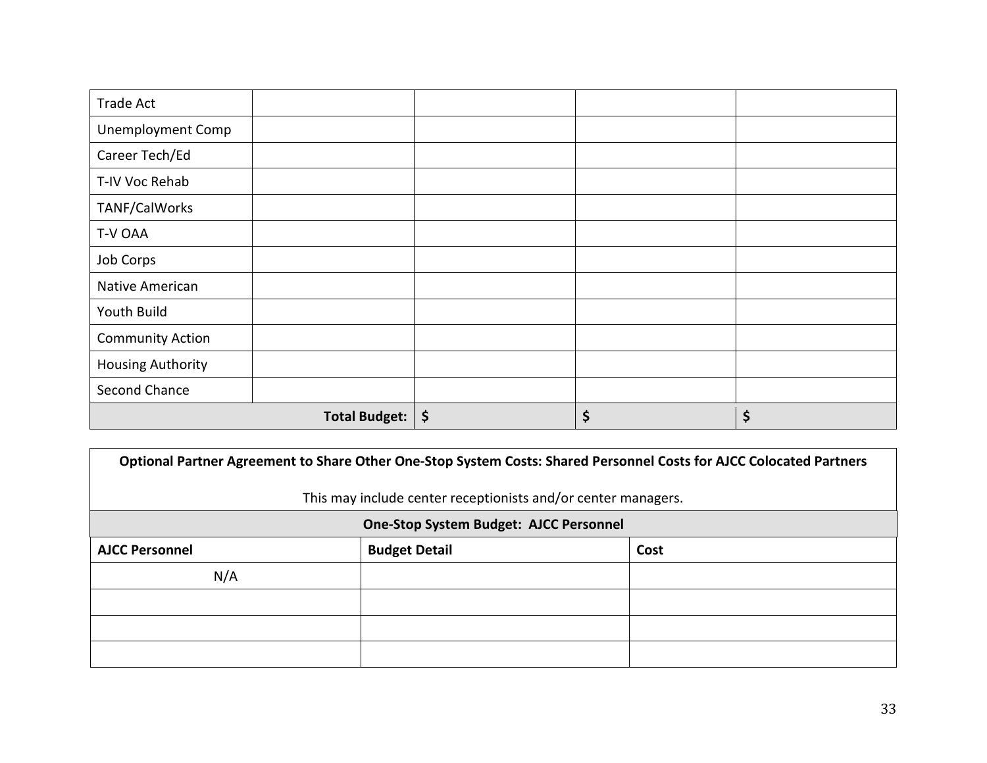| <b>Trade Act</b>         |                      |          |    |
|--------------------------|----------------------|----------|----|
| <b>Unemployment Comp</b> |                      |          |    |
| Career Tech/Ed           |                      |          |    |
| T-IV Voc Rehab           |                      |          |    |
| TANF/CalWorks            |                      |          |    |
| T-V OAA                  |                      |          |    |
| Job Corps                |                      |          |    |
| Native American          |                      |          |    |
| Youth Build              |                      |          |    |
| <b>Community Action</b>  |                      |          |    |
| <b>Housing Authority</b> |                      |          |    |
| Second Chance            |                      |          |    |
|                          | <b>Total Budget:</b> | \$<br>\$ | \$ |

| Optional Partner Agreement to Share Other One-Stop System Costs: Shared Personnel Costs for AJCC Colocated Partners |                                                               |      |  |  |  |
|---------------------------------------------------------------------------------------------------------------------|---------------------------------------------------------------|------|--|--|--|
|                                                                                                                     | This may include center receptionists and/or center managers. |      |  |  |  |
| <b>One-Stop System Budget: AJCC Personnel</b>                                                                       |                                                               |      |  |  |  |
| <b>AJCC Personnel</b>                                                                                               | <b>Budget Detail</b>                                          | Cost |  |  |  |
| N/A                                                                                                                 |                                                               |      |  |  |  |
|                                                                                                                     |                                                               |      |  |  |  |
|                                                                                                                     |                                                               |      |  |  |  |
|                                                                                                                     |                                                               |      |  |  |  |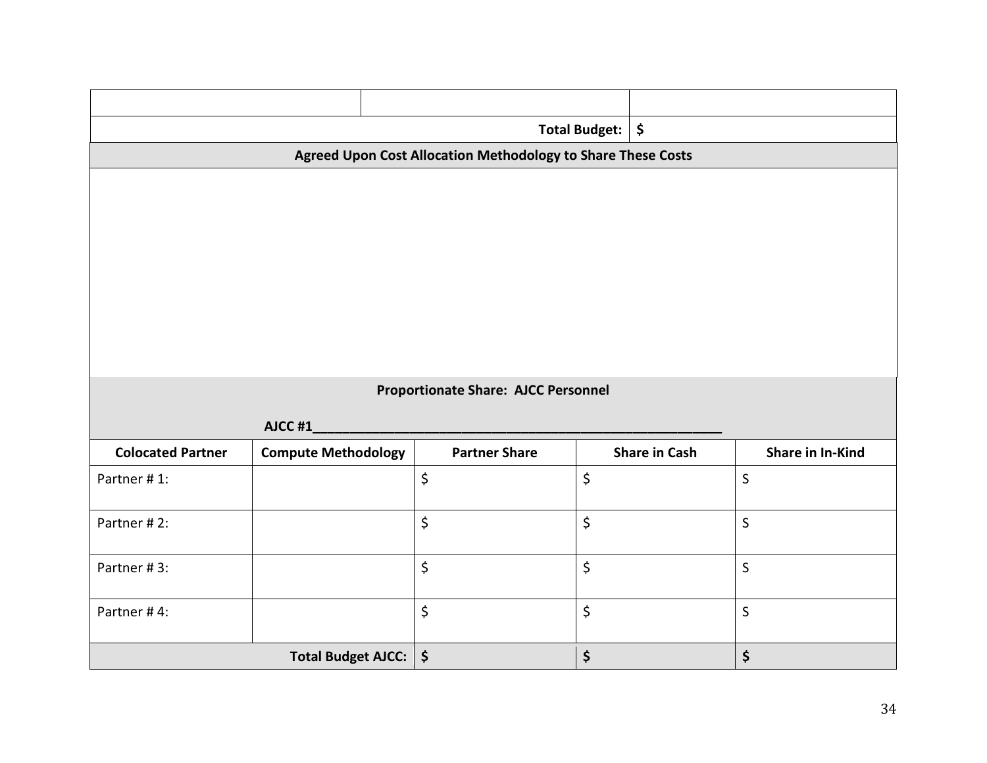| Total Budget:            |                                            |                        |                                                              |                                | \$                   |                         |
|--------------------------|--------------------------------------------|------------------------|--------------------------------------------------------------|--------------------------------|----------------------|-------------------------|
|                          |                                            |                        | Agreed Upon Cost Allocation Methodology to Share These Costs |                                |                      |                         |
|                          |                                            |                        |                                                              |                                |                      |                         |
|                          |                                            |                        |                                                              |                                |                      |                         |
|                          |                                            |                        |                                                              |                                |                      |                         |
|                          |                                            |                        |                                                              |                                |                      |                         |
|                          |                                            |                        |                                                              |                                |                      |                         |
|                          |                                            |                        |                                                              |                                |                      |                         |
|                          |                                            |                        |                                                              |                                |                      |                         |
|                          |                                            |                        |                                                              |                                |                      |                         |
|                          | <b>Proportionate Share: AJCC Personnel</b> |                        |                                                              |                                |                      |                         |
|                          | AJCC #1                                    |                        |                                                              |                                |                      |                         |
| <b>Colocated Partner</b> | <b>Compute Methodology</b>                 |                        | <b>Partner Share</b>                                         |                                | <b>Share in Cash</b> | <b>Share in In-Kind</b> |
| Partner #1:              |                                            | \$                     |                                                              | \$                             |                      | $\mathsf{S}$            |
| Partner #2:              |                                            | \$                     |                                                              | $\boldsymbol{\dot{\varsigma}}$ |                      | $\mathsf{S}$            |
|                          |                                            |                        |                                                              |                                |                      |                         |
| Partner #3:              |                                            | \$                     |                                                              | \$                             |                      | $\mathsf{S}$            |
|                          |                                            |                        |                                                              |                                |                      |                         |
| Partner #4:              |                                            | \$                     |                                                              | \$                             |                      | $\mathsf{S}$            |
|                          | Total Budget AJCC:                         | $\boldsymbol{\dot{S}}$ |                                                              | \$                             |                      | \$                      |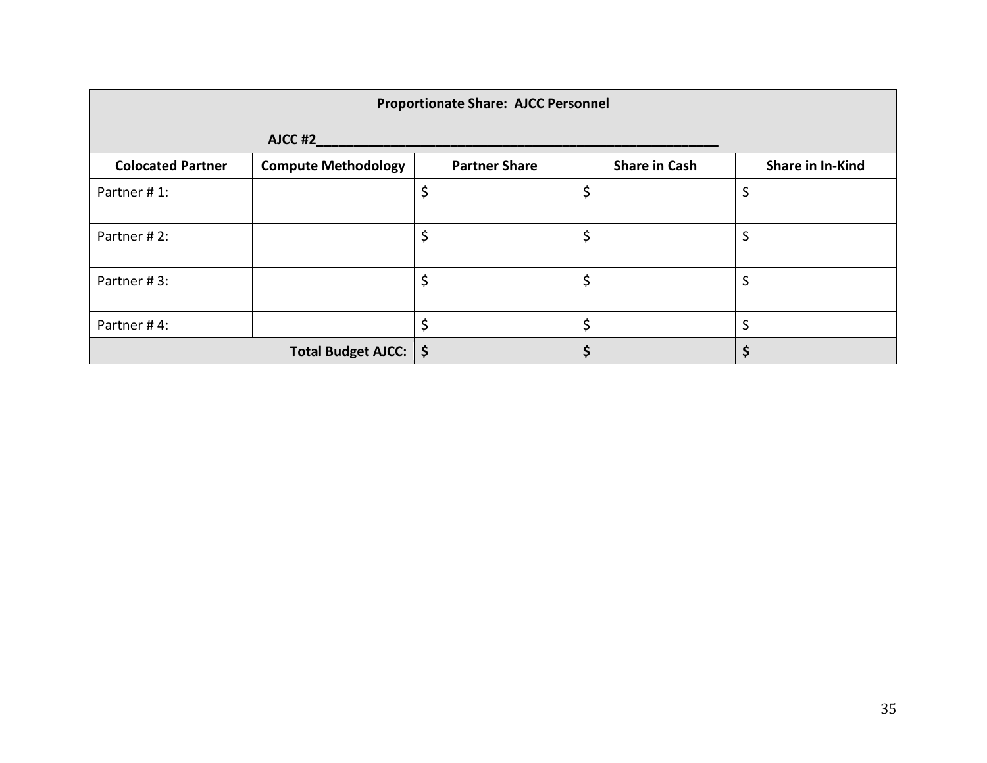|                          | <b>Proportionate Share: AJCC Personnel</b> |                      |                      |                  |  |
|--------------------------|--------------------------------------------|----------------------|----------------------|------------------|--|
|                          | AJCC #2                                    |                      |                      |                  |  |
| <b>Colocated Partner</b> | <b>Compute Methodology</b>                 | <b>Partner Share</b> | <b>Share in Cash</b> | Share in In-Kind |  |
| Partner #1:              |                                            |                      | \$                   | S                |  |
| Partner #2:              |                                            | \$                   | \$                   | S                |  |
| Partner #3:              |                                            | \$                   | \$                   | S                |  |
| Partner #4:              |                                            |                      | Ś.                   | S                |  |
|                          | Total Budget AJCC:   \$                    |                      |                      |                  |  |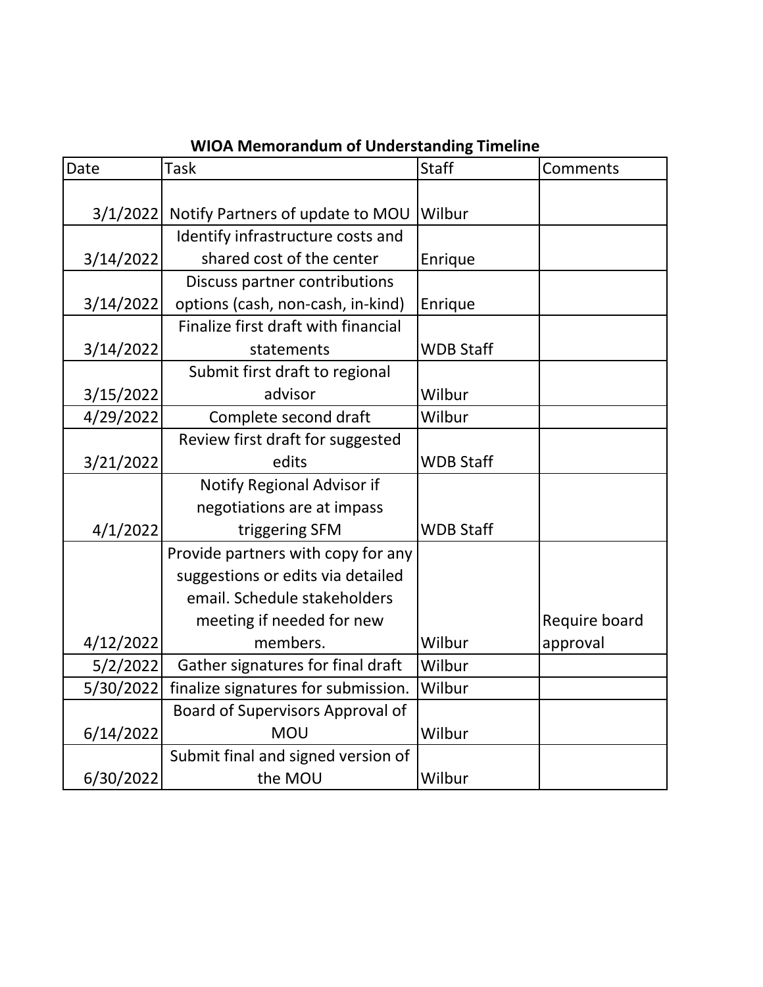| Date      | UA ivicinui anuunii Ul Unucrotanumg Timcimic<br>Task | <b>Staff</b>     | Comments      |
|-----------|------------------------------------------------------|------------------|---------------|
|           |                                                      |                  |               |
| 3/1/2022  | Notify Partners of update to MOU                     | Wilbur           |               |
|           | Identify infrastructure costs and                    |                  |               |
| 3/14/2022 | shared cost of the center                            | Enrique          |               |
|           | Discuss partner contributions                        |                  |               |
| 3/14/2022 | options (cash, non-cash, in-kind)                    | Enrique          |               |
|           | Finalize first draft with financial                  |                  |               |
| 3/14/2022 | statements                                           | <b>WDB Staff</b> |               |
|           | Submit first draft to regional                       |                  |               |
| 3/15/2022 | advisor                                              | Wilbur           |               |
| 4/29/2022 | Complete second draft                                | Wilbur           |               |
|           | Review first draft for suggested                     |                  |               |
| 3/21/2022 | edits                                                | <b>WDB Staff</b> |               |
|           | Notify Regional Advisor if                           |                  |               |
|           | negotiations are at impass                           |                  |               |
| 4/1/2022  | triggering SFM                                       | <b>WDB Staff</b> |               |
|           | Provide partners with copy for any                   |                  |               |
|           | suggestions or edits via detailed                    |                  |               |
|           | email. Schedule stakeholders                         |                  |               |
|           | meeting if needed for new                            |                  | Require board |
| 4/12/2022 | members.                                             | Wilbur           | approval      |
| 5/2/2022  | Gather signatures for final draft                    | Wilbur           |               |
| 5/30/2022 | finalize signatures for submission.                  | Wilbur           |               |
|           | Board of Supervisors Approval of                     |                  |               |
| 6/14/2022 | <b>MOU</b>                                           | Wilbur           |               |
|           | Submit final and signed version of                   |                  |               |
| 6/30/2022 | the MOU                                              | Wilbur           |               |

### **WIOA Memorandum of Understanding Timeline**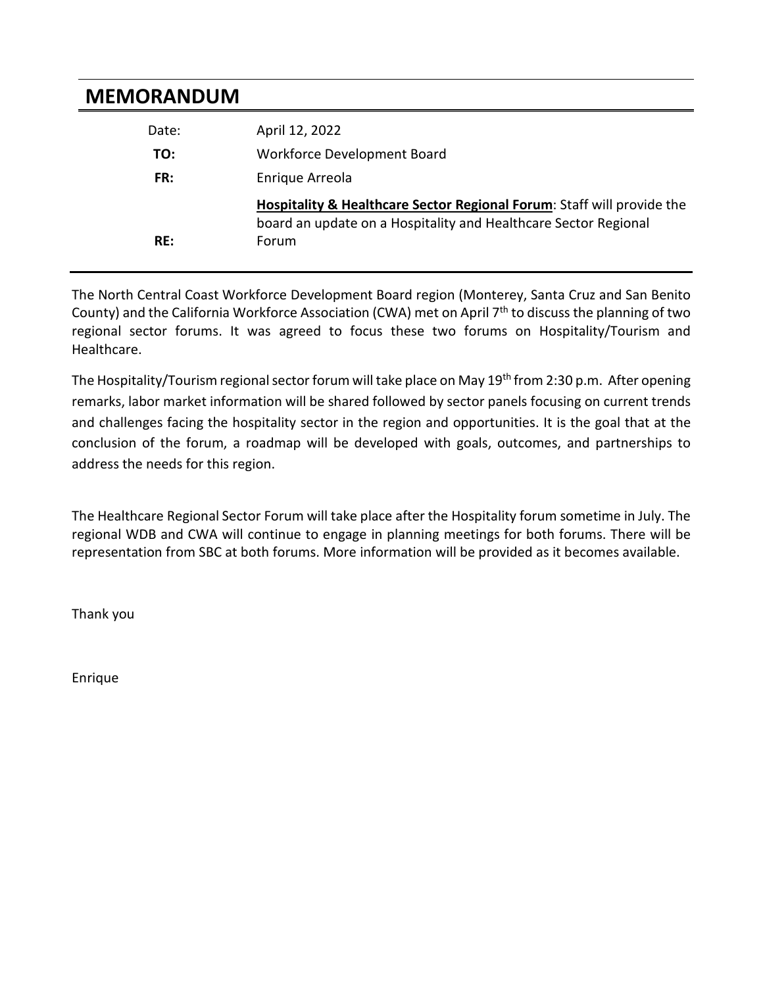### **MEMORANDUM**

| Date: | April 12, 2022                                                                                                                            |
|-------|-------------------------------------------------------------------------------------------------------------------------------------------|
| TO:   | Workforce Development Board                                                                                                               |
| FR:   | Enrique Arreola                                                                                                                           |
|       | Hospitality & Healthcare Sector Regional Forum: Staff will provide the<br>board an update on a Hospitality and Healthcare Sector Regional |
| RE:   | Forum                                                                                                                                     |

The North Central Coast Workforce Development Board region (Monterey, Santa Cruz and San Benito County) and the California Workforce Association (CWA) met on April 7<sup>th</sup> to discuss the planning of two regional sector forums. It was agreed to focus these two forums on Hospitality/Tourism and Healthcare.

The Hospitality/Tourism regional sector forum will take place on May 19<sup>th</sup> from 2:30 p.m. After opening remarks, labor market information will be shared followed by sector panels focusing on current trends and challenges facing the hospitality sector in the region and opportunities. It is the goal that at the conclusion of the forum, a roadmap will be developed with goals, outcomes, and partnerships to address the needs for this region.

The Healthcare Regional Sector Forum will take place after the Hospitality forum sometime in July. The regional WDB and CWA will continue to engage in planning meetings for both forums. There will be representation from SBC at both forums. More information will be provided as it becomes available.

Thank you

Enrique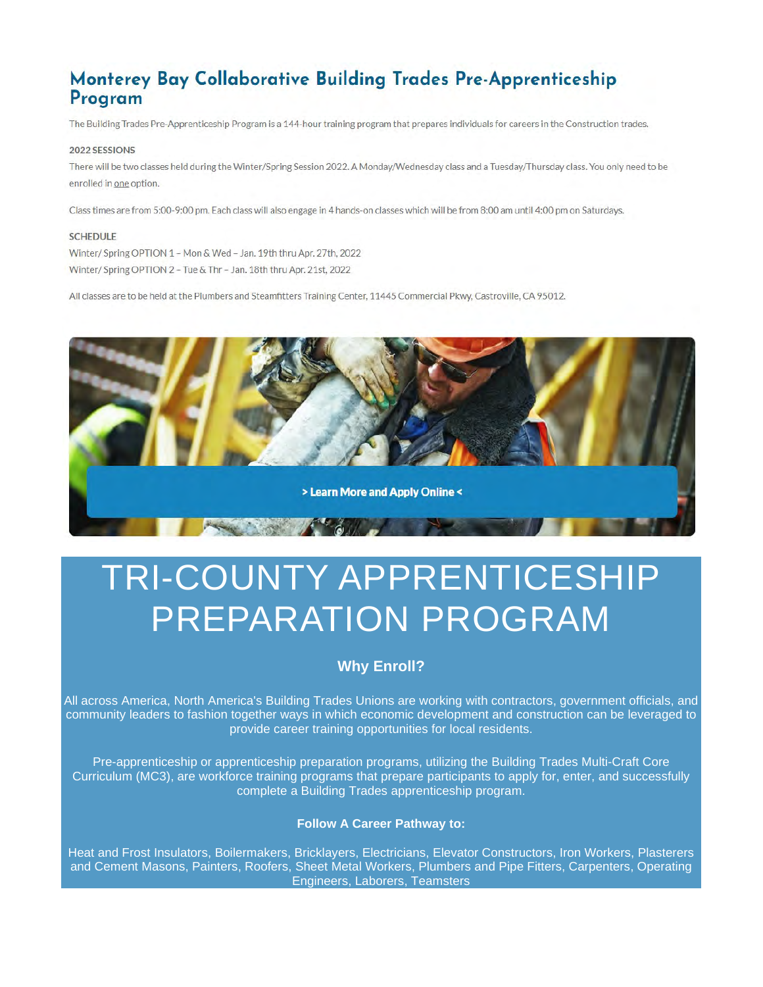### Monterey Bay Collaborative Building Trades Pre-Apprenticeship Program

The Building Trades Pre-Apprenticeship Program is a 144-hour training program that prepares individuals for careers in the Construction trades.

#### 2022 SESSIONS

There will be two classes held during the Winter/Spring Session 2022. A Monday/Wednesday class and a Tuesday/Thursday class. You only need to be enrolled in one option.

Class times are from 5:00-9:00 pm. Each class will also engage in 4 hands-on classes which will be from 8:00 am until 4:00 pm on Saturdays.

#### **SCHEDULE**

Winter/ Spring OPTION 1 - Mon & Wed - Jan. 19th thru Apr. 27th, 2022 Winter/ Spring OPTION 2 - Tue & Thr - Jan. 18th thru Apr. 21st, 2022

All classes are to be held at the Plumbers and Steamfitters Training Center, 11445 Commercial Pkwy, Castroville, CA 95012.



# TRI-COUNTY APPRENTICESHIP PREPARATION PROGRAM

### **Why Enroll?**

All across America, North America's Building Trades Unions are working with contractors, government officials, and community leaders to fashion together ways in which economic development and construction can be leveraged to provide career training opportunities for local residents.

Pre-apprenticeship or apprenticeship preparation programs, utilizing the Building Trades Multi-Craft Core Curriculum (MC3), are workforce training programs that prepare participants to apply for, enter, and successfully complete a Building Trades apprenticeship program.

#### **Follow A Career Pathway to:**

Heat and Frost Insulators, Boilermakers, Bricklayers, Electricians, Elevator Constructors, Iron Workers, Plasterers and Cement Masons, Painters, Roofers, Sheet Metal Workers, Plumbers and Pipe Fitters, Carpenters, Operating Engineers, Laborers, Teamsters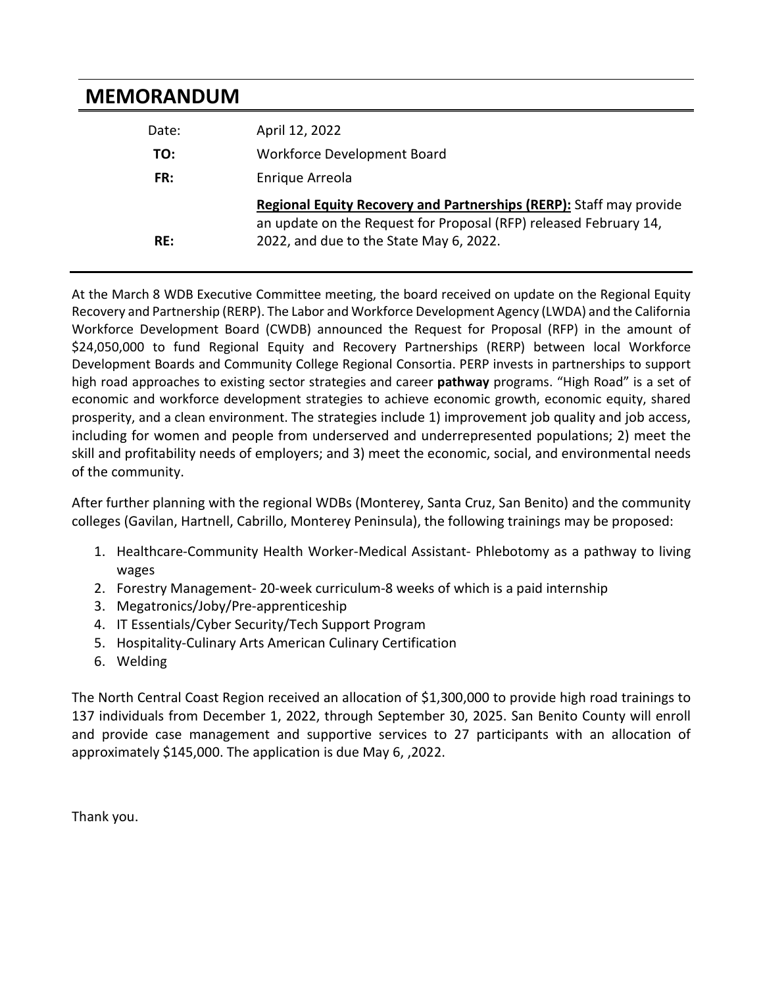## **MEMORANDUM**

| Date: | April 12, 2022                                                                                                                           |
|-------|------------------------------------------------------------------------------------------------------------------------------------------|
| TO:   | Workforce Development Board                                                                                                              |
| FR:   | Enrique Arreola                                                                                                                          |
|       | Regional Equity Recovery and Partnerships (RERP): Staff may provide<br>an update on the Request for Proposal (RFP) released February 14, |
| RE:   | 2022, and due to the State May 6, 2022.                                                                                                  |

At the March 8 WDB Executive Committee meeting, the board received on update on the Regional Equity Recovery and Partnership (RERP). The Labor and Workforce Development Agency (LWDA) and the California Workforce Development Board (CWDB) announced the Request for Proposal (RFP) in the amount of \$24,050,000 to fund Regional Equity and Recovery Partnerships (RERP) between local Workforce Development Boards and Community College Regional Consortia. PERP invests in partnerships to support high road approaches to existing sector strategies and career **pathway** programs. "High Road" is a set of economic and workforce development strategies to achieve economic growth, economic equity, shared prosperity, and a clean environment. The strategies include 1) improvement job quality and job access, including for women and people from underserved and underrepresented populations; 2) meet the skill and profitability needs of employers; and 3) meet the economic, social, and environmental needs of the community.

After further planning with the regional WDBs (Monterey, Santa Cruz, San Benito) and the community colleges (Gavilan, Hartnell, Cabrillo, Monterey Peninsula), the following trainings may be proposed:

- 1. Healthcare-Community Health Worker-Medical Assistant- Phlebotomy as a pathway to living wages
- 2. Forestry Management- 20-week curriculum-8 weeks of which is a paid internship
- 3. Megatronics/Joby/Pre-apprenticeship
- 4. IT Essentials/Cyber Security/Tech Support Program
- 5. Hospitality-Culinary Arts American Culinary Certification
- 6. Welding

The North Central Coast Region received an allocation of \$1,300,000 to provide high road trainings to 137 individuals from December 1, 2022, through September 30, 2025. San Benito County will enroll and provide case management and supportive services to 27 participants with an allocation of approximately \$145,000. The application is due May 6, ,2022.

Thank you.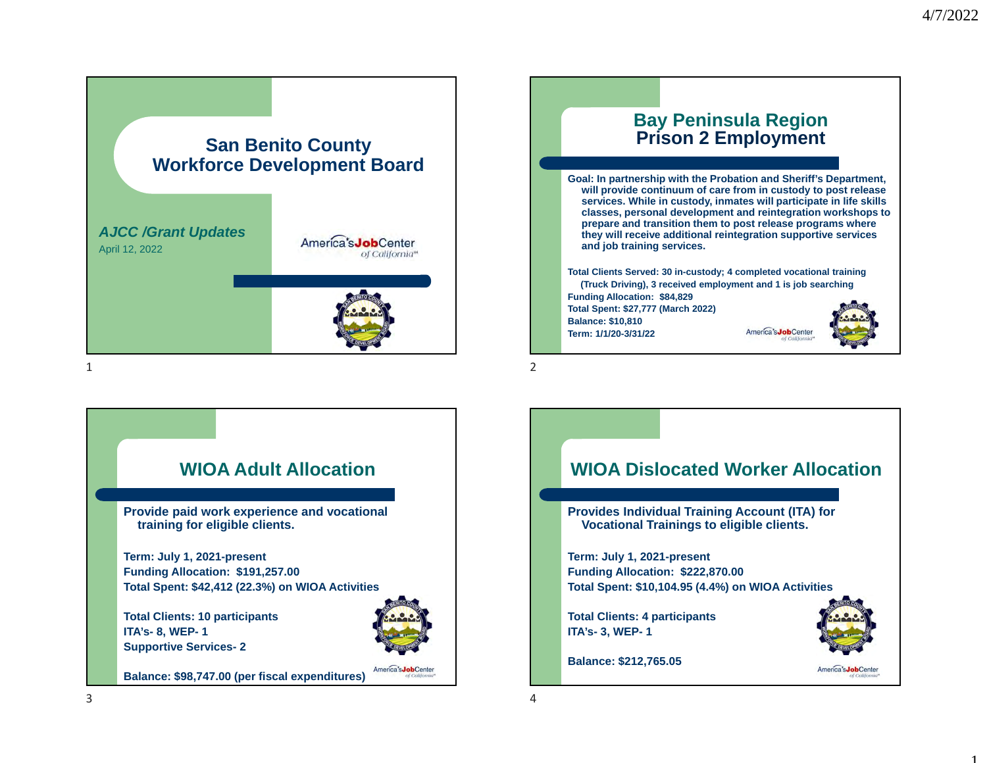1



### **Bay Peninsula Region Prison 2 Employment**

**Goal: In partnership with the Probation and Sheriff's Department, will provide continuum of care from in custody to post release services. While in custody, inmates will participate in life skills classes, personal development and reintegration workshops to prepare and transition them to post release programs where they will receive additional reintegration supportive services and job training services.**

**Total Clients Served: 30 in-custody; 4 completed vocational training (Truck Driving), 3 received employment and 1 is job searching Funding Allocation: \$84,829 Total Spent: \$27,777 (March 2022) Balance: \$10,810** America's **Inh**Cente **Term: 1/1/20-3/31/22**